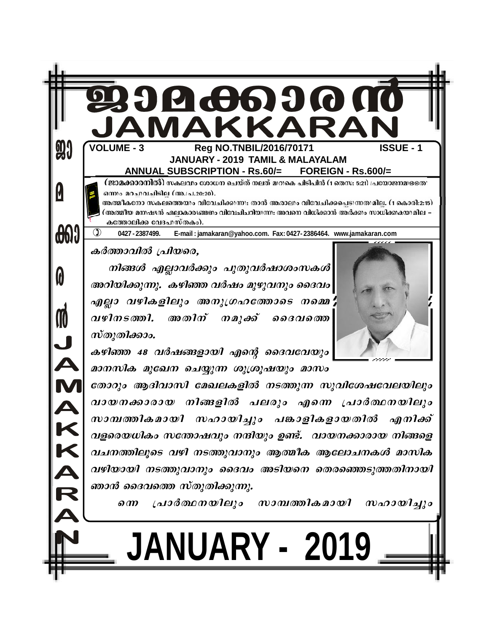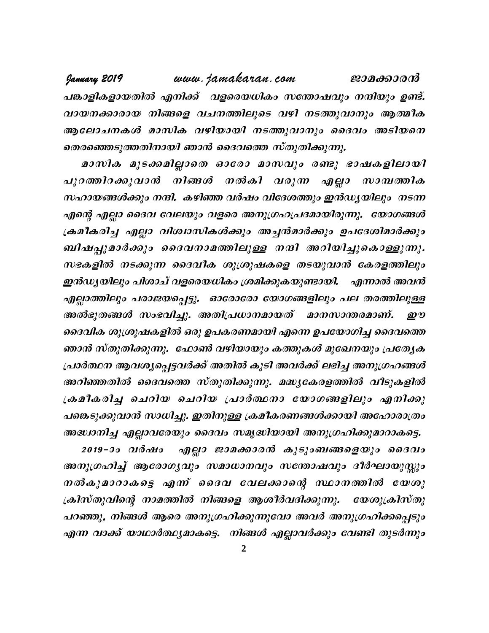January 2019 www.jamakaran.com ജാമക്കാരൻ പങ്കാളികളായതിൽ എനിക്ക് വളരെയധികം സന്തോഷവും നന്ദിയും ഉണ്ട്. വായനക്കാരായ നിങ്ങളെ വചനത്തിലൂടെ വഴി നടത്തുവാനും ആത്മീക ആലോചനകൾ മാസിക വഴിയായി നടത്തുവാനും ദൈവം അടിയനെ തെരഞ്ഞെടുത്തതിനായി ഞാൻ ദൈവത്തെ സ്തുതിക്കുന്നു.

മാസിക മുടക്കമില്ലാതെ ഓരോ മാസവും രണ്ടു ഭാഷകളിലായി പുറത്തിറക്കുവാൻ നിങ്ങൾ നൽകി വരുന്ന എല്ലാ സാമ്പത്തിക സഹായങ്ങൾക്കും നന്ദി. കഴിഞ്ഞ വർഷം വിദേശത്തും ഇൻഡ്യയിലും നടന്ന എന്റെ എല്ലാ ദൈവ വേലയും വളരെ അനുഗ്രഹപ്രദമായിരുന്നു. യോഗങ്ങൾ ക്രമീകരിച്ച എല്ലാ വിശ്വാസികൾക്കും അച്ചൻമാർക്കും ഉപദേശിമാർക്കും ബിഷപ്പുമാർക്കും ദൈവനാമത്തിലുള്ള നന്ദി അറിയിച്ചുകൊള്ളുന്നു. സഭകളിൽ നടക്കുന്ന ദൈവീക ശുശ്രൂഷകളെ തടയുവാൻ കേരളത്തിലും ഇൻഡ്യയിലും പിശാച് വളരെയധികം ശ്രമിക്കുകയുണ്ടായി. എന്നാൽ അവൻ എല്ലാത്തിലും പരാജയപ്പെട്ടു. ഓരോരോ യോഗങ്ങളിലും പല തരത്തിലുള്ള അൽഭുതങ്ങൾ സംഭവിച്ചു. അതിപ്രധാനമായത് മാനസാന്തരമാണ്. ഈ ദൈവിക ശുശ്രൂഷകളിൽ ഒരു ഉപകരണമായി എന്നെ ഉപയോഗിച്ച ദൈവത്തെ ഞാൻ സ്തുതിക്കുന്നു. ഫോൺ വഴിയായും കത്തുകൾ മുഖേനയും പ്രത്യേക പ്രാർത്ഥന ആവശ്യപ്പെട്ടവർക്ക് അതിൽ കൂടി അവർക്ക് ലഭിച്ച അനുഗ്രഹങ്ങൾ അറിഞ്ഞതിൽ ദൈവത്തെ സ്തുതിക്കുന്നു. മദ്ധ്യകേരളത്തിൽ വീടുകളിൽ ക്രമീകരിച്ച ചെറിയ ചെറിയ പ്രാർത്ഥനാ യോഗങ്ങളിലും എനിക്കു പങ്കെടുക്കുവാൻ സാധിച്ചു. ഇതിനുള്ള ക്രമീകരണങ്ങൾക്കായി അഹോരാത്രം അദ്ധ്വാനിച്ച എല്ലാവരേയും ദൈവം സമൃദ്ധിയായി അനുഗ്രഹിക്കുമാറാകട്ടെ.

2019-ാം വർഷം എല്ലാ ജാമക്കാരൻ കുടുംബങ്ങളെയും ദൈവം അനുഗ്രഹിച്ച് ആരോഗ്യവും സമാധാനവും സതോഷവും ദീർഘായുസ്സും നൽകുമാറാകട്ടെ എന്ന് ദൈവ വേലക്കാന്റെ സ്ഥാനത്തിൽ യേശു ക്രിസ്തുവിന്റെ നാമത്തിൽ നിങ്ങളെ ആശീർവദിക്കുന്നു. യേശുക്രിസ്തു പറഞ്ഞു, നിങ്ങൾ ആരെ അനുഗ്രഹിക്കുന്നുവോ അവർ അനുഗ്രഹിക്കപ്പെടും എന്ന വാക്ക് യാഥാർത്ഥ്യമാകട്ടെ. നിങ്ങൾ എല്ലാവർക്കും വേണ്ടി തുടർന്നും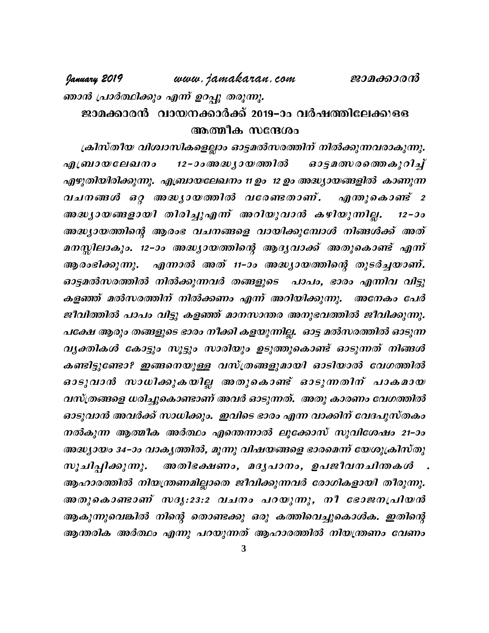# www.jamakaran.com

ഞാൻ പ്രാർത്ഥിക്കും എന്ന് ഉറപ്പു തരുന്നു.

January 2019

# ജാമക്കാരൻ വായനക്കാർക്ക് 2019–ാം വർഷത്തിലേക്കുള്ള അത്മീക സന്ദേശം

ക്രിസ്തീയ വിശ്വാസികളെല്ലാം ഓട്ടമൽസരത്തിന് നിൽക്കുന്നവരാകുന്നു. 12 – ാം അദ്ധ്യായത്തിൽ *ഓട്ടമത്സരത്തെകുറിച്ച്* എബ്രായലേഖനം എഴുതിയിരിക്കുന്നു. എബ്രായലേഖനം 11 ഉം 12 ഉം അദ്ധ്യായങ്ങളിൽ കാണുന്ന വചനങ്ങൾ ഒറ്റ അദ്ധ്യായത്തിൽ വരേണ്ടതാണ്. എന്തുകൊണ്ട് 2 അദ്ധ്യായങ്ങളായി തിരിച്ചുഎന്ന് അറിയുവാൻ കഴിയുന്നില്ല.  $12 - 30$ അദ്ധ്യായത്തിന്റെ ആരംഭ വചനങ്ങളെ വായിക്കുമ്പോൾ നിങ്ങൾക്ക് അത് മനസ്സിലാകും. 12-ാം അദ്ധ്യായത്തിന്റെ ആദ്യവാക്ക് അതുകൊണ്ട് എന്ന് ആരംഭിക്കുന്നു. എന്നാൽ അത് 11-ാം അദ്ധ്യായത്തിന്റെ തുടർച്ചയാണ്. ഓട്ടമൽസരത്തിൽ നിൽക്കുന്നവർ തങ്ങളുടെ പാപം, ഭാരം എന്നിവ വിട്ടു കളഞ്ഞ് മൽസരത്തിന് നിൽക്കണം എന്ന് അറിയിക്കുന്നു. അനേകം പേർ ജീവിത്തിൽ പാപം വിട്ടു കളഞ്ഞ് മാനസാന്തര അനുഭവത്തിൽ ജീവിക്കുന്നു. പക്ഷേ ആരും തങ്ങളുടെ ഭാരം നീക്കി കളയുന്നില്ല. ഓട്ട മൽസരത്തിൽ ഓടുന്ന വൃക്തികൾ കോട്ടും സൂട്ടും സാരിയും ഉടുത്തുകൊണ്ട് ഓടുന്നത് നിങ്ങൾ കണ്ടിട്ടുണ്ടോ? ഇങ്ങനെയുള്ള വസ്ത്രങ്ങളുമായി ഓടിയാൽ വേഗത്തിൽ ഓടുവാൻ സാധിക്കുകയില്ല അതുകൊണ്ട് ഓടുന്നതിന് പാകമായ വസ്ത്രങ്ങളെ ധരിച്ചുകൊണ്ടാണ് അവർ ഓടുന്നത്. അതു കാരണം വേഗത്തിൽ ഓടുവാൻ അവർക്ക് സാധിക്കും. ഇവിടെ ഭാരം എന്ന വാക്കിന് വേദപുസ്തകം നൽകുന്ന ആത്മീക അർത്ഥം എന്തെന്നാൽ ലൂക്കോസ് സുവിശേഷം 21–ാം അദ്ധ്യായം 34–ാം വാകൃത്തിൽ, മൂന്നു വിഷയങ്ങളെ ഭാരമെന്ന് യേശുക്രിസ്തു അതിഭക്ഷണം, മദൃപാനം, ഉപജീവനചിതകശ്" . സൂചിപ്പിക്കുന്നു. ആഹാരത്തിൽ നിയന്ത്രണമില്ലാതെ ജീവിക്കുന്നവർ രോഗികളായി തീരുന്നു. അതുകൊണ്ടാണ് സദൃ:23:2 വചനം പറയുന്നു, നീ ഭോജനപ്രിയൻ ആകുന്നുവെങ്കിൽ നിന്റെ തൊണ്ടക്കു ഒരു കത്തിവെച്ചുകൊൾക. ഇതിന്റെ ആന്തരിക അർത്ഥം എന്നു പറയുന്നത് ആഹാരത്തിൽ നിയന്ത്രണം വേണം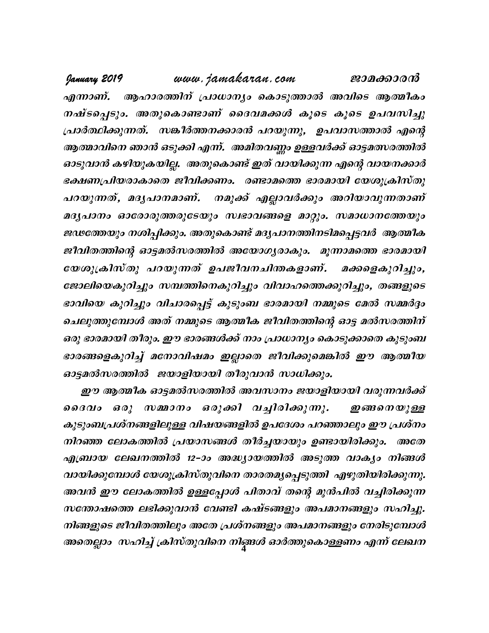www.jamakaran.com January 2019 ജാമക്കാരൻ എന്നാണ്. ആഹാരത്തിന് പ്രാധാന്യം കൊടുത്താൽ അവിടെ ആത്മീകം നഷ്ടപ്പെടും. അതുകൊണ്ടാണ് ദൈവമക്കൾ കൂടെ കൂടെ ഉപവസിച്ചു പ്രാർത്ഥിക്കുന്നത്. സങ്കീർത്തനക്കാരൻ പറയുന്നു, ഉപവാസത്താൽ എന്റെ ആത്മാവിനെ ഞാൻ ഒടുക്കി എന്ന്. അമിതവണ്ണം ഉള്ളവർക്ക് ഓട്ടമത്സരത്തിൽ ഓടുവാൻ കഴിയുകയില്ല. അതുകൊണ്ട് ഇത് വായിക്കുന്ന എന്റെ വായനക്കാർ ഭക്ഷണപ്രിയരാകാതെ ജീവിക്കണം. രണ്ടാമത്തെ ഭാരമായി യേശുക്രിസ്തു പറയുന്നത്, മദൃപാനമാണ്. നമുക്ക് എല്ലാവർക്കും അറിയാവുന്നതാണ് മദൃപാനം ഓരോരുത്തരുടേയും സ്വഭാവങ്ങളെ മാറ്റും. സമാധാനത്തേയും ജഢത്തേയും നശിപ്പിക്കും. അതുകൊണ്ട് മദൃപാനത്തിനടിമപ്പെട്ടവർ ആത്മീക ജീവിതത്തിന്റെ ഓട്ടമൽസരത്തിൽ അയോഗ്യരാകും. മൂന്നാമത്തെ ഭാരമായി യേശുക്രിസ്തു പറയുന്നത് ഉപജീവനചിന്തകളാണ്. മക്കളെകുറിച്ചും, ജോലിയെകുറിച്ചും സമ്പത്തിനെകുറിച്ചും വിവാഹത്തെക്കുറിച്ചും, തങ്ങളുടെ ഭാവിയെ കുറിച്ചും വിചാരപ്പെട്ട് കുടുംബ ഭാരമായി നമ്മുടെ മേൽ സമ്മർദ്ദം ചെലുത്തുമ്പോൾ അത് നമ്മുടെ ആത്മീക ജീവിതത്തിന്റെ ഓട്ട മൽസരത്തിന് ഒരു ഭാരമായി തീരും. ഈ ഭാരങ്ങൾക്ക് നാം പ്രാധാന്യം കൊടുക്കാതെ കുടുംബ ഭാരങ്ങളെകുറിച്ച് മനോവിഷമം ഇല്ലാതെ ജീവിക്കുമെങ്കിൽ ഈ ആത്മീയ ഓട്ടമൽസരത്തിൽ ജയാളിയായി തീരുവാൻ സാധിക്കും.

ഈ ആത്മീക ഓട്ടമൽസരത്തിൽ അവസാനം ജയാളിയായി വരുന്നവർക്ക് ദൈവം ഒരു സമ്മാനം ഒരുക്കി വച്ചിരിക്കുന്നു. *ഇങ്ങനെയുള്ള* കുടുംബപ്രശ്നങ്ങളിലുള്ള വിഷയങ്ങളിൽ ഉപദേശം പറഞ്ഞാലും ഈ പ്രശ്നം നിറഞ്ഞ ലോകത്തിൽ പ്രയാസങ്ങൾ തീർച്ചയായും ഉണ്ടായിരിക്കും. അതേ എബ്രായ ലേഖനത്തിൽ 12-ാം അദ്ധ്യായത്തിൽ അടുത്ത വാക്യം നിങ്ങൾ വായിക്കുമ്പോൾ യേശുക്രിസ്തുവിനെ താരതമൃപ്പെടുത്തി എഴുതിയിരിക്കുന്നു. അവൻ ഈ ലോകത്തിൽ ഉള്ളപ്പോൾ പിതാവ് തന്റെ മുൻപിൽ വച്ചിരിക്കുന്ന സതോഷത്തെ ലഭിക്കുവാൻ വേണ്ടി കഷ്ടങ്ങളും അപമാനങ്ങളും സഹിച്ചു. നിങ്ങളുടെ ജീവിതത്തിലും അതേ പ്രശ്നങ്ങളും അപമാനങ്ങളും നേരിടുമ്പോൾ അതെല്ലാം സഹിച്ച് ക്രിസ്തുവിനെ നിങ്ങൾ ഓർത്തുകൊള്ളണം എന്ന് ലേഖന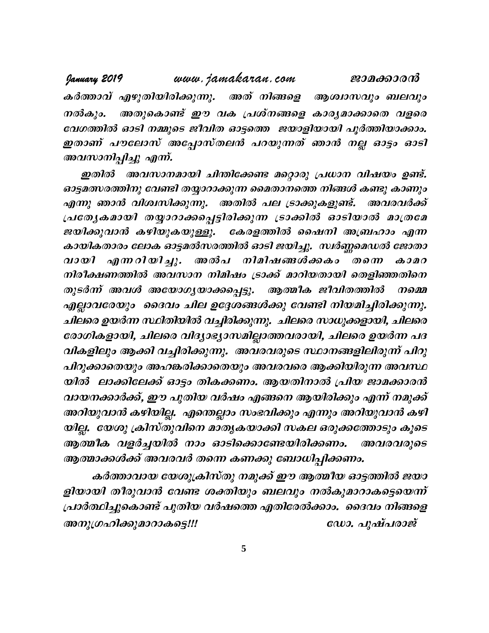www.jamakaran.com January 2019 ജാമക്കാരൻ കർത്താവ് എഴുതിയിരിക്കുന്നു. അത് നിങ്ങളെ ആശ്വാസവും ബലവും അതുകൊണ്ട് ഈ വക പ്രശ്നങ്ങളെ കാര്യമാക്കാതെ വളരെ നൽകും. വേഗത്തിൽ ഓടി നമ്മുടെ ജീവിത ഓട്ടത്തെ ജയാളിയായി പൂർത്തിയാക്കാം. ഇതാണ് പൗലോസ് അപ്പോസ്തലൻ പറയുന്നത് ഞാൻ നല്ല ഓട്ടം ഓടി അവസാനിപ്പിച്ചു എന്ന്.

ഇതിൽ അവസാനമായി ചിന്തിക്കേണ്ട മറ്റൊരു പ്രധാന വിഷയം ഉണ്ട്. ഓട്ടമത്സരത്തിനു വേണ്ടി തയ്യാറാക്കുന്ന മൈതാനത്തെ നിങ്ങൾ കണ്ടു കാണും എന്നു ഞാൻ വിശ്വസിക്കുന്നു. അതിൽ പല ട്രാക്കുകളുണ്ട്. അവരവർക്ക് പ്രത്യേകമായി തയ്യാറാക്കപ്പെട്ടിരിക്കുന്ന ട്രാക്കിൽ ഓടിയാൽ മാത്രമേ ജയിക്കുവാൻ കഴിയുകയുള്ളു. കേരളത്തിൽ ഷൈനി അബ്രഹാം എന്ന കായികതാരം ലോക ഓട്ടമൽസരത്തിൽ ഓടി ജയിച്ചു. സ്വർണ്ണമെഡൽ ജോതാ വായി എന്നറിയിച്ചു. അൽപ നിമിഷങ്ങൾക്കകം തന്നെ  $\boldsymbol{\omega}$ നിരീക്ഷണത്തിൽ അവസാന നിമിഷം ട്രാക്ക് മാറിയതായി തെളിഞ്ഞതിനെ ആത്മീക ജീവിതത്തിൽ തുടർന്ന് അവൾ അയോഗ്യയാക്കപ്പെട്ടു. നമ്മെ എല്ലാവരേയും ദൈവം ചില ഉദ്ദേശങ്ങൾക്കു വേണ്ടി നിയമിച്ചിരിക്കുന്നു. ചിലരെ ഉയർന്ന സ്ഥിതിയിൽ വച്ചിരിക്കുന്നു. ചിലരെ സാധുക്കളായി, ചിലരെ രോഗികളായി, ചിലരെ വിദ്യാഭ്യാസമില്ലാത്തവരായി, ചിലരെ ഉയർന്ന പദ വികളിലും ആക്കി വച്ചിരിക്കുന്നു. അവരവരുടെ സ്ഥാനങ്ങളിലിരുന്ന് പിറു പിറുക്കാതെയും അഹങ്കരിക്കാതെയും അവരവരെ ആക്കിയിരുന്ന അവസ്ഥ യിൽ ലാക്കിലേക്ക് ഓട്ടം തികക്കണം. ആയതിനാൽ പ്രിയ ജാമക്കാരൻ വായനക്കാർക്ക്, ഈ പുതിയ വർഷം എങ്ങനെ ആയിരിക്കും എന്ന് നമുക്ക് അറിയുവാൻ കഴിയില്ല. എന്തെല്ലാം സംഭവിക്കും എന്നും അറിയുവാൻ കഴി യില്ല. യേശു ക്രിസ്തുവിനെ മാതൃകയാക്കി സകല ഒരുക്കത്തോടും കൂടെ ആത്മീക വളർച്ചയിൽ നാം ഓടിക്കൊണ്ടേയിരിക്കണം. അവരവരുടെ ആത്മാക്കൾക്ക് അവരവർ തന്നെ കണക്കു ബോധിപ്പിക്കണം.

കർത്താവായ യേശുക്രിസ്തു നമുക്ക് ഈ ആത്മീയ ഓട്ടത്തിൽ ജയാ ളിയായി തീരുവാൻ വേണ്ട ശക്തിയും ബലവും നൽകുമാറാകട്ടെയെന്ന് പ്രാർത്ഥിച്ചുകൊണ്ട് പുതിയ വർഷത്തെ എതിരേൽക്കാം. ദൈവം നിങ്ങളെ അനുഗ്രഹിക്കുമാറാകട്ടെ!!! ഡോ. പുഷ്പരാജ്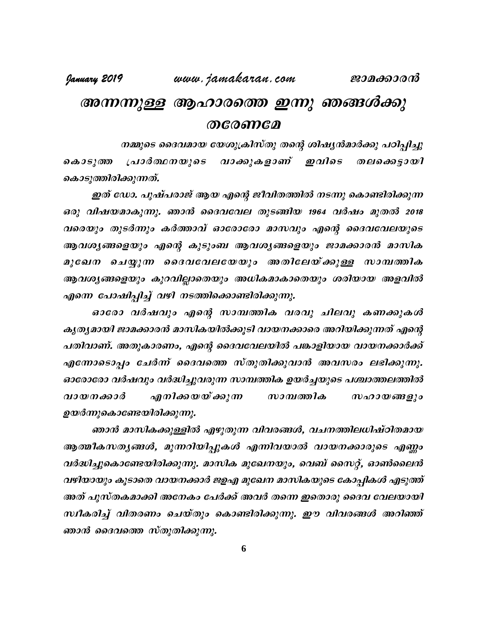# അന്നന്നുള്ള ആഹാരത്തെ ഇന്നു ഞങ്ങൾക്കു  $O^{0}$

നമ്മുടെ ദൈവമായ യേശുക്രിസ്തു തന്റെ ശിഷ്യൻമാർക്കു പഠിപ്പിച്ചു വാക്കുകളാണ് ഇവിടെ കൊടുത്ത പ്രാർത്ഥനയുടെ തലക്കെട്ടായി കൊടുത്തിരിക്കുന്നത്.

ഇത് ഡോ. പുഷ്പരാജ് ആയ എന്റെ ജീവിതത്തിൽ നടന്നു കൊണ്ടിരിക്കുന്ന ഒരു വിഷയമാകുന്നു. ഞാൻ ദൈവവേല തുടങ്ങിയ 1964 വർഷം മുതൽ 2018 വരെയും തുടർന്നും കർത്താവ് ഓരോരോ മാസവും എന്റെ ദൈവവേലയുടെ ആവശ്യങ്ങളെയും എന്റെ കുടുംബ ആവശ്യങ്ങളെയും ജാമക്കാരൻ മാസിക മുഖേന ചെയ്യുന്ന ദൈവവേലയേയും അതിലേയ്ക്കുള്ള സാമ്പത്തിക ആവശ്യങ്ങളെയും കുറവില്ലാതെയും അധികമാകാതെയും ശരിയായ അളവിൽ എന്നെ പോഷിപ്പിച്ച് വഴി നടത്തിക്കൊണ്ടിരിക്കുന്നു.

ഓരോ വർഷവും എന്റെ സാമ്പത്തിക വരവു ചിലവു കണക്കുകൾ കൃത്യമായി ജാമക്കാരൻ മാസികയിൽക്കൂടി വായനക്കാരെ അറിയിക്കുന്നത് എന്റെ പതിവാണ്. അതുകാരണം, എന്റെ ദൈവവേലയിൽ പങ്കാളിയായ വായനക്കാർക്ക് എന്നോടൊപ്പം ചേർന്ന് ദൈവത്തെ സ്തുതിക്കുവാൻ അവസരം ലഭിക്കുന്നു. ഓരോരോ വർഷവും വർദ്ധിച്ചുവരുന്ന സാമ്പത്തിക ഉയർച്ചയുടെ പശ്ചാത്തലത്തിൽ എനിക്കയയ്ക്കുന്ന വായനക്കാർ സാമ്പത്തിക  $w$ ഹായങ്ങളും ഉയർന്നുകൊണ്ടേയിരിക്കുന്നു.

ഞാൻ മാസികക്കുള്ളിൽ എഴുതുന്ന വിവരങ്ങൾ, വചനത്തിലധിഷ്ഠിതമായ ആത്മീകസതൃങ്ങൾ, മുന്നറിയിപ്പുകൾ എന്നിവയാൽ വായനക്കാരുടെ എണ്ണം വർദ്ധിച്ചുകൊണ്ടേയിരിക്കുന്നു. മാസിക മുഖേനയും, വെബ് സൈറ്റ്, ഓൺലൈൻ വഴിയായും കൂടാതെ വായനക്കാർ ജഉഎ മുഖേന മാസികയുടെ കോപ്പികൾ എടുത്ത് അത് പുസ്തകമാക്കി അനേകം പേർക്ക് അവർ തന്നെ ഇതൊരു ദൈവ വേലയായി സ്ഥീകരിച്ച് വിതരണം ചെയ്തും കൊണ്ടിരിക്കുന്നു. ഈ വിവരങ്ങൾ അറിഞ്ഞ് ഞാൻ ദൈവത്തെ സ്തുതിക്കുന്നു.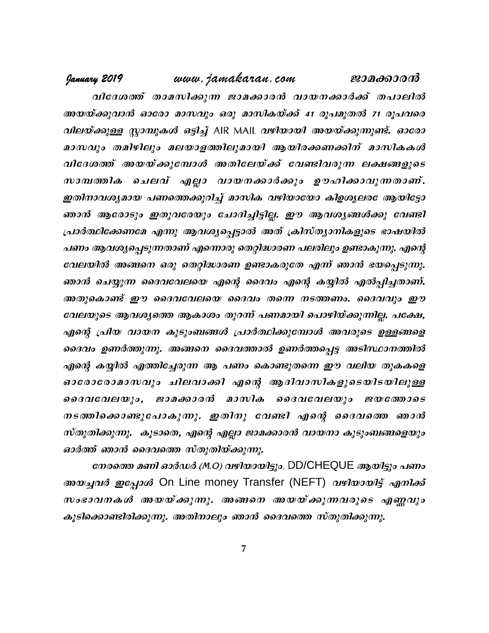www.jamakaran.com January 2019 ജാമക്കാരൻ

വിദേശത്ത് താമസിക്കുന്ന ജാമക്കാരൻ വായനക്കാർക്ക് തപാലിൽ അയയ്ക്കുവാൻ ഓരോ മാസവും ഒരു മാസികയ്ക്ക് 41 രൂപമുതൽ 71 രൂപവരെ *വിലയ്ക്കുള്ള സ്റ്റാമ്പുകൾ ഒട്ടിച്ച്* AIR MAIL *വഴിയായി അയയ്ക്കുന്നുണ്ട്. ഓരോ* മാസവും തമിഴിലും മലയാളത്തിലുമായി ആയിരക്കണക്കിന് മാസികകൾ വിദേശത്ത് അയയ്ക്കുമ്പോൾ അതിലേയ്ക്ക് വേണ്ടിവരുന്ന ലക്ഷങ്ങളുടെ സാമ്പത്തിക ചെലവ് എല്ലാ വായനക്കാർക്കും ഊഹിക്കാവുന്നതാണ്. ഇതിനാവശ്യമായ പണത്തെക്കുറിച്ച് മാസിക വഴിയായോ കിഉശ്യലര ആയിട്ടോ ഞാൻ ആരോടും ഇതുവരേയും ചോദിച്ചിട്ടില്ല. ഈ ആവശ്യങ്ങൾക്കു വേണ്ടി പ്രാർത്ഥിക്കേണമേ എന്നു ആവശ്യപ്പെട്ടാൽ അത് ക്രിസ്ത്യാനികളുടെ ഭാഷയിൽ പണം ആവശ്യപ്പെടുന്നതാണ് എന്നൊരു തെറ്റിദ്ധാരണ പലരിലും ഉണ്ടാകുന്നു. എന്റെ വേലയിൽ അങ്ങനെ ഒരു തെറ്റിദ്ധാരണ ഉണ്ടാകരുതേ എന്ന് ഞാൻ ഭയപ്പെടുന്നു. ഞാൻ ചെയ്യുന്ന ദൈവവേലയെ എന്റെ ദൈവം എന്റെ കയ്യിൽ എൽപ്പിച്ചതാണ്. അതുകൊണ്ട് ഈ ദൈവവേലയെ ദൈവം തന്നെ നടത്തണം. ദൈവവും ഈ വേലയുടെ ആവശ്യത്തെ ആകാശം തുറന്ന് പണമായി പൊഴിയ്ക്കുന്നില്ല. പക്ഷേ, എന്റെ പ്രിയ വായന കുടുംബങ്ങൾ പ്രാർത്ഥിക്കുമ്പോൾ അവരുടെ ഉള്ളങ്ങളെ ദൈവം ഉണർത്തുന്നു. അങ്ങനെ ദൈവത്താൽ ഉണർത്തപ്പെട്ട അടിസ്ഥാനത്തിൽ എന്റെ കയ്യിൽ എത്തിച്ചേരുന്ന ആ പണം കൊണ്ടുതന്നെ ഈ വലിയ തുകകളെ ഓരോരോമാസവും ചിലവാക്കി എന്റെ ആദിവാസികളുടെയിടയിലുള്ള ദൈവവേലയും, ജാമക്കാരൻ മാസിക ദൈവവേലയും ജയത്തോടെ നടത്തിക്കൊണ്ടുപോകുന്നു. ഇതിനു വേണ്ടി എന്റെ ദൈവത്തെ ഞാൻ സ്തുതിക്കുന്നു. കൂടാതെ, എന്റെ എല്ലാ ജാമക്കാരൻ വായനാ കൂടുംബങ്ങളെയും ഓർത്ത് ഞാൻ ദൈവത്തെ സ്തുതിയ്ക്കുന്നു.

നേരത്തെ മണി ഓർഡർ (M.O) വഴിയായിട്ടും. DD/CHEQUE ആയിട്ടും പണം *അയച്ചവർ ഇപ്പോൾ* On Line money Transfer (NEFT) *വഴിയായിട്ട് എനിക്ക്* സംഭാവനകൾ അയയ്ക്കുന്നു. അങ്ങനെ അയയ്ക്കുന്നവരുടെ എണ്ണവും കൂടിക്കൊണ്ടിരിക്കുന്നു. അതിനാലും ഞാൻ ദൈവത്തെ സ്തുതിക്കുന്നു.

 $\overline{7}$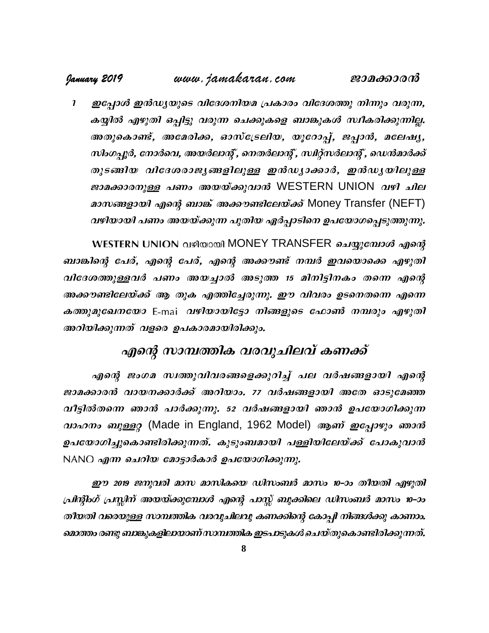#### www.jamakaran.com January 2019 ജാമക്കാരന്

ഇപ്പോൾ ഇൻഡ്യയുടെ വിദേശനിയമ പ്രകാരം വിദേശത്തു നിന്നും വരുന്ന,  $\mathbf{r}$ കയ്യിൽ എഴുതി ഒപ്പിട്ടു വരുന്ന ചെക്കുകളെ ബാങ്കുകൾ സ്ഥീകരിക്കുന്നില്ല. അതുകൊണ്ട്, അമേരിക്ക, ഓസ്ട്രേലിയ, യൂറോപ്പ്, ജപ്പാൻ, മലേഷ്യ, സിംഗച്ചർ, നോർവെ, അയർലാന്റ്, നെതർലാന്റ്, സ്ഥര്സർലാന്റ്, ഡെൻമാർക്ക് തുടങ്ങിയ വിദേശരാജ്യങ്ങളിലുള്ള ഇൻഡ്യാക്കാർ, ഇൻഡ്യയിലുള്ള *ജാമക്കാരനുള്ള പണം അയയ്ക്കുവാൻ* WESTERN UNION *വഴി ചില* മാസങ്ങളായി എന്റെ ബാങ്ക് അക്കൗണ്ടിലേയ്ക്ക് Money Transfer (NEFT) വഴിയായി പണം അയയ്ക്കുന്ന പുതിയ ഏർപ്പാടിനെ ഉപയോഗപ്പെടുത്തുന്നു.

WESTERN UNION വഴിയായി MONEY TRANSFER ചെയ്യുമ്പോൾ എന്റെ ബാങ്കിന്റെ പേര്, എന്റെ പേര്, എന്റെ അക്കൗണ്ട് നമ്പർ ഇവയൊക്കെ എഴുതി വിദേശത്തുള്ളവർ പണം അയച്ചാൽ അടുത്ത 15 മിനിട്ടിനകം തന്നെ എന്റെ അക്കൗണ്ടിലേയ്ക്ക് ആ തുക എത്തിച്ചേരുന്നു. ഈ വിവരം ഉടനെതന്നെ എന്നെ കത്തുമുഖേനയോ E-mai വഴിയായിട്ടോ നിങ്ങളുടെ ഫോൺ നമ്പരും എഴുതി അറിയിക്കുന്നത് വളരെ ഉപകാരമായിരിക്കും.

# എന്റെ സാമ്പത്തിക വരവുചിലവ് കണക്ക്

എന്റെ ജംഗമ സ്വത്തുവിവരങ്ങളെക്കുറിച്ച് പല വർഷങ്ങളായി എന്റെ ജാമക്കാരൻ വായനക്കാർക്ക് അറിയാം. 77 വർഷങ്ങളായി അതേ ഓടുമേഞ്ഞ വീട്ടിൽതന്നെ ഞാൻ പാർക്കുന്നു. 52 വർഷങ്ങളായി ഞാൻ ഉപയോഗിക്കുന്ന *വാഹനം ബുള്ളറ്റ* (Made in England, 1962 Model) ആണ് *ഇപ്പോഴും ഞാൻ* ഉപയോഗിച്ചുകൊണ്ടിരിക്കുന്നത്. കുടുംബമായി പള്ളിയിലേയ്ക്ക് പോകുവാൻ NANO എന്ന ചെറിയ മോട്ടാർകാർ ഉപയോഗിക്കുന്നു.

ഈ 2019 ജനുവരി മാസ മാസികയെ ഡിസംബർ മാസം 10–ാം തീയതി എഴുതി പ്രിന്റിംഗ് പ്രസ്കിന് അയയ്ക്കുമ്പോൾ എന്റെ പാസ്സ് ബുക്കിലെ ഡിസംബർ മാസം 10–ാം തീയതി വരെയുള്ള സാമ്പത്തിക വരവുചിലവു കണക്കിന്റെ കോപ്പി നിങ്ങൾക്കു കാണാം. മൊത്തം രണ്ടു ബാങ്കുകളിലായാണ് സാമ്പത്തിക ഇടപാടുകൾ ചെയ്തുകൊണ്ടിരിക്കുന്നത്.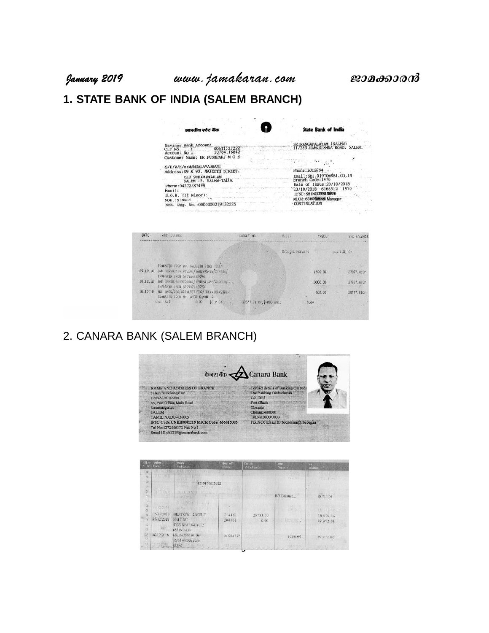# **1. STATE BANK OF INDIA (SALEM BRANCH)**

| भारतीय स्टेट बैंक                                                                                                                                    |                                | <b>State Bank of India</b>                                                                                                                                                    |
|------------------------------------------------------------------------------------------------------------------------------------------------------|--------------------------------|-------------------------------------------------------------------------------------------------------------------------------------------------------------------------------|
| Savings Bank Account<br>80611525258<br>CIF No<br>10764116842<br>Account No :<br>Customer Name: DR PUSHPARJ M G E                                     |                                | SKIKANGAPALAYAM (SALEM)<br>11/289. RAMKRISHNA ROAD, SALEM                                                                                                                     |
| S/D/W/H/o: MANGALAVADHANI<br>Address: 89 & 90. MAJEETH STREET.                                                                                       |                                | Phone: 2312794 .                                                                                                                                                              |
| OLD SURAMANGALAM<br>SALEM -5. SALEM-TALUK<br>Phone: 04272387499<br>Email:<br>$D.O.B.$ (11 Minor):<br>MOP.: SINGLE<br>Nom. Keg. No.: 0000000219132225 |                                | Email:SB1.01970@SB1.CO.1N<br>Branch Code: 1970<br>Date of 1ssue: 23/10/2018<br>1970<br>23/10/2018 6166512<br>1FSC: SBINOCKNED TOUT<br>MICK: 6360BBIRB Manager<br>CONTINUATION |
|                                                                                                                                                      | A children company in the late |                                                                                                                                                                               |
| PARTICUL DKS                                                                                                                                         | <b>CHEDIE NO</b>               | Cas.<br>CREDI !<br>END BALANCE                                                                                                                                                |
|                                                                                                                                                      |                                | Brought Forward<br>2557.01 Gr                                                                                                                                                 |

|          | TRANSFER FROM Nr. RAJEETH SING SELV                                          |                         |          |            |
|----------|------------------------------------------------------------------------------|-------------------------|----------|------------|
| 03.12.18 | TMB IMPS834301935507/8682995438/XX9936/<br>TRANSFER FROM 597964162094        |                         | 1500.00  | 27877.01Cr |
| 10.12.18 | (NB INPSB54409204461/9789B3139B/WX0015/C .<br>TRANSFER FROM 897952162090     |                         | 10000.00 | 37877.01Cr |
| 10.12:18 | INB IMPS/P2A/UA0119671309/XXXXXXXB42S61H<br>TRANSFER FROM Mr. ASTA KUMAR, R. |                         | 500.00   | 38377.01Cr |
|          | unci sal:<br>ICIr 8at:<br>0.00                                               | 38377.01 Cr; (+MOO BAL: | 0.00     |            |
|          |                                                                              |                         |          |            |

# 2. CANARA BANK (SALEM BRANCH)

DATE: . . . . . .



| नहीं ना<br>SENc. Date | जारोब      | दिव्यमा<br>Farbeulues                 | िल्ला भाईते<br>Chio. | निकासी<br>Withdrawals | <b>WHIT</b><br><b>Deposits</b> | शेष<br>35 ance |
|-----------------------|------------|---------------------------------------|----------------------|-----------------------|--------------------------------|----------------|
| 01                    |            | <b>INTELLIGENCER</b>                  |                      |                       | <b>Coffee ding</b>             | <b>AFT OF</b>  |
| $\overline{O2}$       |            |                                       |                      |                       | rijbi u                        | $x = 1000$     |
| $\alpha$<br>ia.       |            | 1219101013622                         |                      |                       |                                |                |
| öś<br>85              |            | (毛虫科) 电话数点<br>$-100$                  |                      |                       | B/F Balance                    | 68,711.06      |
| 117.                  |            |                                       |                      |                       |                                |                |
| 38                    | F 105214   | $L - L$ $(L, T, T)$<br><b>Address</b> |                      |                       |                                |                |
| $\frac{1}{\infty}$    |            | 第3年162 100 100 100 201                |                      |                       |                                | If Sillenes    |
| 70                    | 05/12/2018 | NEFTOW 2 MULT                         | 204461               | 29733.00              |                                | 38.975.06      |
| $\mathbb{Z}$          | 05/12/2018 | NEFT SC                               | 204461               | 6.00                  | <b>TO A CWITCHING</b>          | 38.972.06      |
| 10<br>ÝN.             |            | PLE NEFTS-B1812<br>V533973116         |                      |                       |                                |                |
| 18<br>ř               | 06/12/2018 | 14B 06709450-063<br>12/18 0-09361010  | 06584375             |                       | 1000.00                        | 39.972.06      |
| 16                    | U T AM     | 43396 1                               | 171, 782             |                       | <b>SEDITOR TEST</b>            | 10 千米七 日11     |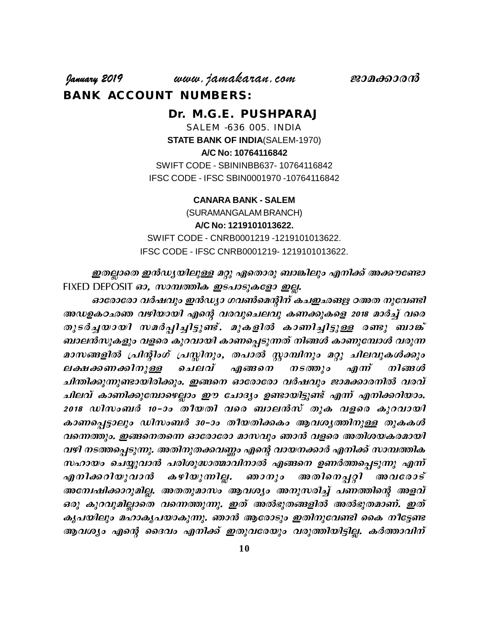**January 2019** www.jamakaran.com **Pma¡mc³ BANK ACCOUNT NUMBERS:**

> **Dr. M.G.E. PUSHPARAJ** SALEM -636 005. INDIA **STATE BANK OF INDIA**(SALEM-1970) **A/C No: 10764116842** SWIFT CODE - SBININBB637- 10764116842 IFSC CODE - IFSC SBIN0001970 -10764116842

## **CANARA BANK - SALEM**

(SURAMANGALAM BRANCH) **A/C No: 1219101013622.** SWIFT CODE - CNRB0001219 -1219101013622. IFSC CODE - IFSC CNRB0001219- 1219101013622.

ഇതല്ലാതെ ഇൻഡ്യയിലുള്ള മറ്റു ഏതൊരു ബാങ്കിലും എനിക്ക് അക്കൗണ്ടോ  $F$ IXED DEPOSIT  $a$ 3, സാമ്പത്തിക ഇടപാടുകളോ ഇല്ല.

ഓരോരോ വർഷവും ഇൻഡ്യാ ഗവൺമെന്റിന് കചഇഛങഋ ഠഅത നുവേണ്ടി അഡഉകഠഛഞ വഴിയായി എന്റെ വരവുചെലവു കണക്കുകളെ 2018 മാർച്ച് വരെ ഇതല്ലാതെ ഇൻഡ്യയിലുള്ള മറ്റു ഏതൊരു ബാങ്കിലും എനിക്ക് അക്കൗണ്ടോ<br>FIXED DEPOSIT ഓ, സാമ്പത്തിക ഇടപാടുകളോ ഇല്ല.<br>ഓരോരോ വർഷവും ഇൻഡ്യാ ഗവൺമെന്റിന് കചഇഛങ്ങള ഠഅത നുവേണ്ടി<br>അഡഉകഠഛഞ വഴിയായി എന്റെ വരവുചെലവു കണക്കുകളെ 2018 മാർച്ച് വരെ<br>തു ബാലൻസുകളും വളരെ കുറവായി കാണപ്പെടുന്നത് നിങ്ങൾ കാണുമ്പോൾ വരുന്ന ഓരോരോ വർഷവും ഇൻഡ്യാ ഗവൺമെന്റിന് കചഇഛങഋ ഠഅത നുവേണ്ടി<br>അഡഉകഠഛഞ വഴിയായി എന്റെ വരവുചെലവു കണക്കുകളെ 2018 മാർച്ച് വരെ<br>തുടർച്ചയായി സമർപ്പിച്ചിട്ടുണ്ട്. മുകളിൽ കാണിച്ചിട്ടുള്ള രണ്ടു ബാങ്ക്<br>ബാലൻസുകളും വളരെ കുറവായി കാണപ്പെടുന്നത് നി അഡഉകഠഛഞ വഴിയായി എന്റെ വരവുചെലവു കണക്കുകളെ 2018 മാർച്ച് വരെ<br>തുടർച്ചയായി സമർപ്പിച്ചിട്ടുണ്ട്. മുകളിൽ കാണിച്ചിട്ടുള്ള രണ്ടു ബാങ്ക്<br>ബാലൻസുകളും വളരെ കുറവായി കാണപ്പെടുന്നത് നിങ്ങൾ കാണുമ്പോൾ വരുന്ന<br>മാസങ്ങളിൽ പ്രിന്റിംഗ് പ്രസ്സിന ചിന്തിക്കുന്നുണ്ടായിരിക്കും. ഇങ്ങനെ ഓരോരോ വർഷവും ജാമക്കാരനിൽ വരവ് ചിലവ് കാണിക്കുമ്പോഴെല്ലാം ഈ ചോദ്യം ഉണ്ടായിട്ടുണ്ട് എന്ന് എനിക്കറിയാം. മാസങ്ങളിൽ പ്രിന്റിംഗ് പ്രസ്സിനും, തപാൽ സ്റ്റാമ്പിനും മറ്റു ചിലവുകൾക്കും<br>ലക്ഷക്കണക്കിനുള്ള ചെലവ് എങ്ങനെ നടത്തും എന്ന് നിങ്ങൾ<br>ചിന്തിക്കുന്നുണ്ടായിരിക്കും. ഇങ്ങനെ ഓരോരോ വർഷവും ജാമക്കാരനിൽ വരവ്<br>ചിലവ് കാണിക്കുമ്പോഴെല്ലാം ഈ ചോദ കാണപ്പെട്ടാലും ഡിസംബർ 30–ാം തീയതിക്കകം ആവശ്യത്തിനുള്ള തുകകൾ വന്നെത്തും. ഇങ്ങനെതന്നെ ഓരോരോ മാസവും ഞാൻ വളരെ അതിശയകരമായി വഴി നടത്തപ്പെടുന്നു. അതിനുതക്കവണ്ണം എന്റെ വായനക്കാർ എനിക്ക് സാമ്പത്തിക  $m$ ഹായം ചെയ്യുവാൻ പരിശുദ്ധാത്മാവിനാൽ എങ്ങനെ ഉണർത്തപ്പെടുന്നു എന്ന് കാണപ്പെട്ടാലും ഡിസംബർ 30-ാം തീയതിക്കകം ആവശ്യത്തിനുള്ള തുകകൾ<br>വന്നെത്തും. ഇങ്ങനെതന്നെ ഓരോരോ മാസവും ഞാൻ വളരെ അതിശയകരമായി<br>വഴി നടത്തപ്പെടുന്നു. അതിനുതക്കവണ്ണം എന്റെ വായനക്കാർ എനിക്ക് സാമ്പത്തിക<br>സഹായം ചെയ്യുവാൻ കഴിയുന്നില്ല. അമ്പേഷിക്കാറുമില്ല. അതതുമാസം ആവശ്യം അനുസരിച്ച് പണത്തിന്റെ അളവ് ഒരു കുറവുമില്ലാതെ വന്നെത്തുന്നു. ഇത് അൽഭുതങ്ങളിൽ അൽഭുതമാണ്. ഇത് കൃപയിലും മഹാകൃപയാകുന്നു. ഞാൻ ആരോടും ഇതിനുവേണ്ടി കൈ നീട്ടേണ്ട എനിക്കറിയുവാൻ കഴിയുന്നില്ല. ഞാനും അതിനെപ്പറ്റി അവരോട്<br>അന്വേഷിക്കാറുമില്ല. അതതുമാസം ആവശ്യം അനുസരിച്ച് പണത്തിന്റെ അളവ്<br>ഒരു കുറവുമില്ലാതെ വന്നെത്തുന്നു. ഇത് അൽഭുതങ്ങളിൽ അൽഭുതമാണ്. ഇത്<br>കൃപയിലും മഹാകൃപയാകുന്നു. ഞാൻ ആരോടും ഇതിന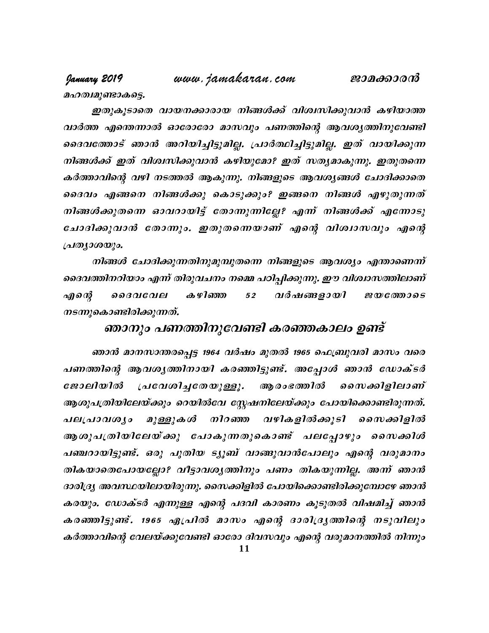# www.jamakaran.com

മഹത്വമുണ്ടാകട്ടെ.

January 2019

ഇതുകൂടാതെ വായനക്കാരായ നിങ്ങൾക്ക് വിശ്വസിക്കുവാൻ കഴിയാത്ത വാർത്ത എന്തെന്നാൽ ഓരോരോ മാസവും പണത്തിന്റെ ആവശൃത്തിനുവേണ്ടി ദൈവത്തോട് ഞാൻ അറിയിച്ചിട്ടുമില്ല. പ്രാർത്ഥിച്ചിട്ടുമില്ല. ഇത് വായിക്കുന്ന നിങ്ങൾക്ക് ഇത് വിശ്വസിക്കുവാൻ കഴിയുമോ? ഇത് സത്യമാകുന്നു. ഇതുതന്നെ കർത്താവിന്റെ വഴി നടത്തൽ ആകുന്നു. നിങ്ങളുടെ ആവശ്യങ്ങൾ ചോദിക്കാതെ ദൈവം എങ്ങനെ നിങ്ങൾക്കു കൊടുക്കും? ഇങ്ങനെ നിങ്ങൾ എഴുതുന്നത് നിങ്ങൾക്കുതന്നെ ഓവറായിട്ട് തോന്നുന്നില്ലേ? എന്ന് നിങ്ങൾക്ക് എന്നോടു ചോദിക്കുവാൻ തോന്നും. ഇതുതന്നെയാണ് എന്റെ വിശ്വാസവും എന്റെ  $\iota$ പതൃാശയും.

നിങ്ങൾ ചോദിക്കുന്നതിനുമുമ്പുതന്നെ നിങ്ങളുടെ ആവശ്യം എന്താണെന്ന് ദൈവത്തിനറിയാം എന്ന് തിരുവചനം നമ്മെ പഠിപ്പിക്കുന്നു. ഈ വിശ്വാസത്തിലാണ് **ക** ഴിഞ്ഞ എന്റെ ൈദവവേല 52 വർഷങ്ങളായി *ജയത്തോടെ* നടന്നുകൊണ്ടിരിക്കുന്നത്.

# ഞാനും പണത്തിനുവേണ്ടി കരഞ്ഞകാലം ഉണ്ട്

ഞാൻ മാനസാന്തരപ്പെട്ട 1964 വർഷം മുതൽ 1965 ഫെബ്രുവരി മാസം വരെ പണത്തിന്റെ ആവശ്യത്തിനായി കരഞ്ഞിട്ടുണ്ട്. അപ്പോൾ ഞാൻ ഡോക്ടർ ആ രംഭത്തിൽ ജോലിയിൽ പ്രവേശിച്ചതേയുള്ളൂ. ഗൈക്കിളിലാണ് ആശുപത്രിയിലേയ്ക്കും റെയിൽവേ സ്റ്റേഷനിലേയ്ക്കും പോയിക്കൊണ്ടിരുന്നത്. പലപ്രാവശൃം മുള്ളുകൾ നിറഞ്ഞ വഴികളിൽക്കൂടി സൈക്കിളിൽ ആശുപത്രിയിലേയ്ക്കു പോകുന്നതുകൊണ്ട് പലപ്പോഴും സൈക്കിൾ പഞ്ചറായിട്ടുണ്ട്. ഒരു പുതിയ ട്യൂബ് വാങ്ങുവാൻപോലും എന്റെ വരുമാനം തികയാതെപോയല്ലോ? വീട്ടാവശൃത്തിനും പണം തികയുന്നില്ല. അന്ന് ഞാൻ ദാരിദ്ര്യ അവസ്ഥയിലായിരുന്നു. സൈക്കിളിൽ പോയിക്കൊണ്ടിരിക്കുമ്പോഴേ ഞാൻ കരയും. ഡോക്ടർ എന്നുള്ള എന്റെ പദവി കാരണം കൂടുതൽ വിഷമിച്ച് ഞാൻ കരഞ്ഞിട്ടുണ്ട്. 1965 ഏപ്രിൽ മാസം എന്റെ ദാരിദ്രൃത്തിന്റെ നടുവിലും കർത്താവിന്റെ വേലയ്ക്കുവേണ്ടി ഓരോ ദിവസവും എന്റെ വരുമാനത്തിൽ നിന്നും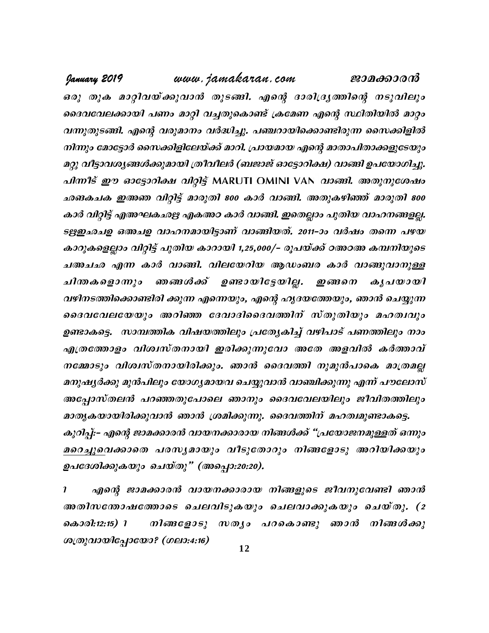www.jamakaran.com January 2019 ജാമക്കാരൻ ഒരു തുക മാറ്റിവയ്ക്കുവാൻ തുടങ്ങി. എന്റെ ദാരിദ്ര്യത്തിന്റെ നടുവിലും ദൈവവേലക്കായി പണം മാറ്റി വച്ചതുകൊണ്ട് ക്രമേണ എന്റെ സ്ഥിതിയിൽ മാറ്റം വന്നുതുടങ്ങി. എന്റെ വരുമാനം വർദ്ധിച്ചു. പഞ്ചറായിക്കൊണ്ടിരുന്ന സൈക്കിളിൽ നിന്നും മോട്ടോർ സൈക്കിളിലേയ്ക്ക് മാറി. പ്രായമായ എന്റെ മാതാപിതാക്കളുടേയും മറ്റു വീട്ടാവശ്യങ്ങൾക്കുമായി ത്രീവീലർ (ബജാജ് ഓട്ടോറിക്ഷ) വാങ്ങി ഉപയോഗിച്ചു. പിന്നീട് ഈ ഓട്ടോറിക്ഷ വിറ്റിട്ട് MARUTI OMINI VAN വാങ്ങി. അതുനുശേഷം ഛങകചക ഇഅഞ വിറ്റിട്ട് മാരുതി 800 കാർ വാങ്ങി. അതുകഴിഞ്ഞ് മാരുതി 800 കാർ വിറ്റിട്ട് എഅഘകഛഋ എകഅഠ കാർ വാങ്ങി. ഇതെല്ലാം പുതിയ വാഹനങ്ങളല്ല. ടഋഇഛചഉ ഒഅചഉ വാഹനമായിട്ടാണ് വാങ്ങിയത്. 2011-ാം വർഷം തന്നെ പഴയ കാറുകളെല്ലാം വിറ്റിട്ട് പുതിയ കാറായി 1,25,000/– രൂപയ്ക്ക് ഠഅഠഅ കമ്പനിയുടെ ചഅചഛ എന്ന കാർ വാങ്ങി. വിലയേറിയ ആഡംബര കാർ വാങ്ങുവാനുള്ള ചിന്തകളൊന്നും ഞങ്ങൾക്ക് ഉണ്ടായിട്ടേയില്ല. ഇങ്ങനെ കൃപയായി വഴിനടത്തിക്കൊണ്ടിരി ക്കുന്ന എന്നെയും, എന്റെ ഹൃദയത്തേയും, ഞാൻ ചെയ്യുന്ന ദൈവവേലയേയും അറിഞ്ഞ ദേവാദിദൈവത്തിന് സ്തുതിയും മഹത്വവും ഉണ്ടാകട്ടെ. സാമ്പത്തിക വിഷയത്തിലും പ്രത്യേകിച്ച് വഴിപാട് പണത്തിലും നാം എത്രത്തോളം വിശ്വസ്തനായി ഇരിക്കുന്നുവോ അതേ അളവിൽ കർത്താവ് നമ്മോടും വിശ്വസ്തനായിരിക്കും. ഞാൻ ദൈവത്തി നുമുൻപാകെ മാത്രമല്ല മനുഷ്യർക്കു മുൻപിലും യോഗ്യമായവ ചെയ്യുവാൻ വാഞ്ചിക്കുന്നു എന്ന് പൗലോസ് അപ്പോസ്തലൻ പറഞ്ഞതുപോലെ ഞാനും ദൈവവേലയിലും ജീവിതത്തിലും മാതൃകയായിരിക്കുവാൻ ഞാൻ ശ്രമിക്കുന്നു. ദൈവത്തിന് മഹത്വമുണ്ടാകട്ടെ. കുറിച്ച്:- എന്റെ ജാമക്കാരൻ വായനക്കാരായ നിങ്ങൾക്ക് "പ്രയോജനമുള്ളത് ഒന്നും മറെച്ചുവെക്കാതെ പരസ്യമായും വീടുതോറും നിങ്ങളോടു അറിയിക്കയും ഉപദേശിക്കുകയും ചെയ്തു" (അപ്പൊ:20:20).

 $\boldsymbol{\eta}$ എന്റെ ജാമക്കാരൻ വായനക്കാരായ നിങ്ങളുടെ ജീവനുവേണ്ടി ഞാൻ അതിസതോഷത്തോടെ ചെലവിടുകയും ചെലവാക്കുകയും ചെയ്തു. (2 നിങ്ങളോടു സതൃം പറകൊണ്ടു ഞാൻ നിങ്ങൾക്കു കൊരി:12:15) 1 ശത്രുവായിപ്പോയോ? (ഗലാ:4:16)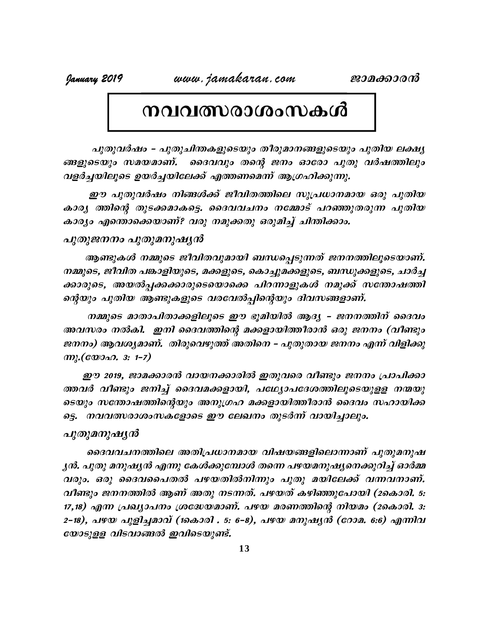# നവവത്സരാശംസകൾ

പുതുവർഷം - പുതുചിന്തകളുടെയും തീരുമാനങ്ങളുടെയും പുതിയ ലക്ഷ്യ ങ്ങളുടെയും സമയമാണ്. ദൈവവും തന്റെ ജനം ഓരോ പുതു വർഷത്തിലും വളർച്ചയിലൂടെ ഉയർച്ചയിലേക്ക് എത്തണമെന്ന് ആഗ്രഹിക്കുന്നു.

ഈ പുതുവർഷം നിങ്ങൾക്ക് ജീവിതത്തിലെ സുപ്രധാനമായ ഒരു പുതിയ കാര്യ ത്തിന്റെ തുടക്കമാകട്ടെ. ദൈവവചനം നമ്മോട് പറഞ്ഞുതരുന്ന പുതിയ കാര്യം എന്തൊക്കെയാണ്? വരു നമുക്കതു ഒരുമിച്ച് ചിന്തിക്കാം.

## പുതുജനനം പുതുമനുഷ്യൻ

ആണ്ടുകൾ നമ്മുടെ ജീവിതവുമായി ബന്ധപ്പെടുന്നത് ജനനത്തിലൂടെയാണ്. നമ്മുടെ, ജീവിത പങ്കാളിയുടെ, മക്കളുടെ, കൊച്ചുമക്കളുടെ, ബന്ധുക്കളുടെ, ചാർച്ച ക്കാരുടെ, അയൽപ്പക്കക്കാരുടെയൊക്കെ പിറന്നാളുകൾ നമുക്ക് സന്തോഷത്തി ന്റെയും പുതിയ ആണ്ടുകളുടെ വരവേൽപ്പിന്റെയും ദിവസങ്ങളാണ്.

നമ്മുടെ മാതാപിതാക്കളിലൂടെ ഈ ഭൂമിയിൽ ആദ്യ – ജനനത്തിന് ദൈവം അവസരം നൽകി. ഇനി ദൈവത്തിന്റെ മക്കളായിത്തീരാൻ ഒരു ജനനം (വീണ്ടും ജനനം) ആവശ്യമാണ്. തിരുവെഴുത്ത് അതിനെ – പുതുതായ ജനനം എന്ന് വിളിക്കു  $m$ ,  $(cw$  $a$  $a$ ,  $s$ :  $t-7$ )

ഈ 2019, ജാമക്കാരൻ വായനക്കാരിൽ ഇതുവരെ വീണ്ടും ജനനം പ്രാപിക്കാ ത്തവർ വീണ്ടും ജനിച്ച് ദൈവമക്കളായി, പഥ്യോപദേശത്തിലൂടെയുളള നന്മയു ടെയും സന്തോഷത്തിന്റെയും അനുഗ്രഹ മക്കളായിത്തീരാൻ ദൈവം സഹായിക്ക ട്ടെ. നവവത്സരാശംസകളോടെ ഈ ലേഖനം തുടർന്ന് വായിച്ചാലും.

## പുതുമനുഷ്യൻ

ദൈവവചനത്തിലെ അതിപ്രധാനമായ വിഷയങ്ങളിലൊന്നാണ് പുതുമനുഷ ൃൻ. പുതു മനുഷ്യൻ എന്നു കേൾക്കുമ്പോൾ തന്നെ പഴയമനുഷ്യനെക്കുറിച്ച് ഓർമ്മ വരും. ഒരു ദൈവപൈതൽ പഴയതിൽനിന്നും പുതു മയിലേക്ക് വന്നവനാണ്. വീണ്ടും ജനനത്തിൽ ആണ് അതു നടന്നത്. പഴയത് കഴിഞ്ഞുപോയി (2കൊരി. 5: 17,18) എന്ന പ്രഖ്യാപനം ശ്രദ്ധേയമാണ്. പഴയ മരണത്തിന്റെ നിയമം (2കൊരി. 3: 2-18), പഴയ പുളിച്ചമാവ് (1കൊരി . 5: 6-8), പഴയ മനുഷ്യൻ (റോമ. 6:6) എന്നിവ യോടുളള വിടവാങ്ങൽ ഇവിടെയുണ്ട്.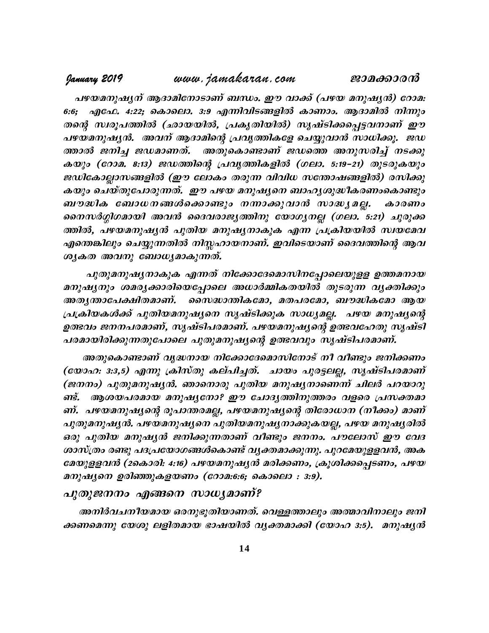പഴയമനുഷൃന് ആദാമിനോടാണ് ബന്ധം. ഈ വാക്ക് (പഴയ മനുഷൃൻ) റോമ: 6:6; എഫേ. 4:22; കൊലൊ. 3:9 എന്നിവിടങ്ങളിൽ കാണാം. ആദാമിൽ നിന്നും Xsâ kz -cq -] -¯n (Om -b -bnÂ, {]Ir -Xn -bnÂ) krj vSn -¡ -s¸ -« -h-\mWv Cu പഴയമനുഷ്യൻ. അവന് ആദാമിന്റെ പ്രവൃത്തികളേ ചെയ്യുവാൻ സാധിക്കൂ. ജഡ പഴയമനുഷ്യന് ആദാമിനോടാണ് ബന്ധം. ഈ വാക്ക് (പഴയ മനുഷ്യൻ) റോമ:<br>6:6; എഫേ. 4:22; കൊലൊ. 3:9 എന്നിവിടങ്ങളിൽ കാണാം. ആദാമിൽ നിന്നും<br>തന്റെ സ്വരൂപത്തിൽ (ഛായയിൽ, പ്രകൃതിയിൽ) സൃഷ്ടിക്കപ്പെട്ടവനാണ് ഈ<br>പഴയമനുഷ്യൻ. അവന് ആദാമിന്റെ പ്രവൃത് 6:6; എഫേ. 4:22; കൊലൊ. 3:9 എന്നിവിടങ്ങളിൽ കാണാം. ആദാമിൽ നിന്നും<br>തന്റെ സ്ഥൂപത്തിൽ (ഛായയിൽ, പ്രകൃതിയിൽ) സൃഷ്ടിക്കപ്പെട്ടവനാണ് ഈ<br>പഴയമനുഷ്യർ. അവന് ആദാമിന്റെ പ്രവൃത്തികളേ ചെയ്യുവാൻ സാധിക്കൂ. ജഡ<br>ത്താൽ ജനിച്ച ജഡമാണത്. അതുകൊണ്ടാണ ജഡികോല്ലാസങ്ങളിൽ (ഈ ലോകം തരുന്ന വിവിധ സത്തോഷങ്ങളിൽ) രസിക്കു കയും ചെയ്തുപോരുന്നത്. ഈ പഴയ മനുഷ്യനെ ബാഹ്യശുദ്ധീകരണംകൊണ്ടും ത്താൽ ജനിച്ച ജഡമാണത്. അതുകൊണ്ടാണ് ജഡത്തെ അനുസരിച്ച് നടക്കു<br>കയും (റോമ. 8:13) ജഡത്തിന്റെ പ്രവൃത്തികളിൽ (ഗലാ. 5:19-21) തുടരുകയും<br>ജഡികോല്ലാസങ്ങളിൽ (ഈ ലോകം തരുന്ന വിവിധ സന്തോഷങ്ങളിൽ) രസിക്കു<br>കയും ചെയ്തുപോരുന്നത്. ഈ പഴയ മനുഷ്യ കയും (റോമ. 8:13) ജഡത്തിന്റെ പ്രവൃത്തികളിൽ (ഗലാ. 5:19-21) തുടരുകയും<br>ജഡികോല്ലാസങ്ങളിൽ (ഈ ലോകം തരുന്ന വിവിധ സന്തോഷങ്ങളിൽ) രസിക്കു<br>കയും ചെയ്തുപോരുന്നത്. ഈ പഴയ മനുഷ്യനെ ബാഹൃശുദ്ധീകരണംകൊണ്ടും<br>ബൗദ്ധിക ബോധനങ്ങൾക്കൊണ്ടും നന്നാക്കു എന്തെങ്കിലും ചെയ്യുന്നതിൽ നിസ്സഹായനാണ്. ഇവിടെയാണ് ദൈവത്തിന്റെ ആവ ശൃകത അവനു ബോധ്യമാകുന്നത്.

പുതുമനുഷ്യനാകുക എന്നത് നിക്കോദേമൊസിനപ്പോലെയുളള ഉത്തമനായ രത്തര, പഴയമനുഷൃശ പുത്രയ മനുഷൃനാകുക എന്ന പ്രക്രിയയരാ സ്ഥയമവ<br>എന്തെങ്കിലും ചെയ്യുന്നതിൽ നിസ്തഹായനാണ്. ഇവിടെയാണ് ദൈവത്തിന്റെ ആവ<br>ശൃകത അവനു ബോധ്യമാകുന്നത്.<br>മനുഷൃനും ശമരൃക്കാരിയെപ്പോലെ അധാർമ്മികതയിൽ തുടരുന്ന വൃക്തിക്കും<br>അതൃന്താപ **AX-y-´m-t] -£n -X-am -Wv.** ssk²m -´n -I -tam, aX-]-ctam, \_u²n -Itam Bb പ്രക്രിയകൾക്ക് പുതിയമനുഷ്യനെ സൃഷ്ടിക്കുക സാധ്യമല്ല. പഴയ മനുഷ്യന്റെ DÛhw P\-\-]-c-am-Wv, krjvSn-]-c-am-Wv. **]g-b-a-\p-j-ysâ DÛ-h-tlXp krjvSn-** പരമായിരിക്കുന്നതുപോലെ പുതുമനുഷ്യന്റെ ഉത്ഭവവും സൃഷ്ടിപരമാണ്.

അതുകൊണ്ടാണ് വൃദ്ധനായ നിക്കോദേമൊസിനോട് നീ വീണ്ടും ജനിക്കണം (യോഹ: 3:3,5) എന്നു ക്രിസ്തു കല്പിച്ചത്. ചായം പുരട്ടലല്ല, സൃഷ്ടിപരമാണ്  $\mathcal{L}(\mathcal{B}(mn_o)$  പുതുമനുഷ്യൻ. ഞാനൊരു പുതിയ മനുഷ്യനാണെന്ന് ചിലർ പറയാറു പരമായരക്കുന്നതുപോലെ പുതുമനുഷ്യന്റെ ഉരഭവവും സൃഷടപരമാണ.<br>- അതുകൊണ്ടാണ് വൃദ്ധനായ നിക്കോദേമൊസിനോട് നീ വീണ്ടും ജനിക്കണം<br>(യോഹ: 3:3,5) എന്നു ക്രിസ്തു കല്പിച്ചത്. ചായം പുരട്ടലല്ല, സൃഷ്ടിപരമാണ്<br>(ജനനം) പുതുമനുഷ്യൻ. ഞാനൊരു പുതിയ മനു ണ്. പഴയമനുഷ്യന്റെ രൂപാന്തരമല്ല, പഴയമനുഷ്യന്റെ തിരോധാന (നീക്കം) മാണ് പുതുമനുഷ്യൻ. പഴയമനുഷ്യനെ പുതിയമനുഷ്യനാക്കുകയല്ല, പഴയ മനുഷ്യരിൽ ഒരു പുതിയ മനുഷ്യൻ ജനിക്കുന്നതാണ് വീണ്ടും ജനനം. പൗലോസ് ഈ വേദ ശാസ്ത്രം രണ്ടു പദപ്രയോഗങ്ങൾകൊണ്ട് വൃക്തമാക്കുന്നു. പുറമേയുളളവൻ, അക ണ്. പഴയമനുഷ്യന്റെ രൂപാന്തരമല്ല, പഴയമനുഷ്യന്റെ തിരോധാന (നീക്കം) മാണ്<br>പുതുമനുഷ്യൻ. പഴയമനുഷ്യനെ പുതിയമനുഷ്യനാക്കുകയല്ല, പഴയ മനുഷ്യരിൽ<br>ഒരു പുതിയ മനുഷ്യൻ ജനിക്കുന്നതാണ് വീണ്ടും ജനനം. പൗലോസ് ഈ വേദ<br>ശാസ്ത്രം രണ്ടു പദപ്രയോഗങ്ങൾകൊണ മനുഷ്യനെ ഉരിഞ്ഞുകളയണം (റോമ:6:6; കൊലൊ  $: 3:9$ ).

## പുതുജനനം എങ്ങനെ സാധ്യമാണ്?

അനിർവചനീയമായ ഒരനുഭൂതിയാണത്. വെള്ളത്താലും അത്മാവിനാലും ജനി ക്കണമെന്നു യേശു ലളിതമായ ഭാഷയിൽ വൃക്തമാക്കി (യോഹ 3:5). മനുഷൃൻ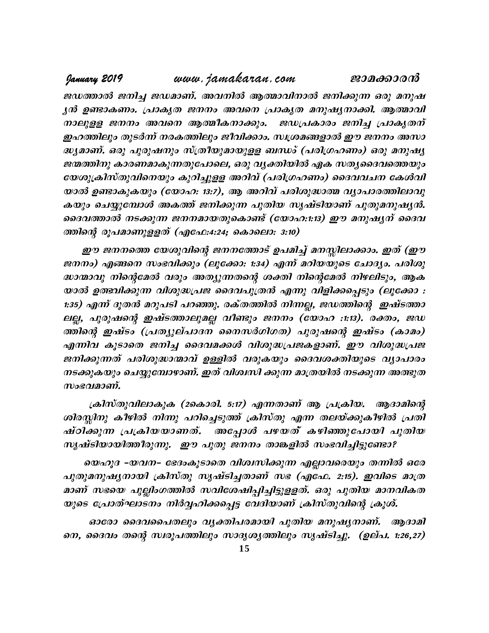ജഡത്താൽ ജനിച്ച ജഡമാണ്. അവനിൽ ആത്മാവിനാൽ ജനിക്കുന്ന ഒരു മനുഷ ൃൻ ഉണ്ടാകണം. പ്രാകൃത ജനനം അവനെ പ്രാകൃത മനുഷൃനാക്കി. ആത്മാവി \m-ep-ff P\\w Ahs\ Bßo -I -\m -¡pw. PU -{]Imcw P\n¨ {]mIr -X\ v ഇഹത്തിലും തുടർന്ന് നരകത്തിലും ജീവിക്കാം. സ്വശ്രമങ്ങളാൽ ഈ ജനനം അസാ ദ്ധ്യമാണ്. ഒരു പുരുഷനും സ്ത്രീയുമായുളള ബന്ധം് (പരിഗ്രഹണം) ഒരു മനുഷ്യ ജന്മത്തിനു കാരണമാകുന്നതുപോലെ, ഒരു വൃക്തിയിൽ ഏക സതൃദൈവത്തെയും യേശുക്രിസ്തുവിനെയും കുറിച്ചുളള അറിവ് (പരിഗ്രഹണം) ദൈവവചന കേൾവി യാൽ ഉണ്ടാകുകയും (യോഹ: 13:7), ആ അറിവ് പരിശുദ്ധാത്മ വ്യാപാരത്തിലാവു കയും ചെയ്യുമ്പോൾ അകത്ത് ജനിക്കുന്ന പുതിയ സൃഷ്ടിയാണ് പുതുമനുഷ്യൻ. ദെവത്താൽ നടക്കുന്ന ജനനമായതുകൊണ്ട് (യോഹ:1:13) ഈ മനുഷൃന് ദൈവ ത്തിന്റെ രൂപമാണുളളത് (എഫേ:4:24; കൊലൊ: 3:10)

ഈ ജനനത്തെ യേശുവിന്റെ ജനനത്തോട് ഉപമിച്ച് മനസ്സിലാക്കാം. ഇത് (ഈ ജനനം) എങ്ങനെ സംഭവിക്കും (ലൂക്കോ: 1:34) എന്ന് മറിയയുടെ ചോദ്യം. പരിശു ദ്ധാന്മാവു നിന്റെമേൽ വരും അത്യുന്നതന്റെ ശക്തി നിന്റെമേൽ നിഴലിടും, ആക യാൽ ഉത്ഭവിക്കുന്ന വിശുദ്ധപ്രജ ദൈവപുത്രൻ എന്നു വിളിക്കപ്പെടും (ലൂക്കോ : 1:35) എന്ന് ദൂതൻ മറുപടി പറഞ്ഞു. രക്തത്തിൽ നിന്നല്ല, ജഡത്തിന്റെ ഇഷ്ടത്താ ലല്ല, പുരുഷന്റെ ഇഷ്ടത്താലുമല്ല വീണ്ടും ജനനം (യോഹ :1:13). രക്തം, ജഡ ദ്ധാന്മാവു നിന്റെമേൽ വരും അത്യുന്നതന്റെ ശക്തി നിന്റെമേൽ നിഴലിടും, ആക<br>യാൽ ഉത്ഭവിക്കുന്ന വിശുദ്ധപ്രജ ദൈവപുത്രൻ എന്നു വിളിക്കപ്പെടും (ലൂക്കോ :<br>1:35) എന്ന് ദൂതൻ മറുപടി പറഞ്ഞു. രക്തത്തിൽ നിന്നല്ല, ജഡത്തിന്റെ ഇഷ്ടത്താ<br>ലല്ല, പുര യാൽ ഉത്ഭവിക്കുന്ന വിശുദ്ധ്യപജ ദൈവപുത്രൻ എന്നു വിളിക്കപ്പെടും (ലൂക്കോ :<br>1:35) എന്ന് ദൂതൻ മറുപടി പറഞ്ഞു. രക്തത്തിൽ നിന്നല്ല, ജഡത്തിന്റെ ഇഷ്ടത്താ<br>ലല്ല, പുരുഷന്റെ ഇഷ്ടത്താലുമല്ല വീണ്ടും ജനനം (യോഹ :1:13). രക്തം, ജഡ<br>ത്തിന്റെ ഇഷ 1:35) എന്ന് ദൂതൻ മറുപടി പറഞ്ഞു. രക്തത്തിൽ നിന്നല്ല, ജഡത്തിന്റെ ഇഷ്ടത്താ<br>ലല്ല, പുരുഷന്റെ ഇഷ്ടത്താലുമല്ല വീണ്ടും ജനനം (യോഹ :1:13). രക്തം, ജഡ<br>ത്തിന്റെ ഇഷ്ടം (പ്രത്യുല്പാദന നൈസർഗിഗത) പുരുഷന്റെ ഇഷ്ടം (കാമം)<br>എന്നിവ കൂടാതെ ജനി നടക്കുകയും ചെയ്യുമ്പോഴാണ്. ഇത് വിശ്വസി ക്കുന്ന മാത്രയിൽ നടക്കുന്ന അത്ഭുത ത്തിന്റെ ഇഷ്ടം (പ്രത്യുദ<br>എന്നിവ കൂടാതെ ജനിച്ച<br>ജനിക്കുന്നത് പരിശുദ്ധാര<br>നടക്കുകയും ചെയ്യുമ്പോഴ<br>സംഭവമാണ്.<br>ശിരസിനു കീഴിൽ നിന്നു

 $(a$ കിസ്തുവിലാകുക (2കൊരി. 5:17) എന്നതാണ് ആ പ്രക്രിയ. ആദാമിന്റെ ശിരസ്സിനു കീഴിൽ നിന്നു പറിച്ചെടുത്ത് ക്രിസ്തു എന്ന തലയ്ക്കുകീഴിൽ പ്രതി നടക്കുകയും ചെയ്യുമൊഴാണ. ഇത് വര്ണന് ക്കുന്ന മാത്രയിരെ നടക്കുന്ന അരഭൂത<br>സംഭവമാണ്.<br>ശ്രീസ്തുവിലാകുക (2കൊരി. 5:17) എന്നതാണ് ആ പ്രക്രിയ. ആദാമിന്റെ<br>ശിരസ്സിനു കീഴിൽ നിന്നു പറിച്ചെടുത്ത് ക്രിസ്തു എന്ന തലയ്ക്കുകീഴിൽ പ്രതി<br>ഷ്ഠിക്കുന്  $m_k$ ഷ്ടിയായിത്തീരുന്നു. ഈ പുതു ജനനം താങ്കളിൽ സംഭവിച്ചിട്ടുണ്ടോ?

യെഹൂദ –യവന– ഭേദംകൂടാതെ വിശ്വസിക്കുന്ന എല്ലാവരെയും തന്നിൽ ഒരേ പുതുമനുഷൃനായി ക്രിസ്തു സൃഷ്ടിച്ചതാണ് സഭ (എഫേ. 2:15). ഇവിടെ മാത്ര മാണ് സഭയെ പുല്ലിംഗത്തിൽ സവിശേഷിപ്പിച്ചിട്ടുളളത്. ഒരു പുതിയ മാനവികത യുടെ പ്രോത്ഘാടനം നിർവ്വഹിക്കപ്പെട്ട വേദിയാണ് ക്രിസ്തുവിന്റെ ക്രൂശ്.

ഓരോ ദൈവപൈതലും വൃക്തിപരമായി പുതിയ മനുഷൃനാണ്. ആദാമി നെ, ദൈവം തന്റെ സ്ഥൂപത്തിലും സാദൃശ്യത്തിലും സൃഷ്ടിച്ചു. (ഉല്പ. 1:26,27)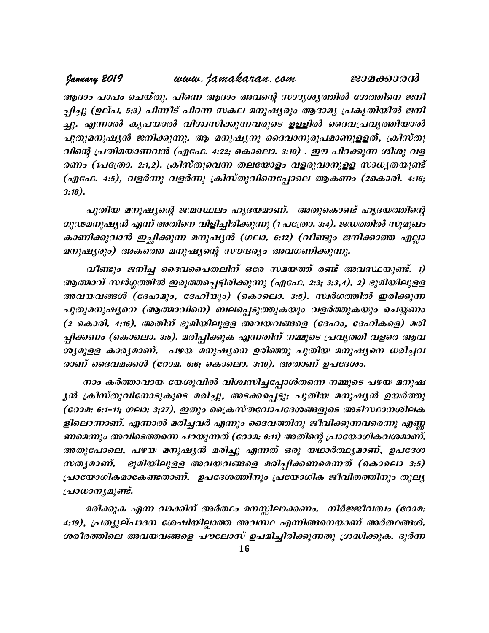ആദാം പാപം ചെയ്തു. പിന്നെ ആദാം അവന്റെ സാദൃശൃത്തിൽ ശേത്തിനെ ജനി പ്പിച്ചു (ഉല്പ. 5:3) പിന്നീട് പിറന്ന സകല മനുഷ്യരും ആദാമ്യ പ്രകൃതിയിൽ ജനി ¨p. F¶m Ir] -bm hni -z -kn -¡p -¶ -h -cpsS DÅn ssZh -{] -hr -¯n -bmÂ പുതുമനുഷ്യൻ ജനിക്കുന്നു. ആ മനുഷ്യനു ദൈവാനുരൂപമാണുളളത്, ക്രിസ്തു വിന്റെ പ്രതിമയാണവൻ (എഫേ. 4:22; കൊലൊ. 3:10) . ഈ പിറക്കുന്ന ശിശു വള രണം (1പത്രോ. 2:1,2). ക്രിസ്തുവെന്ന തലയോളം വളരുവാനുളള സാധ്യതയുണ്ട് (എഫേ. 4:5), വളർന്നു വളർന്നു ക്രിസ്തുവിനെപ്പോലെ ആകണം (2കൊരി. 4:16; 3:18).

പുതിയ മനുഷ്യന്റെ ജന്മസ്ഥലം ഹൃദയമാണ്. അതുകൊണ്ട് ഹൃദയത്തിന്റെ ഗൂഢമനുഷ്യൻ എന്ന് അതിനെ വിളിച്ചിരിക്കുന്നു (1 പത്രോ. 3:4). ജഡത്തിൽ സുമുഖം കാണിക്കുവാൻ ഇച്ഛിക്കുന്ന മനുഷ്യൻ (ഗലാ. 6:12) (വീണ്ടും ജനിക്കാത്ത എല്ലാ  $\mathcal{L}(a)$  and  $\mathcal{L}(a)$  and  $\mathcal{L}(a)$  and  $\mathcal{L}(a)$  and  $\mathcal{L}(a)$  and  $\mathcal{L}(a)$ പുത്രയ മനുഷ്യന്റെ ജന്മവലാ ഹൂദയമാണ്. "അതുകൊണ്ട് ഹൂദയത്തന്റെ<br>ശുഢമനുഷ്യൻ എന്ന് അതിനെ വിളിച്ചിരിക്കുന്നു (1 പത്രോ. 3:4). ജഡത്തിൽ സുമുഖം<br>കാണിക്കുവാൻ ഇച്ഛിക്കുന്ന മനുഷ്യൻ (ഗലാ. 6:12) (വീണ്ടും ജനിക്കാത്ത എല്ലാ<br>മനുഷ്യരും) അകത്തെ

 $\sigma_s$ ഡ്രഹ്യുഷ്യന് എന്ന അതനെ വളവ്വര്ക്കുന്നു (†പത്രോ. 3:4). ഭക്തത്തെ നുമുഖാ<br>കാണിക്കുവാൻ ഇച്ഛിക്കുന്ന മനുഷ്യൻ (ഗലാ. 6:12) (വീണ്ടും ജനിക്കാത്ത എല്ലാ<br>മനുഷ്യരും) അകത്തെ മനുഷ്യന്റെ സൗന്ദര്യം അവഗണിക്കുന്നു.<br>വീണ്ടും ജനിച്ച ദൈവപൈ കാണക്കുവാര ഇച്ഛക്കുന്ന മനുഷ്യര (ഗ്ലാ. ക:2) (വങ്ങൂറ്റ ഒന്ക്കാരെ മൃല്ലാ<br>മനുഷ്യരും) അകത്തെ മനുഷ്യന്റെ സൗന്ദര്യം അവഗണിക്കുന്നു.<br>വീണ്ടും ജനിച്ച ദൈവപൈതലിന് ഒരേ സമയത്ത് രണ്ട് അവസ്ഥയുണ്ട്. 1)<br>ആത്മാവ് സ്ഥർഗ്ഗത്തിൽ ഇരുത്തപ്പെട്ടിരി മനുഷുരുറ) അക്കര്ത മനുഷുന്റെ സാങ്കും അവാണെക്കുന്നു.<br>- വീണ്ടും ജനിച്ച ദൈവപൈതലിന് ഒരേ സമയത്ത് രണ്ട് അവസ്ഥയുണ്ട്. 1)<br>ആത്മാവ് സ്ഥർഗ്ഗത്തിൽ ഇരുത്തപ്പെട്ടിരിക്കുന്നു (എഫേ. 2:3; 3:3,4). 2) ഭൂമിയിലുള്ള<br>അവയവങ്ങൾ (ദേഹമും, ദേഹിയും) (  $($  കൊരി. 4:16). അതിന് ഭൂമിയിലുളള അവയവങ്ങളെ (ദേഹം, ദേഹികളെ) മരി പ്പിക്കണം (കൊലൊ. 3:5). മരിപ്പിക്കുക എന്നതിന് നമ്മുടെ പ്രവൃത്തി വളരെ ആവ ശ്യമുളള കാര്യമാണ്. പഴയ മനുഷ്യനെ ഉരിഞ്ഞു പുതിയ മനുഷ്യനെ ധരിച്ചവ രാണ് ദൈവമക്കൾ (റോമ. 6:6; കൊലൊ. 3:10). അതാണ് ഉപദേശം.

നാം കർത്താവായ യേശുവിൽ വിശ്വസിച്ചപ്പോൾതന്നെ നമ്മുടെ പഴയ മനുഷ പ്പക്കണം (കൊലൊ. 3:9). മാപ്പപ്പക്കുക എന്നാന് നമ്മുടെ പ്രവൃത്ത വളരെ ആവ<br>ശ്യമുളള കാര്യമാണ്. പഴയ മനുഷ്യനെ ഉരിഞ്ഞു പുതിയ മനുഷ്യനെ ധരിച്ചവ<br>രാണ് ദൈവമക്കൾ (റോമ. 6:6; കൊലൊ. 3:10). അതാണ് ഉപദേശം.<br>നാം കർത്താവായ യേശുവിൽ വിശ്വസിച്ചപ്പ (റോമ: 6:1-11; ഗലാ: 3;27). ഇതും പ്രൈസ്തവോപദേശങ്ങളുടെ അടിസ്ഥാനശിലക ളിലൊന്നാണ്. എന്നാൽ മരിച്ചവർ എന്നും ദൈവത്തിനു ജീവിക്കുന്നവരെന്നു എണ്ണ ണമെന്നും അവിടെത്തന്നെ പറയുന്നത് (റോമ. 6:11) അതിന്റെ പ്രായോഗികവശമാണ്. ൃൻ ക്രിസ്തുവിനോടുകൂടെ മരിച്ചു, അടക്കപ്പെട്ടു; പുതിയ മനുഷ്യൻ ഉയർത്തു<br>(റോമ: 6:1-11; ഗലാ: 3;27). ഇതും ക്രൈസ്തവോപദേശങ്ങളുടെ അടിസ്ഥാനശിലക<br>ളിലൊന്നാണ്. എന്നാൽ മരിച്ചവർ എന്നും ദൈവത്തിനു ജീവിക്കുന്നവരെന്നു എണ്ണ<br>ണമെന്നും അവിടെത്തന് (റോമ: 6:1-11; ഗലാ: 3;27). ഇതും ക്രൈസ്തവോപദേശങ്ങളുടെ അടിസ്ഥാനശിലക<br>ളിലൊന്നാണ്. എന്നാൽ മരിച്ചവർ എന്നും ദൈവത്തിനു ജീവിക്കുന്നവരെന്നു എണ്ണ<br>ണമെന്നും അവിടെത്തന്നെ പറയുന്നത് (റോമ: 6:11) അതിന്റെ പ്രായോഗികവശമാണ്.<br>അതുപോലെ, പഴയ മനുഷൃ പ്രായോഗികമാകേണ്ടതാണ്. ഉപദേശത്തിനും പ്രയോഗിക ജീവിതത്തിനും തുലൃ {]m[m-\-y-ap -v.

മരിക്കുക എന്ന വാക്കിന് അർത്ഥം മനസ്സിലാക്കണം. നിർജ്ജീവത്വം (റോമ. സതൃമാണ്. ഭൂമ്പയ്ലുള്ള അവയവങ്ങളെ മതപ്പത്തണമെന്നത് (കൊലൊ 3:9)<br>പ്രായോഗികമാകേണ്ടതാണ്. ഉപദേശത്തിനും പ്രയോഗിക ജീവിതത്തിനും തുലു<br>പ്രാധാന്യമുണ്ട്.<br>4:19), പ്രത്യുല്പാദന ശേഷിയില്ലാത്ത അവസ്ഥ എന്നിങ്ങനെയാണ് അർത്ഥങ്ങൾ.<br>4:19), പ്രത്യുല ശരീരത്തിലെ അവയവങ്ങളെ പൗലോസ് ഉപമിച്ചിരിക്കുന്നതു ശ്രദ്ധിക്കുക. ദുർന്ന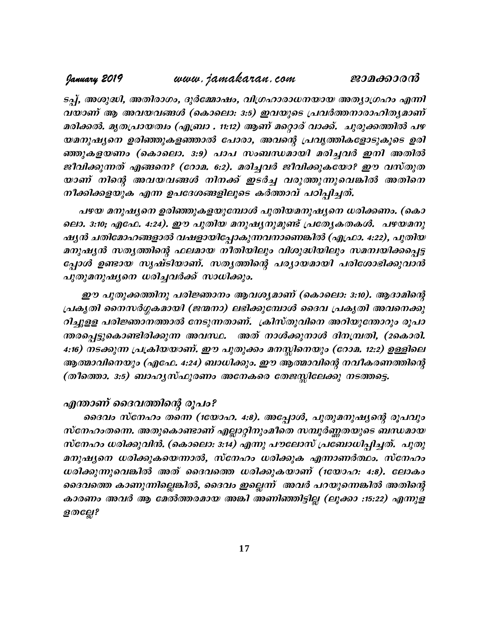ടപ്പ്, അശുദ്ധി, അതിരാഗം, ദുർമ്മോഷം, വിഗ്രഹാരാധനയായ അത്യാഗ്രഹം എന്നി വയാണ് ആ അവയവങ്ങൾ (കൊലൊ: 3:5) ഇവയുടെ പ്രവർത്തനാരാഹിത്യമാണ് മരിക്കൽ. മൃതപ്രായത്വം (എബ്രാ . 11:12) ആണ് മറ്റൊര് വാക്ക്. ചുരുക്കത്തിൽ പഴ യമനുഷ്യനെ ഉരിഞ്ഞുകളഞ്ഞാൽ പോരാ, അവന്റെ പ്രവൃത്തികളോടുകൂടെ ഉരി ടപ്പ്, അശുദ്ധി, അതിരാഗം, ദുർമ്മോഷം, വിഗ്രഹാരാധനയായ അത്യാഗ്രഹം എന്നി<br>വയാണ് ആ അവയവങ്ങൾ (കൊലൊ: 3:5) ഇവയുടെ പ്രവർത്തനാരാഹിത്യമാണ്<br>മരിക്കൽ. മൃതപ്രായത്വം (എബ്രാ . 11:12) ആണ് മറ്റൊര് വാക്ക്. ചുരുക്കത്തിൽ പഴ<br>യമനുഷ്യനെ ഉരിഞ്ഞുകളഞ ജീവിക്കുന്നത് എങ്ങനെ? (റോമ. 6:2). മരിച്ചവർ ജീവിക്കുകയോ? ഈ വസ്തുത മരിക്കൽ. മൃതപ്രായത്വം (എബ്രാ . 11:12) ആണ് മറ്റൊര് വാക്ക്. ചുരുക്കത്തിൽ പഴ<br>യമനുഷ്യനെ ഉരിഞ്ഞുകളഞ്ഞാൽ പോരാ, അവന്റെ പ്രവൃത്തികളോടുകൂടെ ഉരി<br>ഞ്ഞുകളയണം (കൊലൊ. 3:9) പാപ സംബന്ധമായി മരിച്ചവർ ഇനി അതിൽ<br>ജീവിക്കുന്നത് എങ്ങനെ? (റോമ. 6:2 നീക്കിക്കളയുക എന്ന ഉപദേശങ്ങളിലൂടെ കർത്താവ് പഠിപ്പിച്ചത്.

പഴയ മനുഷ്യനെ ഉരിഞ്ഞുകളയുമ്പോൾ പുതിയമനുഷ്യനെ ധരിക്കണം. (കൊ ലൊ. 3:10; എഫേ. 4:24). ഈ പുതിയ മനുഷൃനുമുണ്ട് പ്രത്യേകതകൾ. പഴയമനു ഷൃൻ ചതിമോഹങ്ങളാൽ വഷളായിപ്പോകുന്നവനാണെങ്കിൽ (എഫ്രാ. 4:22), പുതിയ നിക്കിക്കളയുക എന്ന ഉപദേശങ്ങളിലൂടെ കരത്താവ പഠിപ്പിച്ചത.<br>പഴയ മനുഷ്യനെ ഉരിഞ്ഞുകളയുമ്പോൾ പുതിയമനുഷ്യനെ ധരിക്കണം. (കൊ<br>ലൊ. 3:10; എഫേ. 4:24). ഈ പുതിയ മനുഷ്യനുമുണ്ട് പ്രത്യേകതകൾ. പഴയമനു<br>ഷ്യൻ ചതിമോഹങ്ങളാൽ വഷളായിപ്പോകുന്നവനാണെങ്കി പഴയ മനുഷ്യനെ ഉരിഞ്ഞുകളയുമ്പോൾ പുതിയമനുഷ്യനെ ധരിക്കണം. (കൊ<br>ലൊ. 3:10; എഫേ. 4:24). ഈ പുതിയ മനുഷ്യനുമുണ്ട് പ്രത്യേകതകൾ. പഴയമനു<br>ഷ്യൻ ചതിമോഹങ്ങളാൽ വഷളായിപ്പോകുന്നവനാണെങ്കിൽ (എഫ്രാ. 4:22), പുതിയ<br>മനുഷ്യൻ സത്യത്തിന്റെ ഫലമായ നീതിയ  $\mu$ തുമനുഷ്യനെ ധരിച്ചവർക്ക് സാധിക്കും.

ഈ പുതുക്കത്തിനു പരിജ്ഞാനം ആവശ്യമാണ് (കൊലൊ: 3:10). ആദാമിന്റെ (പകൃതി നൈസർഗ്ഗകമായി (ജന്മനാ) ലഭിക്കുമ്പോൾ ദൈവ പ്രകൃതി അവനെക്കു  $ol$ ച്ചുളള പരിജ്ഞാനത്താൽ നേടുന്നതാണ്. ക്രിസ്തുവിനെ അറിയുന്തോറും രൂപാ ന്തരപ്പെട്ടുകൊണ്ടിരിക്കുന്ന അവസ്ഥ. അത് നാൾക്കുനാൾ ദിനമ്പ്രതി, (2കൊരി. 4:16) നടക്കുന്ന പ്രക്രിയയാണ്. ഈ പുതുക്കം മനസ്സിനെയും (റോമ. 12:2) ഉള്ളിലെ ആത്മാവിനെയും (എഫേ. 4:24) ബാധിക്കും. ഈ ആത്മാവിന്റെ നവീകരണത്തിന്റെ (തീത്തൊ.  $3:5$ ) ബാഹൃസ്ഫുരണം അനേകരെ തേജസ്സിലേക്കു നടത്തട്ടെ.

## എന്താണ് ദൈവത്തിന്റെ രൂപം?

ദൈവം സ്നേഹം തന്നെ (1യോഹ. 4:8). അപ്പോൾ, പുതുമനുഷ്യന്റെ രൂപവും സ്നേഹംതന്നെ. അതുകൊണ്ടാണ് എല്ലാറ്റിനുംമീതെ സമ്പൂർണ്ണതയുടെ ബന്ധമായ സ്നേഹം ധരിക്കുവിൻ. (കൊലൊ: 3:14) എന്നു പൗലോസ് പ്രബോധിപ്പിച്ചത്. പുതു മനുഷ്യനെ ധരിക്കുകയെന്നാൽ, സ്നേഹം ധരിക്കുക എന്നാണർത്ഥം. സ്നേഹം ദൈവം സ്നേഹം തന്നെ (1ധോഹ. 4:8). അപ്പോൾ, പുതുമനുഷ്യന്റെ രൂപവും<br>സ്നേഹംതന്നെ. അതുകൊണ്ടാണ് എല്ലാറ്റിനുംമീതെ സമ്പൂർണ്ണതയുടെ ബന്ധമായ<br>സ്നേഹം ധരിക്കുവിൻ. (കൊലൊ: 3:14) എന്നു പൗലോസ് പ്രബോധിപ്പിച്ചത്. പുതു<br>മനുഷ്യനെ ധരിക്കുകയെന്നാൽ, ദെവത്തെ കാണുന്നില്ലെങ്കിൽ, ദൈവം ഇല്ലെന്ന് അവർ പറയുന്നെങ്കിൽ അതിന്റെ കാരണം അവർ ആ മേൽത്തരമായ അങ്കി അണിഞ്ഞിട്ടില്ല (ലൂക്കാ :15:22) എന്നുള ധരിക്കുന്നുവെങ്കിൽ അത് ദൈവത്തെ ധരിക്കുകയാണ് (1യോഹ: 4:8). ലോകം<br>ദൈവത്തെ കാണുന്നില്ലെങ്കിൽ, ദൈവം ഇല്ലെന്ന് അവർ പറയുന്നെങ്കിൽ അതിന്റെ<br>കാരണം അവർ ആ മേൽത്തരമായ അങ്കി അണിഞ്ഞിട്ടില്ല (ലൂക്കാ :15:22) എന്നുള<br>ളതല്ലേ?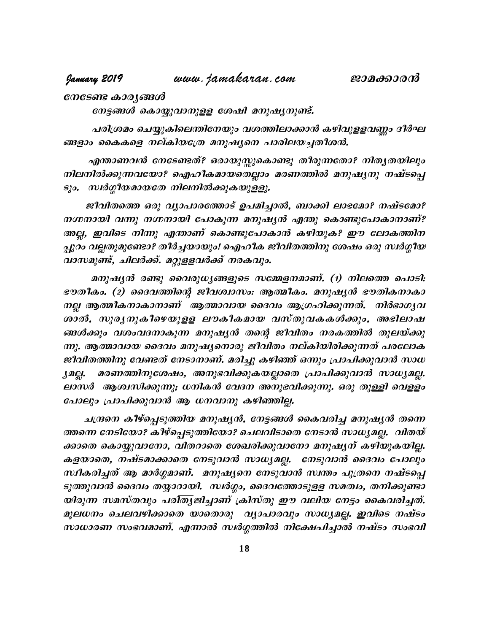## January 2019

www.jamakaran.com

നേടേണ്ട കാരൃങ്ങൾ

നേട്ടങ്ങൾ കൊയ്യുവാനുളള ശേഷി മനുഷ്യനുണ്ട്.

പരിശ്രമം ചെയ്യുകിലെന്തിനേയും വശത്തിലാക്കാൻ കഴിവുളളവണ്ണം ദീർഘ ങ്ങളാം കൈകളെ നല്കിയത്രേ മനുഷ്യനെ പാരിലയച്ചതീശൻ.

എന്താണവൻ നേടേണ്ടത്? ഒരായുസ്തുകൊണ്ടു തീരുന്നതോ? നിതൃതയിലും നിലനിൽക്കുന്നവയോ? ഐഹികമായതെല്ലാം മരണത്തിൽ മനുഷൃനു നഷ്ടപ്പെ ടും. സ്ഥർഗ്ഗീയമായതേ നിലനിൽക്കുകയുളളു.

ജീവിതത്തെ ഒരു വ്യാപാരത്തോട് ഉപമിച്ചാൽ, ബാക്കി ലാഭമോ? നഷ്ടമോ? നഗ്നനായി വന്നു നഗ്നനായി പോകുന്ന മനുഷ്യൻ എന്തു കൊണ്ടുപോകാനാണ്? അല്ല, ഇവിടെ നിന്നു എന്താണ് കൊണ്ടുപോകാൻ കഴിയുക? ഈ ലോകത്തിന പ്പുറം വല്ലതുമുണ്ടോ? തീർച്ചയായും! ഐഹീക ജീവിതത്തിനു ശേഷം ഒരു സ്ഥർഗ്ഗീയ വാസമുണ്ട്, ചിലർക്ക്. മറ്റുളളവർക്ക് നരകവും.

മനുഷ്യൻ രണ്ടു വൈരുധ്യങ്ങളുടെ സമ്മേളനമാണ്. (1) നിലത്തെ പൊടി: ഭൗതീകം. (2) ദൈവത്തിന്റെ ജീവശ്വാസം: ആത്മീകം. മനുഷ്യൻ ഭൗതികനാകാ നല്ല ആത്മീകനാകാനാണ് ആത്മാവായ ദൈവം ആഗ്രഹിക്കുന്നത്. നിർഭാഗൃവ ശാൽ, സൂര്യനുകീഴെയുളള ലൗകീകമായ വസ്തുവകകൾക്കും, അഭിലാഷ ങ്ങൾക്കും വശംവദനാകുന്ന മനുഷ്യൻ തന്റെ ജീവിതം നരകത്തിൽ തുലയ്ക്കു ന്നു. ആത്മാവായ ദൈവം മനുഷ്യനൊരു ജീവിതം നല്കിയിരിക്കുന്നത് പരലോക ജീവിതത്തിനു വേണ്ടത് നേടാനാണ്. മരിച്ചു കഴിഞ്ഞ് ഒന്നും പ്രാപിക്കുവാൻ സാധ മരണത്തിനുശേഷം, അനുഭവിക്കുകയല്ലാതെ പ്രാപിക്കുവാൻ സാധ്യമല്ല. Jogi. ലാസർ ആശ്വസിക്കുന്നു; ധനികൻ വേദന അനുഭവിക്കുന്നു. ഒരു തുള്ളി വെളളം പോലും പ്രാപിക്കുവാൻ ആ ധനവാനു കഴിഞ്ഞില്ല.

ചന്ദ്രനെ കീഴ്പ്പെടുത്തിയ മനുഷ്യൻ, നേട്ടങ്ങൾ കൈവരിച്ച മനുഷ്യൻ തന്നെ ത്തന്നെ നേടിയോ? കീഴ്പ്പെടുത്തിയോ? ചെലവിടാതെ നേടാൻ സാധ്യമല്ല. വിതയ് ക്കാതെ കൊയ്യുവാനോ, വിതറാതെ ശേഖരിക്കുവാനോ മനുഷൃന് കഴിയുകയില്ല. കളയാതെ, നഷ്ടമാക്കാതെ നേടുവാൻ സാധ്യമല്ല. നേടുവാൻ ദൈവം പോലും സ്ഥികരിച്ചത് ആ മാർഗ്ഗമാണ്. മനുഷ്യനെ നേടുവാൻ സ്ഥതം പുത്രനെ നഷ്ടപ്പെ ടുത്തുവാൻ ദൈവം തയ്യാറായി. സ്ഥർഗ്ഗം, ദൈവത്തോടുളള സമത്വം, തനിക്കുണ്ടാ യിരുന്ന സമസ്തവും പരിതൃജിച്ചാണ് ക്രിസ്തു ഈ വലിയ നേട്ടം കൈവരിച്ചത്. മൂലധനം ചെലവഴിക്കാതെ യാതൊരു വ്യാപാരവും സാധ്യമല്ല. ഇവിടെ നഷ്ടം സാധാരണ സംഭവമാണ്. എന്നാൽ സ്ഥർഗ്ഗത്തിൽ നിക്ഷേപിച്ചാൽ നഷ്ടം സംഭവി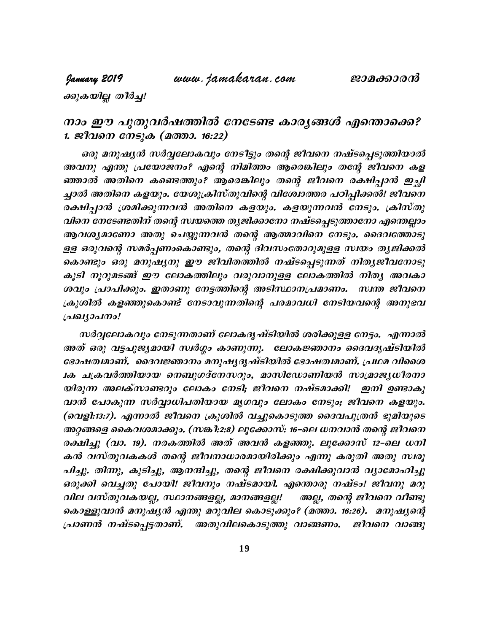www.jamakaran.com

# January 2019

ക്കുകയില്ല തീർച്ച!

# നാം ഈ പുതുവർഷത്തിൽ നേടേണ്ട കാര്യങ്ങൾ എന്തൊക്കെ? 1. ജീവനെ നേടുക (മത്താ. 16:22)

ഒരു മനുഷ്യൻ സർവ്വലോകവും നേടിട്ടും തന്റെ ജീവനെ നഷ്ടപ്പെടുത്തിയാൽ അവനു എന്തു പ്രയോജനം? എന്റെ നിമിത്തം ആരെങ്കിലും തന്റേ ജീവനെ കള ഞ്ഞാൽ അതിനെ കണ്ടെത്തും? ആരെങ്കിലും തന്റെ ജീവനെ രക്ഷിപ്പാൻ ഇച്ചി ച്ചാൽ അതിനെ കളയും. യേശുക്രിസ്തുവിന്റെ വിശോത്തര പഠിപ്പിക്കൽ! ജീവനെ രക്ഷിപ്പാൻ ശ്രമിക്കുന്നവൻ അതിനെ കളയും. കളയുന്നവൻ നേടും. ക്രിസ്തു വിനെ നേടേണ്ടതിന് തന്റെ സ്ഥയത്തെ തൃജിക്കാനോ നഷ്ടപ്പെടുത്താനോ എന്തെല്ലാം ആവശ്യമാണോ അതു ചെയ്യുന്നവൻ തന്റെ ആത്മാവിനെ നേടും. ദൈവത്തോടു ളള ഒരുവന്റെ സമർപ്പണംകൊണ്ടും, തന്റെ ദിവസംതോറുമുളള സ്ഥയം തൃജിക്കൽ കൊണ്ടും ഒരു മനുഷൃനു ഈ ജീവിതത്തിൽ നഷ്ടപ്പെടുന്നത് നിതൃജീവനോടു കൂടി നൂറുമടങ്ങ് ഈ ലോകത്തിലും വരുവാനുളള ലോകത്തിൽ നിതൃ അവകാ ശവും പ്രാപിക്കും. ഇതാണു നേട്ടത്തിന്റെ അടിസ്ഥാനപ്രമാണം. സ്ഥത ജീവനെ ക്രൂശിൽ കളഞ്ഞുകൊണ്ട് നേടാവുന്നതിന്റെ പരമാവധി നേടിയവന്റെ അനുഭവ പ്രഖ്യാപനം!

സർവ്വലോകവും നേടുന്നതാണ് ലോകദൃഷ്ടിയിൽ ശരിക്കുളള നേട്ടം. എന്നാൽ അത് ഒരു വട്ടപൂജ്യമായി സ്ഥർഗ്ഗം കാണുന്നു. ലോകജ്ഞാനം ദൈവദൃഷ്ടിയിൽ ഭോഷത്വമാണ്. ദൈവജ്ഞാനം മനുഷ്യദൃഷ്ടിയിൽ ഭോഷത്വമാണ്. പ്രഥമ വിശൈ 1ക ചക്രവർത്തിയായ നെബുഗദ്നേസറും, മാസിഡോണിയൻ സാമ്രാജ്യധീരനാ യിരുന്ന അലക്സാണ്ടറും ലോകം നേടി; ജീവനെ നഷ്ടമാക്കി! ഇനി ഉണ്ടാകു വാൻ പോകുന്ന സർവ്വാധിപതിയായ മൃഗവും ലോകം നേടും; ജീവനെ കളയും. (വെളി:13:7). എന്നാൽ ജീവനെ ക്രൂശിൽ വച്ചുകൊടുത്ത ദൈവപുത്രൻ ഭൂമിയുടെ ആറ്റങ്ങളെ കൈവശമാക്കും. (സങ്കീ:2:8) ലൂക്കോസ്: 16–ലെ ധനവാൻ തന്റെ ജീവനെ രക്ഷിച്ചു (വാ. 19). നരകത്തിൽ അത് അവൻ കളഞ്ഞു. ലൂക്കോസ് 12-ലെ ധനി കൻ വസ്തുവകകൾ തന്റെ ജീവനാധാരമായിരിക്കും എന്നു കരുതി അതു സ്വരൂ പിച്ചു. തിന്നു, കുടിച്ചു, ആനന്ദിച്ചു, തന്റെ ജീവനെ രക്ഷിക്കുവാൻ വ്യാമോഹിച്ചു ഒരുക്കി വെച്ചതു പോയി! ജീവനും നഷ്ടമായി. എന്തൊരു നഷ്ടം! ജീവനു മറു വില വസ്തുവകയല്ല, സ്ഥാനങ്ങളല്ല, മാനങ്ങളല്ല! അല്ല, തന്റെ ജീവനെ വീണ്ടു കൊള്ളുവാൻ മനുഷ്യൻ എന്തു മറുവില കൊടുക്കും? (മത്താ. 16:26). മനുഷ്യന്റെ പ്രാണൻ നഷ്ടപ്പെട്ടതാണ്. അതുവിലകൊടുത്തു വാങ്ങണം. ജീവനെ വാങ്ങു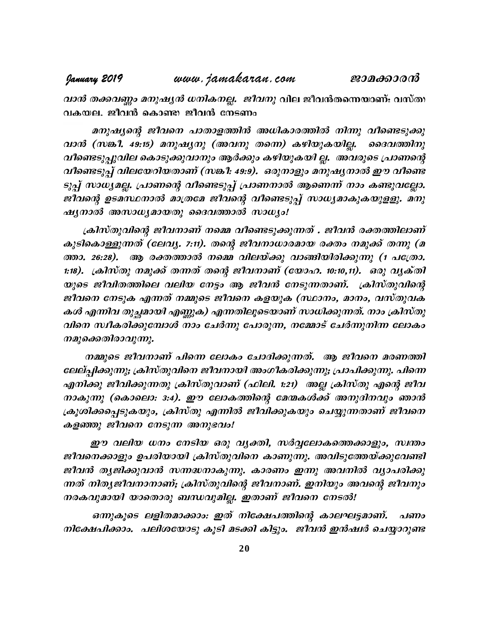*വാൻ തക്കവണ്ണം മനുഷ്യൻ ധനികനല്ല. ജീവനു* വില

മനുഷ്യന്റെ ജീവനെ പാതാളത്തിൻ അധികാരത്തിൽ നിന്നു വീണ്ടെടുക്കു hm³ (k¦o. 49:15) a\p-j-y\p (A -h\p Xs¶) Ign-bp-I-bn-Ã. ssZh-¯n\p വീണ്ടെടുപ്പുവില കൊടുക്കുവാനും ആർക്കും കഴിയുകയി ല്ല. അവരുടെ പ്രാണന്റെ വീണ്ടെടുപ്പ് വിലയേറിയതാണ് (സങ്കീ: 49:9). ഒരുനാളും മനുഷ്യനാൽ ഈ വീണ്ടെ ടുപ്പ് സാധ്യമല്ല. പ്രാണന്റെ വീണ്ടെടുപ്പ് പ്രാണനാൽ ആണെന്ന് നാം കണ്ടുവല്ലോ. വാൻ (സങ്കീ. 49:15) മനുഷ്യനു (അവനു തന്നെ) കഴിയുകയില്ല. ദൈവത്തിനു<br>വീണ്ടെടുപ്പുവില കൊടുക്കുവാനും ആർക്കും കഴിയുകയി ല്ല. അവരുടെ പ്രാണന്റെ<br>വീണ്ടെടുപ്പ് വിലയേറിയതാണ് (സങ്കീ: 49:9). ഒരുനാളും മനുഷ്യനാൽ ഈ വീണ്ടെ<br>ടുപ്പ് സാധ്യമല്ല.  $\mathcal{A}$ y $m$ ാൽ അസാധ്യമായതു ദൈവത്താൽ സാധ്യം! വരണ്ടടുപ്പ വലയേനയതാണ (നങ്ക: 49:9). ഒരുനാളുാ മനുഷുനാരാ ഈ വരണ്ട<br>ടുപ്പ് സാധ്യമല്ല. പ്രാണന്റെ വീണ്ടെടുപ്പ് പ്രാണനാൽ ആണെന്ന് നാം കണ്ടുവല്ലോ.<br>ജീവന്റെ ഉടമസ്ഥനാൽ മാത്രമേ ജീവന്റെ വീണ്ടെടുപ്പ് സാധ്യമാകുകയുളളു. മനു<br>ഷ്യനാൽ അസാധ്യമായത

കുടികൊള്ളുന്നത് (ലേവ്യ. 7:11). തന്റെ ജീവനാധാരമായ രക്തം നമുക്ക് തന്നു (മ ജിക്കര്യ ഉടമസ്ഥനാരാ മാത്രമേ ജിപ്കര്യ വങ്ങെടുപ്പ സാധ്യമാകുകയുളളു. മനുഷ്യനാൽ അസാധ്യമായതു ദൈവത്താൽ സാധ്യം!<br>പ്രിസ്തുവിന്റെ ജീവനാണ് നമ്മെ വീണ്ടെടുക്കുന്നത് . ജീവൻ രക്തത്തിലാണ്<br>കുടികൊള്ളുന്നത് (ലേവ്യ. 7:11). തന്റെ ജീവനാധാരമായ ര 1:18). ക്രിസ്തു നമുക്ക് തന്നത് തന്റെ ജീവനാണ് (യോഹ. 10:10,11). ഒരു വൃക്തി യുടെ ജീവിതത്തിലെ വലിയ നേട്ടം ആ ജീവൻ നേടുന്നതാണ്. ക്രിസ്തുവിന്റെ ജീവനെ നേടുക എന്നത് നമ്മുടെ ജീവനെ കളയുക (സ്ഥാനം, മാനം, വസ്തുവക കൾ എന്നിവ തുച്ഛമായി എണ്ണുക) എന്നതിലൂടെയാണ് സാധിക്കുന്നത്. നാം ക്രിസ്തു വിനെ സ്ഥീകരിക്കുമ്പോൾ നാം ചേർന്നു പോരുന്ന, നമ്മോട് ചേർന്നുനിന്ന ലോകം യുടെ ജീവിതത്തിലെ വലിയ നേട്ട<br>ജീവനെ നേടുക എന്നത് നമ്മുടെ ഭ<br>കൾ എന്നിവ തുച്ഛമായി എണ്ണുക) <sub>ഏ</sub><br>വിനെ സ്ഥീകരിക്കുമ്പോൾ നാം ചേ<br>നമുക്കെതിരാവുന്നു.<br>ലേല്പിക്കുന്നു: ക്രിസ്തുവിനെ ജീവ

നമ്മുടെ ജീവനാണ് പിന്നെ ലോകം ചോദിക്കുന്നത്. ആ ജീവനെ മരണത്തി ലേല്പ്പിക്കുന്നു; ക്രിസ്തുവിനെ ജീവനായി അംഗീകരിക്കുന്നു; പ്രാപിക്കുന്നു. പിന്നെ എനിക്കു ജീവിക്കുന്നതു ക്രിസ്തുവാണ് (ഫിലി. 1:21) അല്ല ക്രിസ്തു എന്റെ ജീവ നാകുന്നു (കൊലൊ: 3:4). ഈ ലോകത്തിന്റെ മേന്മകൾക്ക് അനുദിനവും ഞാൻ നമ്മുടെ ജീവനാണ് പിന്നെ ലോകം ചോദിക്കുന്നത്. ആ ജീവനെ മരണത്തി<br>ലേല്പ്പിക്കുന്നു; ക്രിസ്തുവിനെ ജീവനായി അംഗീകരിക്കുന്നു; പ്രാപിക്കുന്നു. പിന്നെ<br>എനിക്കു ജീവിക്കുന്നതു ക്രിസ്തുവാണ് (ഫിലി. 1:21) അല്ല ക്രിസ്തു എന്റെ ജീവ<br>നാകുന്ന കളഞ്ഞു ജീവനെ നേടുന്ന അനുഭവം!

ഈ വലിയ ധനം നേടിയ ഒരു വൃക്തി, സർവ്വലോകത്തെക്കാളും, സ്വന്തം ജീവനെക്കാളും ഉപരിയായി ക്രിസ്തുവിനെ കാണുന്നു. അവിടുത്തേയ്ക്കുവേണ്ടി ജീവൻ തൃജിക്കുവാൻ സന്നദ്ധനാകുന്നു. കാരണം ഇന്നു അവനിൽ വ്യാപരിക്കു ന്നത് നിതൃജീവനാനാണ്; ക്രിസ്തുവിന്റെ ജീവനാണ്. ഇനിയും അവന്റെ ജീവനും നരകവുമായി യാതൊരു ബന്ധവുമില്ല. ഇതാണ് ജീവനെ നേടൽ!

ഒന്നുകൂടെ ലളിതമാക്കാം: ഇത് നിക്ഷേപത്തിന്റെ കാലഘട്ടമാണ്. പണം നിക്ഷേപിക്കാം. പലിശയോടു കൂടി മടക്കി കിട്ടും. ജീവൻ ഇൻഷർ ചെയ്യാറുണ്ട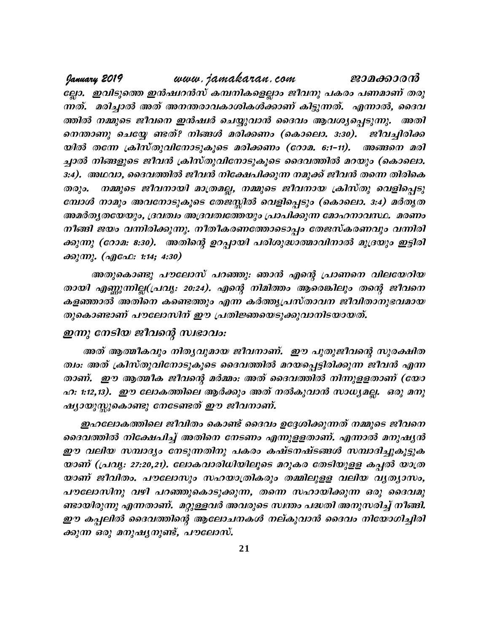www.jamakaran.com January 2019 ജാമക്കാരൻ ല്ലോ. ഇവിടുത്തെ ഇൻഷ്വറൻസ് കമ്പനികളെല്ലാം ജീവനു പകരം പണമാണ് തരു ന്നത്. മരിച്ചാൽ അത് അനന്തരാവകാശികൾക്കാണ് കിട്ടുന്നത്. എന്നാൽ, ദൈവ ത്തിൽ നമ്മുടെ ജീവനെ ഇൻഷ്യർ ചെയ്യുവാൻ ദൈവം ആവശ്യപ്പെടുന്നു. അതി നെന്താണു ചെയ്യേ ണ്ടത്? നിങ്ങൾ മരിക്കണം (കൊലൊ. 3:30). ജീവച്ചിരിക്ക യിൽ തന്നേ ക്രിസ്തുവിനോടുകൂടെ മരിക്കണം (റോമ. 6:1–11). അങ്ങനെ മരി ച്ചാൽ നിങ്ങളുടെ ജീവൻ ക്രിസ്തുവിനോടുകൂടെ ദൈവത്തിൽ മറയും (കൊലൊ. 3:4). അഥവാ, ദൈവത്തിൽ ജീവൻ നിക്ഷേപിക്കുന്ന നമുക്ക് ജീവൻ തന്നെ തിരികെ  $\omega$ നമ്മുടെ ജീവനായി മാത്രമല്ല, നമ്മുടെ ജീവനായ ക്രിസ്തു വെളിപ്പെടു മ്പോൾ നാമും അവനോടുകൂടെ തേജസ്സിൽ വെളിപ്പെടും (കൊലൊ. 3:4) മർതൃത അമർതൃതയേയും, ദ്രവത്വം അദ്രവത്വത്തേയും പ്രാപിക്കുന്ന മോഹനാവസ്ഥ. മരണം നീങ്ങി ജയം വന്നിരിക്കുന്നു. നീതീകരണത്തോടൊപ്പം തേജസ്കരണവും വന്നിരി ക്കുന്നു (റോമ: 8:30). അതിന്റെ ഉറപ്പായി പരിശുദ്ധാത്മാവിനാൽ മുദ്രയും ഇട്ടിരി  $\partial \partial \partial \partial \langle m \rangle$ . ( $\partial \partial \partial \partial \Omega$ : 1:14; 4:30)

അതുകൊണ്ടു പൗലോസ് പറഞ്ഞു: ഞാൻ എന്റെ പ്രാണനെ വിലയേറിയ തായി എണ്ണുന്നില്ല(പ്രവൃ: 20:24). എന്റെ നിമിത്തം ആരെങ്കിലും തന്റെ ജീവനെ കളഞ്ഞാൽ അതിനെ കണ്ടെത്തും എന്ന കർത്തൃപ്രസ്താവന ജീവിതാനുഭവമായ തുകൊണ്ടാണ് പൗലോസിന് ഈ പ്രതിജ്ഞയെടുക്കുവാനിടയായത്.

## ഇന്നു നേടിയ ജീവന്റെ സ്വഭാവം:

അത് ആത്മീകവും നിതൃവുമായ ജീവനാണ്. ഈ പുതുജീവന്റെ സുരക്ഷിത ത്വം: അത് ക്രിസ്തുവിനോടുകൂടെ ദൈവത്തിൽ മറയപ്പെട്ടിരിക്കുന്ന ജീവൻ എന്ന താണ്. ഈ ആത്മീക ജീവന്റെ മർമ്മം: അത് ദൈവത്തിൽ നിന്നുളളതാണ് (യോ ഹ. 1:12,13). ഈ ലോകത്തിലെ ആർക്കും അത് നൽകുവാൻ സാധ്യമല്ല. ഒരു മനു ഷ്യായുസ്ലുകൊണ്ടു നേടേണ്ടത് ഈ ജീവനാണ്.

ഇഹലോകത്തിലെ ജീവിതം കൊണ്ട് ദൈവം ഉദ്ദേശിക്കുന്നത് നമ്മുടെ ജീവനെ ദൈവത്തിൽ നിക്ഷേപിച്ച് അതിനെ നേടണം എന്നുളളതാണ്. എന്നാൽ മനുഷൃൻ ഈ വലിയ സമ്പാദ്യം നേടുന്നതിനു പകരം കഷ്ടനഷ്ടങ്ങൾ സമ്പാദിച്ചുകൂട്ടുക യാണ് (പ്രവൃ: 27:20,21). ലോകവാരിധിയിലൂടെ മറുകര തേടിയുള്ള കപ്പൽ യാത്ര യാണ് ജീവിതം. പൗലോസും സഹയാത്രികരും തമ്മിലുളള വലിയ വൃത്യാസം, പൗലോസിനു വഴി പറഞ്ഞുകൊടുക്കുന്ന, തന്നെ സഹായിക്കുന്ന ഒരു ദൈവമു ണ്ടായിരുന്നു എന്നതാണ്. മറ്റുള്ളവർ അവരുടെ സ്ഥതം പദ്ധതി അനുസരിച്ച് നീങ്ങി. ഈ കപ്പലിൽ ദൈവത്തിന്റെ ആലോചനകൾ നല്കുവാൻ ദൈവം നിയോഗിച്ചിരി ക്കുന്ന ഒരു മനുഷ്യനുണ്ട്, പൗലോസ്.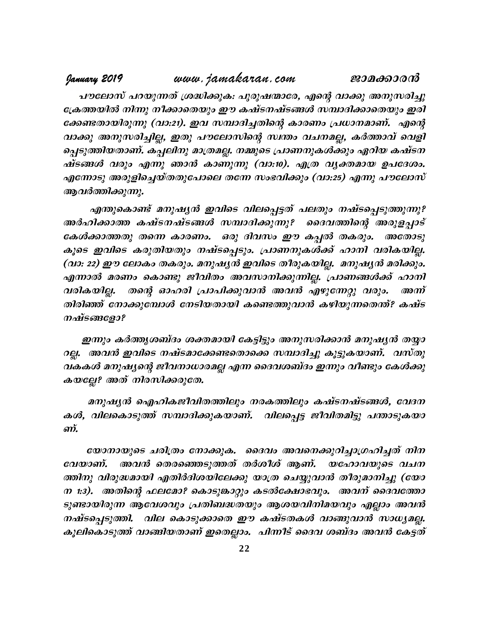#### www.jamakaran.com January 2019 ജാമക്കാരൻ

പൗലോസ് പറയുന്നത് ശ്രദ്ധിക്കുക: പുരുഷന്മാരേ, എന്റെ വാക്കു അനുസരിച്ചു ക്രേത്തയിൽ നിന്നു നീക്കാതെയും ഈ കഷ്ടനഷ്ടങ്ങൾ സമ്പാദിക്കാതെയും ഇരി ക്കേണ്ടതായിരുന്നു (വാ:21). ഇവ സമ്പാദിച്ചതിന്റെ കാരണം പ്രധാനമാണ്. എന്റെ വാക്കു അനുസരിച്ചില്ല, ഇതു പൗലോസിന്റെ സ്ഥതം വചനമല്ല, കർത്താവ് വെളി പ്പെടുത്തിയതാണ്. കപ്പലിനു മാത്രമല്ല. നമ്മുടെ പ്രാണനുകൾക്കും ഏറിയ കഷ്ടന ഷ്ടങ്ങൾ വരും എന്നു ഞാൻ കാണുന്നു (വാ:10). എത്ര വൃക്തമായ ഉപദേശം. എന്നോടു അരുളിച്ചെയ്തതുപോലെ തന്നേ സംഭവിക്കും (വാ:25) എന്നു പൗലോസ് ആവർത്തിക്കുന്നു.

എന്തുകൊണ്ട് മനുഷൃൻ ഇവിടെ വിലപ്പെട്ടത് പലതും നഷ്ടപ്പെടുത്തുന്നു? അർഹിക്കാത്ത കഷ്ടനഷ്ടങ്ങൾ സമ്പാദിക്കുന്നു? ദൈവത്തിന്റെ അരുളപ്പാട് കേൾക്കാത്തതു തന്നെ കാരണം. ഒരു ദിവസം ഈ കപ്പൽ തകരും. അതോടു കൂടെ ഇവിടെ കരുതിയതും നഷ്ടപ്പെടും. പ്രാണനുകൾക്ക് ഹാനി വരികയില്ല. (വാ: 22) ഈ ലോകം തകരും. മനുഷൃൻ ഇവിടെ തീരുകയില്ല. മനുഷൃൻ മരിക്കും. എന്നാൽ മരണം കൊണ്ടു ജീവിതം അവസാനിക്കുന്നില്ല. പ്രാണങ്ങൾക്ക് ഹാനി തന്റെ ഓഹരി പ്രാപിക്കുവാൻ അവൻ എഴുന്നേറ്റു വരും. വരികയില്ല. അന്ന് തിരിഞ്ഞ് നോക്കുമ്പോൾ നേടിയതായി കണ്ടെത്തുവാൻ കഴിയുന്നതെന്ത്? കഷ്ട നഷ്ടങ്ങളോ?

ഇന്നും കർത്തൃശബ്ദം ശക്തമായി കേട്ടിട്ടും അനുസരിക്കാൻ മനുഷൃൻ തയ്യാ റല്ല. അവൻ ഇവിടെ നഷ്ടമാക്കേണ്ടതൊക്കെ സമ്പാദിച്ചു കൂട്ടുകയാണ്. വസ്തു വകകൾ മനുഷ്യന്റെ ജീവനാധാരമല്ല എന്ന ദൈവശബ്ദം ഇന്നും വീണ്ടും കേൾക്കു കയല്ലേ? അത് നിരസിക്കരുതേ.

മനുഷ്യൻ ഐഹികജീവിതത്തിലും നരകത്തിലും കഷ്ടനഷ്ടങ്ങൾ, വേദന കൾ, വിലകൊടുത്ത് സമ്പാദിക്കുകയാണ്. വിലപ്പെട്ട ജീവിതമിട്ടു പന്താടുകയാ ลทั

യോനായുടെ ചരിത്രം നോക്കുക. ദൈവം അവനെക്കുറിച്ചാഗ്രഹിച്ചത് നിന വേയാണ്. അവൻ തെരഞ്ഞെടുത്തത് തർശീശ് ആണ്. യഹോവയുടെ വചന ത്തിനു വിരുദ്ധമായി എതിർദിശയിലേക്കു യാത്ര ചെയ്യുവാൻ തീരുമാനിച്ചു (യോ ന 1:3). അതിന്റെ ഫലമോ? കൊടുങ്കാറ്റും കടൽക്ഷോഭവും. അവന് ദൈവത്തോ ടുണ്ടായിരുന്ന ആവേശവും പ്രതിബദ്ധതയും ആശയവിനിമയവും എല്ലാം അവൻ നഷ്ടപ്പെടുത്തി. വില കൊടുക്കാതെ ഈ കഷ്ടതകൾ വാങ്ങുവാൻ സാധ്യമല്ല. കൂലികൊടുത്ത് വാങ്ങിയതാണ് ഇതെല്ലാം. പിന്നീട് ദൈവ ശബ്ദം അവൻ കേട്ടത്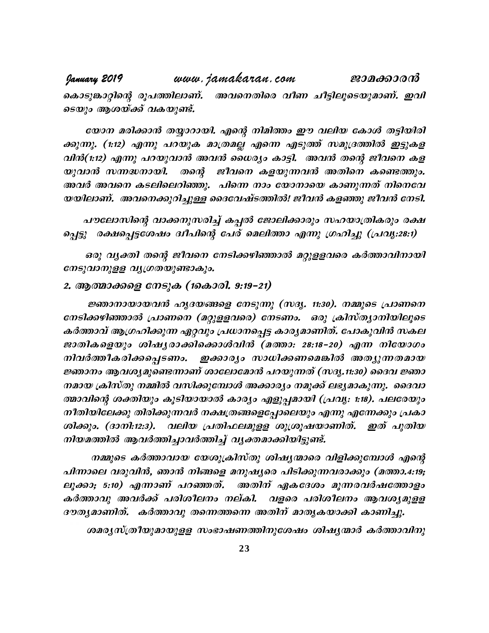www.jamakaran.com January 2019 ജാമക്കാരൻ കൊടുങ്കാറ്റിന്റെ രൂപത്തിലാണ്. അവനെതിരെ വീണ ചീട്ടിലൂടെയുമാണ്. ഇവി ടെയും ആശയ്ക്ക് വകയുണ്ട്.

യോന മരിക്കാൻ തയ്യാറായി. എന്റെ നിമിത്തം ഈ വലിയ കോൾ തട്ടിയിരി ക്കുന്നു. (1:12) എന്നു പറയുക മാത്രമല്ല എന്നെ എടുത്ത് സമുദ്രത്തിൽ ഇട്ടുകള വിൻ(1:12) എന്നു പറയുവാൻ അവൻ ധൈര്യം കാട്ടി. അവൻ തന്റെ ജീവനെ കള യുവാൻ സന്നദ്ധനായി. തന്റെ ജീവനെ കളയുന്നവൻ അതിനെ കണ്ടെത്തും. അവർ അവനെ കടലിലെറിഞ്ഞു. പിന്നെ നാം യോനായെ കാണുന്നത് നിനെവേ യയിലാണ്. അവനെക്കുറിച്ചുള്ള ദൈവേഷ്ടത്തിൽ! ജീവൻ കളഞ്ഞു ജീവൻ നേടി.

പൗലോസിന്റെ വാക്കനുസരിച്ച് കപ്പൽ ജോലിക്കാരും സഹയാത്രികരും രക്ഷ പ്പെട്ടു രക്ഷപ്പെട്ടശേഷം ദ്വീപിന്റെ പേര് മെലിത്താ എന്നു ഗ്രഹിച്ചു (പ്രവൃ.:28:1)

ഒരു വൃക്തി തന്റെ ജീവനെ നേടിക്കഴിഞ്ഞാൽ മറ്റുളളവരെ കർത്താവിനായി നേടുവാനുള്ള വ്യുഗ്രതയുണ്ടാകും.

## 2. ആത്മാക്കളെ നേടുക (1കൊരി. 9:19–21)

ജ്ഞാനായായവൻ ഹൃദയങ്ങളെ നേടുന്നു (സദൃ. 11:30). നമ്മുടെ പ്രാണനെ നേടിക്കഴിഞ്ഞാൽ പ്രാണനെ (മറ്റുളളവരെ) നേടണം. ഒരു ക്രിസ്ത്യാനിയിലൂടെ കർത്താവ് ആഗ്രഹിക്കുന്ന ഏറ്റവും പ്രധാനപ്പെട്ട കാര്യമാണിത്. പോകുവിൻ സകല ജാതികളെയും ശിഷൃരാക്കിക്കൊൾവിൻ (മത്താ: 28:18–20) എന്ന നിയോഗം നിവർത്തീകരിക്കപ്പെടണം. ഇക്കാര്യം സാധിക്കണമെങ്കിൽ അത്യുന്നതമായ ജ്ഞാനം ആവശ്യമുണ്ടെന്നാണ് ശാലോമോൻ പറയുന്നത് (സദൃ.11:30) ദൈവ ജ്ഞാ നമായ ക്രിസ്തു നമ്മിൽ വസിക്കുമ്പോൾ അക്കാര്യം നമുക്ക് ലഭ്യമാകുന്നു. ദൈവാ ത്മാവിന്റെ ശക്തിയും കൂടിയായാൽ കാര്യം എളുപ്പമായി (പ്രവൃ: 1:18). പലരേയും നീതിയിലേക്കു തിരിക്കുന്നവർ നക്ഷത്രങ്ങളെപ്പോലെയും എന്നു എന്നേക്കും പ്രകാ ശിക്കും. (ദാനി:12:3). വലിയ പ്രതിഫലമുളള ശുശ്രുഷയാണിത്. ഇത് പുതിയ നിയമത്തിൽ ആവർത്തിച്ചാവർത്തിച്ച് വൃക്തമാക്കിയിട്ടുണ്ട്.

നമ്മുടെ കർത്താവായ യേശുക്രിസ്തു ശിഷ്യന്മാരെ വിളിക്കുമ്പോൾ എന്റെ പിന്നാലെ വരുവിൻ, ഞാൻ നിങ്ങളെ മനുഷ്യരെ പിടിക്കുന്നവരാക്കും (മത്താ.4:19; ലൂക്കാ; 5:10) എന്നാണ് പറഞ്ഞത്. അതിന് ഏകദേശം മൂന്നരവർഷത്തോളം കർത്താവു അവർക്ക് പരിശീലനം നല്കി. വളരെ പരിശീലനം ആവശ്യമുളള ദൗതൃമാണിത്. കർത്താവു തന്നെത്തന്നെ അതിന് മാതൃകയാക്കി കാണിച്ചു.

ശമരൃസ്ത്രീയുമായുള്ള സംഭാഷണത്തിനുശേഷം ശിഷൃന്മാർ കർത്താവിനു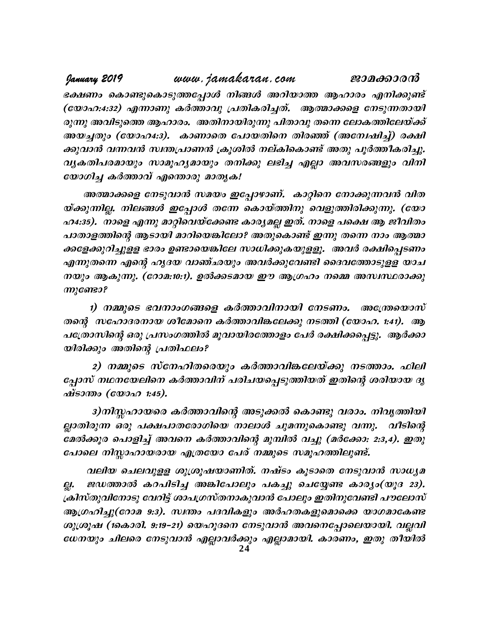www.jamakaran.com January 2019 ജാമക്കാരൻ ഭക്ഷണം കൊണ്ടുകൊടുത്തപ്പോൾ നിങ്ങൾ അറിയാത്ത ആഹാരം എനിക്കുണ്ട് (യോഹ:4:32) എന്നാണു കർത്താവു പ്രതികരിച്ചത്. ആത്മാക്കളെ നേടുന്നതായി രുന്നു അവിടുത്തെ ആഹാരം. അതിനായിരുന്നു പിതാവു തന്നെ ലോകത്തിലേയ്ക്ക് അയച്ചതും (യോഹ4:3). കാണാതെ പോയതിനെ തിരഞ്ഞ് (അമ്പേഷിച്ച്) രക്ഷി ക്കുവാൻ വന്നവൻ സ്വന്തപ്രാണൻ ക്രൂശിൽ നല്കികൊണ്ട് അതു പൂർത്തീകരിച്ചു. വൃകതിപരമായും സാമൂഹൃമായും തനിക്കു ലഭിച്ച എല്ലാ അവസരങ്ങളും വിനി യോഗിച്ച കർത്താവ് എന്തൊരു മാതൃക!

അത്മാക്കളെ നേടുവാൻ സമയം ഇപ്പോഴാണ്. കാറ്റിനെ നോക്കുന്നവൻ വിത യ്ക്കുന്നില്ല. നിലങ്ങൾ ഇപ്പോൾ തന്നേ കൊയ്ത്തിനു വെളുത്തിരിക്കുന്നു. (യോ ഹ4:35). നാളെ എന്നു മാറ്റിവെയ്ക്കേണ്ട കാര്യമല്ല ഇത്. നാളെ പക്ഷെ ആ ജീവിതം പാതാളത്തിന്റെ ആടായി മാറിയെങ്കിലോ? അതുകൊണ്ട് ഇന്നു തന്നെ നാം ആത്മാ ക്കളേക്കുറിച്ചുളള ഭാരം ഉണ്ടായെങ്കിലേ സാധിക്കുകയുളളൂ. അവർ രക്ഷിപ്പെടണം എന്നുതന്നെ എന്റെ ഹൃദയ വാഞ്ഛയും അവർക്കുവേണ്ടി ദൈവത്തോടുളള യാച നയും ആകുന്നു. (റോമ:10:1). ഉൽക്കടമായ ഈ ആഗ്രഹം നമ്മെ അസ്ഥ്ഥരാക്കു ന്നുണ്ടോ?

1) നമ്മുടെ ഭവനാംഗങ്ങളെ കർത്താവിനായി നേടണം. അന്ത്രേയാസ് തന്റെ സഹോദരനായ ശീമോനെ കർത്താവിങ്കലേക്കു നടത്തി (യോഹ. 1:41). ആ പത്രോസിന്റെ ഒരു പ്രസംഗത്തിൽ മൂവായിരത്തോളം പേർ രക്ഷിക്കപ്പെട്ടു. ആർക്കാ യിരിക്കും അതിന്റെ പ്രതിഫലം?

2) നമ്മുടെ സ്നേഹിതരെയും കർത്താവിങ്കലേയ്ക്കു നടത്താം. ഫിലി പ്പോസ് നഥനയേലിനെ കർത്താവിന് പരിചയപ്പെടുത്തിയത് ഇതിന്റെ ശരിയായ ദൃ ഷ്ടാന്താ (യോഹ 1:45).

3)നിസ്തഹായരെ കർത്താവിന്റെ അടുക്കൽ കൊണ്ടു വരാം. നിവൃത്തിയി ല്ലാതിരുന്ന ഒരു പക്ഷപാതരോഗിയെ നാലാൾ ചുമന്നുകൊണ്ടു വന്നു. വീടിന്റെ മേൽക്കൂര പൊളിച്ച് അവനെ കർത്താവിന്റെ മുമ്പിൽ വച്ചു (മർക്കോ: 2:3,4). ഇതു പോലെ നിസ്സാഹായരായ എത്രയോ പേര് നമ്മുടെ സമൂഹത്തിലുണ്ട്.

വലിയ ചെലവുളള ശുശ്രൂഷയാണിത്. നഷ്ടം കൂടാതെ നേടുവാൻ സാധ്യമ ജഡത്താൽ കറപിടിച്ച അങ്കിപോലും പകച്ചു ചെയ്യേണ്ട കാര്യം(യൂദ 23). QI. ക്രിസ്തുവിനോടു വേറിട്ട് ശാപഗ്രസ്തനാകുവാൻ പോലും ഇതിനുവേണ്ടി പൗലോസ് ആഗ്രഹിച്ചു(റോമ 9:3). സ്വന്തം പദവികളും അർഹതകളുമൊക്കെ യാഗമാകേണ്ട ശുശ്രൂഷ (1കൊരി. 9:19-21) യെഹൂദനെ നേടുവാൻ അവനെപ്പോലെയായി. വല്ലവി ധേനയും ചിലരെ നേടുവാൻ എല്ലാവർക്കും എല്ലാമായി. കാരണം, ഇതു തീയിൽ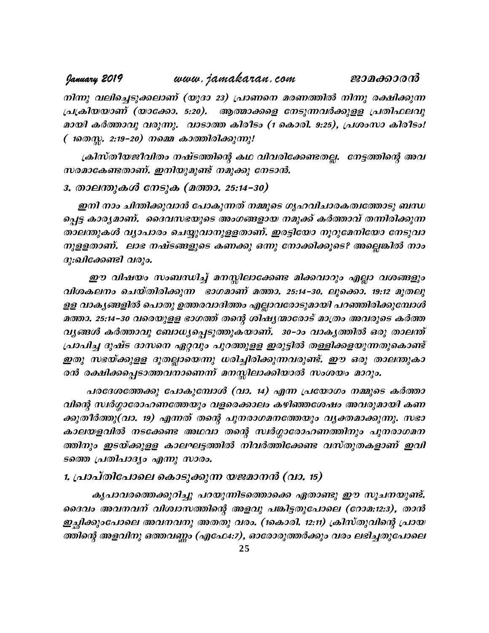#### www.jamakaran.com January 2019 ജാമക്കാരൻ

നിന്നു വലിച്ചെടുക്കലാണ് (യൂദാ 23) പ്രാണനെ മരണത്തിൽ നിന്നു രക്ഷിക്കുന്ന പ്രക്രിയയാണ് (യാക്കോ. 5:20). ആത്മാക്കളെ നേടുന്നവർക്കുളള പ്രതിഫലവു മായി കർത്താവു വരുന്നു. വാടാത്ത കിരീടം (1 കൊരി. 9:25), പ്രശംസാ കിരീടം! ( 1തെസ്സ. 2:19–20) നമ്മെ കാത്തിരിക്കുന്നു!

ക്രിസ്തീയജീവിതം നഷ്ടത്തിന്റെ കഥ വിവരിക്കേണ്ടതല്ല. നേട്ടത്തിന്റെ അവ സരമാകേണ്ടതാണ്. ഇനിയുമുണ്ട് നമുക്കു നേടാൻ.

# 3. താലന്തുകൾ നേടുക (മത്താ. 25:14-30)

ഇനി നാം ചിന്തിക്കുവാൻ പോകുന്നത് നമ്മുടെ ഗൃഹവിചാരകത്വത്തോടു ബന്ധ പ്പെട്ട കാരൃമാണ്. ദൈവസഭയുടെ അംഗങ്ങളായ നമുക്ക് കർത്താവ് തന്നിരിക്കുന്ന താലന്തുകൾ വ്യാപാരം ചെയ്യുവാനുളളതാണ്. ഇരട്ടിയോ നൂറുമേനിയോ നേടുവാ നുളളതാണ്. ലാഭ നഷ്ടങ്ങളുടെ കണക്കു ഒന്നു നോക്കിക്കൂടെ? അല്ലെങ്കിൽ നാം ദു:ഖിക്കേണ്ടി വരും.

ഈ വിഷയം സംബന്ധിച്ച് മനസ്സിലാക്കേണ്ട മിക്കവാറും എല്ലാ വശങ്ങളും വിശകലനം ചെയ്തിരിക്കുന്ന ഭാഗമാണ് മത്താ. 25:14–30. ലൂക്കൊ. 19:12 മുതലു ളള വാകൃങ്ങളിൽ പൊതു ഉത്തരവാദിത്തം എല്ലാവരോടുമായി പറഞ്ഞിരിക്കുമ്പോൾ മത്താ. 25:14–30 വരെയുളള ഭാഗത്ത് തന്റെ ശിഷൃന്മാരോട് മാത്രം അവരുടെ കർത്ത വൃങ്ങൾ കർത്താവു ബോധ്യപ്പെടുത്തുകയാണ്. 30–ാം വാകൃത്തിൽ ഒരു താലന്ത് പ്രാപിച്ച ദുഷ്ട ദാസനെ ഏറ്റവും പുറത്തുളള ഇരുട്ടിൽ തള്ളിക്കളയുന്നതുകൊണ്ട് ഇതു സഭയ്ക്കുളള ദൂതല്ലായെന്നു ധരിച്ചിരിക്കുന്നവരുണ്ട്. ഈ ഒരു താലന്തുകാ രൻ രക്ഷിക്കപ്പെടാത്തവനാണെന്ന് മനസ്സിലാക്കിയാൽ സംശയം മാറും.

പരദേശത്തേക്കു പോകുമ്പോൾ (വാ. 14) എന്ന പ്രയോഗം നമ്മുടെ കർത്താ വിന്റെ സ്ഥർഗ്ഗാരോഹണത്തേയും വളരെക്കാലം കഴിഞ്ഞശേഷം അവരുമായി കണ ക്കുതീർത്തു(വാ. 19) എന്നത് തന്റെ പുനരാഗമനത്തേയും വ്യക്തമാക്കുന്നു. സഭാ കാലയളവിൽ നടക്കേണ്ട അഥവാ തന്റെ സ്ഥർഗ്ഗാരോഹണത്തിനും പുനരാഗമന ത്തിനും ഇടയ്ക്കുളള കാലഘട്ടത്തിൽ നിവർത്തിക്കേണ്ട വസ്തുതകളാണ് ഇവി ടത്തെ പ്രതിപാദ്യം എന്നു സാരം.

## 1. പ്രാപ്തിപോലെ കൊടുക്കുന്ന യജമാനൻ (വാ. 15)

കൃപാവരത്തെക്കുറിച്ചു പറയുന്നിടത്തൊക്കെ ഏതാണ്ടു ഈ സൂചനയുണ്ട്. ദൈവം അവനവന് വിശ്വാസത്തിന്റെ അളവു പങ്കിട്ടതുപോലെ (റോമ:12:3), താൻ ഇച്ഛിക്കുംപോലെ അവനവനു അതതു വരം. (1കൊരി. 12:11) ക്രിസ്തുവിന്റെ പ്രായ ത്തിന്റെ അളവിനു ഒത്തവണ്ണം (എഫേ4:7), ഓരോരുത്തർക്കും വരം ലഭിച്ചതുപോലെ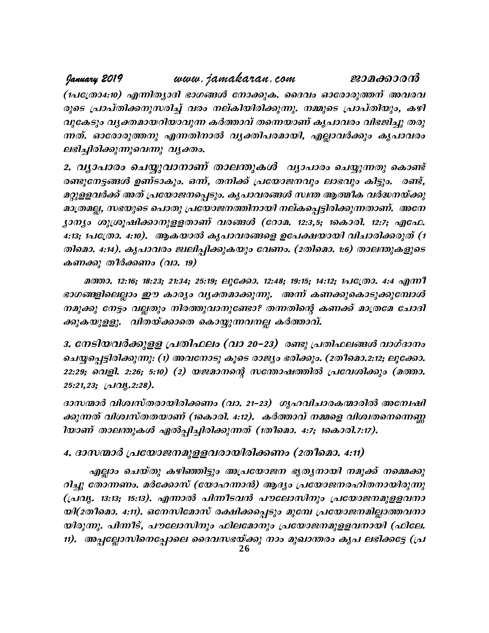**January 2019** www.jamakaran.com **Pma¡mc³** (1പത്രോ4:10) എന്നിത്യാദി ഭാഗങ്ങൾ നോക്കുക. ദൈവം ഓരോരുത്തന് അവരവ രുടെ പ്രാപ്തിക്കനുസരിച്ച് വരം നല്കിയിരിക്കുന്നു. നമ്മുടെ പ്രാപ്തിയും, കഴി hp-tI-Spw- h-y-à -am-b-dn-bm-hp¶ IÀ¯mhv Xs¶-bmWv Ir]mhcw hn`-Pn¨p Xcp- ¶-Xv. Hmtcm-cp-¯\p F¶-Xn-\m hy-àn -]-c-am -bn, FÃm-hÀ¡pw Ir]m-hcw ലഭിച്ചിരിക്കുന്നുവെന്നു വൃക്തം.

2. വൃാപാരം ചെയ്യുവാനാണ് താലന്തുകൾ വ്യാപാരം ചെയ്യുന്നതു കൊണ്ട് comezem5ணൾ ഉണ്ടാകും. ഒന്, തനിക്ക് പ്രയോജനവും ലാഭവും കിട്ടും. രണ്ട്, മറ്റുളളവർക്ക് അത് പ്രയോജനപ്പെടും. കൃപാവരങ്ങൾ സ്ഥത ആത്മീക വർദ്ധനയ്ക്കു മാത്രമല്ല, സഭയുടെ പൊതു പ്രയോജനത്തിനായി നല്കപ്പെട്ടിരിക്കുന്നതാണ്. അനേ 2. വൃാപാരം ചെയ്യുവാനാണ് താലന്തുകൾ വ്യാപാരം ചെയ്യുന്നതു കൊണ്ട്<br>രണ്ടുനേട്ടങ്ങൾ ഉണ്ടാകും. ഒന്, തനിക്ക് പ്രയോജനവും ലാഭവും കിട്ടും. രണ്ട്,<br>മറ്റുളളവർക്ക് അത് പ്രയോജനപ്പെടും. കൃപാവരങ്ങൾ സ്ഥത ആത്മീക വർദ്ധനയ്ക്കു<br>മാത്രമല്ല, സഭയു 4:13; 1പത്രോ. 4:10). ആകയാൽ കൃപാവരങ്ങളെ ഉപേക്ഷയായി വിചാരിക്കരുത് (1 തിമൊ. 4:14). കൃപാവരം ജ്വലിപ്പിക്കുകയും വേണം. (2തിമൊ. 1:6) താലന്തുകളുടെ കണക്കു തീർക്കണം (വാ. 19)

**а**тэ. 12:16; 18:23; 21:34; 25:19; ലൂക്കോ. 12:48; 19:15; 14:12; 1പ $\epsilon$ (@0. 4:4 എന്നീ  $4:5;$  ഫ്രോ. 4:10). 'ആകയാത് കുപാവത്തളെ ഉപേക്ഷയായ വ്രചാത്തതുത (1<br>തിമൊ. 4:14). കൃപാവരാ ജ്വലിപ്പിക്കുകയും വേണം. (2തിമൊ. 1:6) താലന്തുകളുടെ<br>കണക്കു തീർക്കണം (വാ. 19)<br>മത്താ. 12:16; 18:23; 21:34; 25:19; ലൂക്കോ. 12:48; 19:15; 14: നമുക്കു നേട്ടം വല്ലതും നിരത്തുവാനുണ്ടോ? തന്നതിന്റെ കണക്ക് മാത്രമേ ചോദി ക്കുകയുളളു. വിതയ്ക്കാതെ കൊയ്യുന്നവനല്ല കർത്താവ്.

3. നേടിയവർക്കുളള പ്രതിഫലം (വാ 20–23) രണ്ടു പ്രതിഫലങ്ങൾ വാഗ്ദാനം നമുക്കു നേട്ടം വല്ലതും നിരത്തുവാനുണ്ടോ? തന്നതിന്റെ കണക്ക് മാത്രമേ ചോദി<br>ക്കുകയുളളു. വിതയ്ക്കാതെ കൊയ്യുന്നവനല്ല കർത്താവ്.<br>3. നേടിയവർക്കുളള പ്രതിഫലം (വാ 20–23) രണ്ടു പ്രതിഫലങ്ങൾ വാഗ്ദാനം<br>ചെയ്യപ്പെട്ടിരിക്കുന്നു: (1) അവനോടു ക 22:29; വെളി. 2:26; 5:10) (2) യജമാനന്റെ സന്തോഷത്തിൽ പ്രവേശിക്കും (മത്താ.  $25:21,23;$  (al $Q$ ,  $2:28$ ).

ദാസന്മാർ വിശ്വസ്തരായിരിക്കണം (വാ. 21–23) ഗൃഹവിചാരകന്മാരിൽ അന്വേഷി കുന്നത് വിശ്വസ്തതയാണ് (1കൊരി. 4:12). കർത്താവ് നമ്മളെ വിശ്വതനെനെണ്ണ ിയാണ് താലന്തുകൾ ഏൽപ്പിച്ചിരിക്കുന്നത് (1തീമൊ. 4:7; 1കൊരി.7:17).

## 4. ദാസന്മാർ പ്രയോജനമുളളവരായിരിക്കണം (2തീമൊ. 4:11)

എല്ലാം ചെയ്തു കഴിഞ്ഞിട്ടും അപ്രയോജന ഭൃതൃനായി നമുക്ക് നമ്മെക്കു റിച്ചു തോന്നണം. മർക്കോസ് (യോഹന്നാൻ) ആദ്യം പ്രയോജനരഹിതനായിരുന്നു (പ്രവൃ. 13:13; 15:13). എന്നാൽ പിന്നീടവൻ പൗലോസിനും പ്രയോജനമുളളവനാ യി(2തീമൊ. 4:11). ഒനേസിമോസ് രക്ഷിക്കപ്പെടും മുമ്പേ പ്രയോജനമില്ലാത്തവനാ യിരുന്നു. പിന്നീട്, പൗലോസിനും ഫിലമോനും പ്രയോജനമുളളവനായി (ഫിലേ. റിച്ചു തോന്നണം. മർക്കോസ് (യോഹന്നാൻ) ആദ്യം പ്രയോജനരഹിതനായിരുന്നു<br>(പ്രവൃ. 13:13; 15:13). എന്നാൽ പിന്നീടവൻ പൗലോസിനും പ്രയോജനമുളളവനാ<br>യിരുന്നു. പിന്നീട്, പൗലോസിനും ഫിലമോനും പ്രയോജനമുളളവനായി (ഫിലേ.<br>നി. അപ്പല്ലോസിനെപ്പോലെ ദൈവസഭയ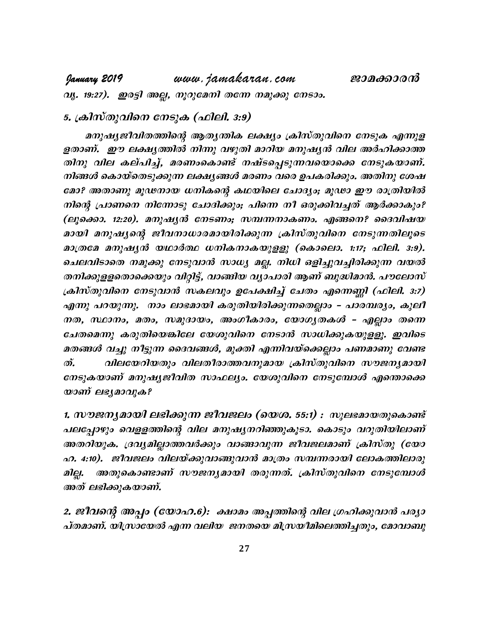www.jamakaran.com January 2019 വു. 19:27). ഇരട്ടി അല്ല, നൂറുമേനി തന്നേ നമുക്കു നേടാം.

# 5. ക്രിസ്തുവിനെ നേടുക (ഫിലി. 3:9)

മനുഷ്യജീവിതത്തിന്റെ ആതൃന്തിക ലക്ഷ്യം ക്രിസ്തുവിനെ നേടുക എന്നുള ളതാണ്. ഈ ലക്ഷ്യത്തിൽ നിന്നു വഴുതി മാറിയ മനുഷ്യൻ വില അർഹിക്കാത്ത തിനു വില കല്പിച്ച്, മരണംകൊണ്ട് നഷ്ടപ്പെടുന്നവയൊക്കെ നേടുകയാണ്. നിങ്ങൾ കൊയ്തെടുക്കുന്ന ലക്ഷ്യങ്ങൾ മരണം വരെ ഉപകരിക്കും. അതിനു ശേഷ മോ? അതാണു മൂഢനായ ധനികന്റെ കഥയിലെ ചോദ്യം; മൂഢാ ഈ രാത്രിയിൽ നിന്റെ പ്രാണനെ നിന്നോടു ചോദിക്കും; പിന്നെ നീ ഒരുക്കിവച്ചത് ആർക്കാകും? (ലൂക്കൊ. 12:20). മനുഷ്യൻ നേടണം; സമ്പന്നനാകണം. എങ്ങനെ? ദൈവിഷയ മായി മനുഷ്യന്റെ ജീവനാധാരമായിരിക്കുന്ന ക്രിസ്തുവിനെ നേടുന്നതിലൂടെ മാത്രമേ മനുഷൃൻ യഥാർത്ഥ ധനികനാകയുളളു (കൊലൊ. 1:17; ഫിലി. 3:9). ചെലവിടാതെ നമുക്കു നേടുവാൻ സാധ്യ മല്ല. നിധി ഒളിച്ചുവച്ചിരിക്കുന്ന വയൽ തനിക്കുളളതൊക്കെയും വിറ്റിട്ട്, വാങ്ങിയ വ്യാപാരി ആണ് ബുദ്ധിമാൻ. പൗലോസ് ക്രിസ്തുവിനെ നേടുവാൻ സകലവും ഉപേക്ഷിച്ച് ചേതം എന്നെണ്ണി (ഫിലി. 3:7) എന്നു പറയുന്നു. നാം ലാഭമായി കരുതിയിരിക്കുന്നതെല്ലാം - പാരമ്പര്യം, കുലീ നത, സ്ഥാനം, മതം, സമുദായം, അംഗീകാരം, യോഗൃതകൾ – എല്ലാം തന്നെ ചേതമെന്നു കരുതിയെങ്കിലേ യേശുവിനെ നേടാൻ സാധിക്കുകയുളളൂ. ഇവിടെ മതങ്ങൾ വച്ചു നീട്ടുന്ന ദൈവങ്ങൾ, മുക്തി എന്നിവയ്ക്കെല്ലാം പണമാണു വേണ്ട  $\mathcal{D}_{\bullet}$ വിലയേറിയതും വിലതീരാത്തവനുമായ ക്രിസ്തുവിനെ സൗജന്യമായി നേടുകയാണ് മനുഷ്യജീവിത സാഫല്യം. യേശുവിനെ നേടുമ്പോൾ എന്തൊക്കെ യാണ് ലഭ്യമാവുക?

1. സൗജനൃമായി ലഭിക്കുന്ന ജീവജലം (യെശ. 55:1) : സുലഭമായതുകൊണ്ട് പലപ്പോഴും വെളളത്തിന്റെ വില മനുഷ്യനറിഞ്ഞുകൂടാ. കൊടും വറുതിയിലാണ് അതറിയുക. ദ്രവ്യമില്ലാത്തവർക്കും വാങ്ങാവുന്ന ജീവജലമാണ് ക്രിസ്തു (യോ ഹ. 4:10). ജീവജലം വിലയ്ക്കുവാങ്ങുവാൻ മാത്രം സമ്പന്നരായി ലോകത്തിലാരു അതുകൊണ്ടാണ് സൗജന്യമായി തരുന്നത്. ക്രിസ്തുവിനെ നേടുമ്പോൾ മില്ല. അത് ലഭിക്കുകയാണ്.

2. ജീവന്റെ അപ്പം (യോഹ.6): ക്ഷാമം അപ്പത്തിന്റെ വില ഗ്രഹിക്കുവാൻ പര്യാ പ്തമാണ്. യിസ്രായേൽ എന്ന വലിയ ജനതയെ മിസ്രയീമിലെത്തിച്ചതും, മോവാബു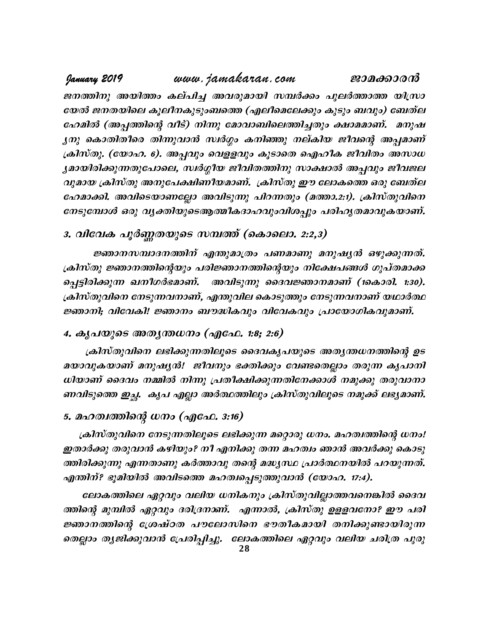# www.jamakaran.com January 2019 ജാമക്കാരൻ ജനത്തിനു അയിത്തം കല്പിച്ച അവരുമായി സമ്പർക്കം പുലർത്താത്ത യിസ്രാ യേൽ ജനതയിലെ കൂലീനകുടുംബത്തെ (എലീമെലേക്കും കുടും ബവും) ബേത്ല ഹേമിൽ (അപ്പത്തിന്റെ വീട്) നിന്നു മോവാബിലെത്തിച്ചതും ക്ഷാമമാണ്. മനുഷ ൃനു കൊതിതീരെ തിന്നുവാൻ സ്ഥർഗ്ഗം കനിഞ്ഞു നല്കിയ ജീവന്റെ അപ്പമാണ് ക്രിസ്തു. (യോഹ. 6). അപ്പവും വെളളവും കൂടാതെ ഐഹീക ജീവിതം അസാധ ൃമായിരിക്കുന്നതുപോലെ, സ്ഥർഗ്ഗീയ ജീവിതത്തിനു സാക്ഷാൽ അപ്പവും ജീവജല വുമായ ക്രിസ്തു അനുപേക്ഷിണീയമാണ്. ക്രിസ്തു ഈ ലോകത്തെ ഒരു ബേത്ല ഹേമാക്കി. അവിടെയാണല്ലോ അവിടുന്നു പിറന്നതും (മത്താ.2:1). ക്രിസ്തുവിനെ നേടുമ്പോൾ ഒരു വൃക്തിയുടെആത്മീകദാഹവുംവിശപ്പും പരിഹൃതമാവുകയാണ്.

# 3. വിവേക പൂർണ്ണതയുടെ സമ്പത്ത് (കൊലൊ. 2:2,3)

ജ്ഞാനസമ്പാദനത്തിന് എന്തുമാത്രം പണമാണു മനുഷ്യൻ ഒഴുക്കുന്നത്. ക്രിസ്തു ജ്ഞാനത്തിന്റെയും പരിജ്ഞാനത്തിന്റെയും നിക്ഷേപങ്ങൾ ഗുപ്തമാക്ക പ്പെട്ടിരിക്കുന്ന ഖനീഗർഭമാണ്. അവിടുന്നു ദൈവജ്ഞാനമാണ് (1കൊരി. 1:30). ക്രിസ്തുവിനെ നേടുന്നവനാണ്, എന്തുവില കൊടുത്തും നേടുന്നവനാണ് യഥാർത്ഥ ജ്ഞാനി; വിവേകി! ജ്ഞാനം ബൗദ്ധികവും വിവേകവും പ്രായോഗികവുമാണ്.

## 4. കൃപയുടെ അതൃന്തധനം (എഫേ. 1:8; 2:6)

ക്രിസ്തുവിനെ ലഭിക്കുന്നതിലൂടെ ദൈവകൃപയുടെ അതൃന്തധനത്തിന്റെ ഉട മയാവുകയാണ് മനുഷ്യൻ! ജീവനും ഭക്തിക്കും വേണ്ടതെല്ലാം തരുന്ന കൃപാനി ധിയാണ് ദൈവം നമ്മിൽ നിന്നു പ്രതീക്ഷിക്കുന്നതിനേക്കാൾ നമുക്കു തരുവാനാ ണവിടുത്തെ ഇച്ഛ. കൃപ എല്ലാ അർത്ഥത്തിലും ക്രിസ്തുവിലൂടെ നമുക്ക് ലഭ്യമാണ്.

## 5. മഹത്വത്തിന്റെ ധനം (എഫേ. 3:16)

ക്രിസ്തുവിനെ നേടുന്നതിലൂടെ ലഭിക്കുന്ന മറ്റൊരു ധനം. മഹത്വത്തിന്റെ ധനം! ഇതാർക്കു തരുവാൻ കഴിയും? നീ എനിക്കു തന്ന മഹത്വം ഞാൻ അവർക്കു കൊടു ത്തിരിക്കുന്നു എന്നതാണു കർത്താവു തന്റെ മദ്ധ്യസ്ഥ പ്രാർത്ഥനയിൽ പറയുന്നത്. എന്തിന്? ഭൂമിയിൽ അവിടത്തെ മഹത്വപ്പെടുത്തുവാൻ (യോഹ. 17:4).

ലോകത്തിലെ ഏറ്റവും വലിയ ധനികനും ക്രിസ്തുവില്ലാത്തവനെങ്കിൽ ദൈവ ത്തിന്റെ മുമ്പിൽ ഏറ്റവും ദരിദ്രനാണ്. എന്നാൽ, ക്രിസ്തു ഉളളവനോ? ഈ പരി ജ്ഞാനത്തിന്റെ ശ്രേഷ്ഠത പൗലോസിനെ ഭൗതീകമായി തനിക്കുണ്ടായിരുന്ന തെല്ലാം തൃജിക്കുവാൻ പ്രേരിപ്പിച്ചു. ലോകത്തിലെ ഏറ്റവും വലിയ ചരിത്ര പുരു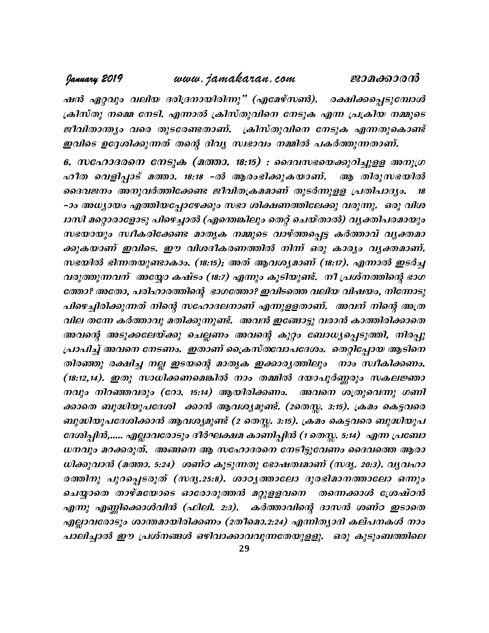#### www.jamakaran.com January 2019

ജാമക്കാരൻ

ഷൻ ഏറ്റവും വലിയ ദരിദ്രനായിരിന്നു" (എമേഴ്സൺ). രക്ഷിക്കപ്പെടുമ്പോൾ ക്രിസ്തു നമ്മെ നേടി. എന്നാൽ ക്രിസ്തുവിനെ നേടുക എന്ന പ്രക്രിയ നമ്മുടെ ജീവിതാന്ത്യം വരെ തുടരേണ്ടതാണ്. ക്രിസ്തുവിനെ നേടുക എന്നതുകൊണ്ട് ഇവിടെ ഉദ്ദേശിക്കുന്നത് തന്റെ ദിവൃ സ്വഭാവം നമ്മിൽ പകർത്തുന്നതാണ്.

6. സഹോദരനെ നേടുക (മത്താ. 18:15) : ദൈവസഭയെക്കുറിച്ചുളള അനുഗ്ര ഹീത വെളിപ്പാട് മത്താ. 18:18 -ൽ ആരംഭിക്കുകയാണ്. ആ തിരുസഭയിൽ ദൈവജനം അനുവർത്തിക്കേണ്ട ജീവിതക്രമമാണ് തുടർന്നുള്ള പ്രതിപാദൃം. 18 -ാം അധ്യായം എത്തിയപ്പോഴേക്കും സഭാ ശിക്ഷണത്തിലേക്കു വരുന്നു. ഒരു വിശ ഥസി മറ്റൊരാളോടു പിഴെച്ചാൽ (എന്തെങ്കിലും തെറ്റ് ചെയ്താൽ) വൃക്തിപരമായും സഭയായും സ്ഥീകരിക്കേണ്ട മാതൃക നമ്മുടെ വാഴ്ത്തപ്പെട്ട കർത്താവ് വൃക്തമാ ക്കുകയാണ് ഇവിടെ. ഈ വിശദീകരണത്തിൽ നിന്ന് ഒരു കാര്യം വ്യക്തമാണ്. സഭയിൽ ഭിന്നതയുണ്ടാകാം. (18:15); അത് ആവശ്യമാണ് (18:17). എന്നാൽ ഇടർച്ച വരുത്തുന്നവന് അയ്യോ കഷ്ടം (18:7) എന്നും കൂടിയുണ്ട്. നീ പ്രശ്നത്തിന്റെ ഭാഗ ത്തോ? അതോ, പരിഹാരത്തിന്റെ ഭാഗത്തോ? ഇവിടത്തെ വലിയ വിഷയം, നിന്നോടു പിഴെച്ചിരിക്കുന്നത് നിന്റെ സഹോദലനാണ് എന്നുളളതാണ്. അവന് നിന്റെ അത്ര വില തന്നേ കർത്താവു മതിക്കുന്നുണ്ട്. അവൻ ഇങ്ങോട്ടു വരാൻ കാത്തിരിക്കാതെ അവന്റെ അടുക്കലേയ്ക്കു ചെല്ലണം അവന്റെ കുറ്റം ബോധ്യപ്പെടുത്തി, നിരപ്പു പ്രാപിച്ച് അവനെ നേടണം. ഇതാണ് പ്രൈസ്തവോപദേശം. തെറ്റിപ്പോയ ആടിനെ തിരഞ്ഞു രക്ഷിച്ച നല്ല ഇടയന്റെ മാതൃക ഇക്കാരൃത്തിലും നാം സ്ഥീകിക്കണം. (18:12,14). ഇതു സാധിക്കണമെങ്കിൽ നാം തമ്മിൽ ദയാപൂർണ്ണരും സകലജ്ഞാ നവും നിറഞ്ഞവരും (റോ. 15:14) ആയിരിക്കണം. അവനെ ശത്രുവെന്നു ഗണി ക്കാതെ ബുദ്ധിയുപദേശി ക്കാൻ ആവശ്യമുണ്ട്. (2തെസ്സ. 3:15). ക്രമം കെട്ടവരെ ബുദ്ധിയുപദേശിക്കാൻ ആവശ്യമുണ്ട് (2 തെസ്സ. 3:15). ക്രമം കെട്ടവരെ ബുദ്ധിയുപ ദേശിപ്പിൻ,..... എല്ലാവരോടും ദീർഘക്ഷമ കാണിപ്പിൻ (1 തെസ്സ. 5:14) എന്ന പ്രബോ ധനവും മറക്കരുത്. അങ്ങനെ ആ സഹോദരനെ നേടിട്ടുവേണം ദൈവത്തെ ആരാ ധിക്കുവാൻ (മത്താ. 5:24) ശണ്ഠ കൂടുന്നതു ഭോഷത്വമാണ് (സദൃ. 20:3). വൃവഹാ രത്തിനു പുറപ്പെടരുത് (സദൃ.25:8). ശാഠൃത്താലോ ദുരഭിമാനത്താലോ ഒന്നും ചെയ്യാതെ താഴ്മയോടെ ഓരോരുത്തൻ മറ്റുളളവനെ തന്നെക്കാൾ ശ്രേഷ്ഠൻ എന്നു എണ്ണിക്കൊൾവിൻ (ഫിലി. 2:3). കർത്താവിന്റെ ദാസൻ ശണ്ഠ ഇടാതെ എല്ലാവരോടും ശാന്തമായിരിക്കണം (2തീമൊ.2:24) എന്നിത്യാദി കല്പനകൾ നാം പാലിച്ചാൽ ഈ പ്രശ്നങ്ങൾ ഒഴിവാക്കാവവുന്നതേയുളളു. ഒരു കൂടുംബത്തിലെ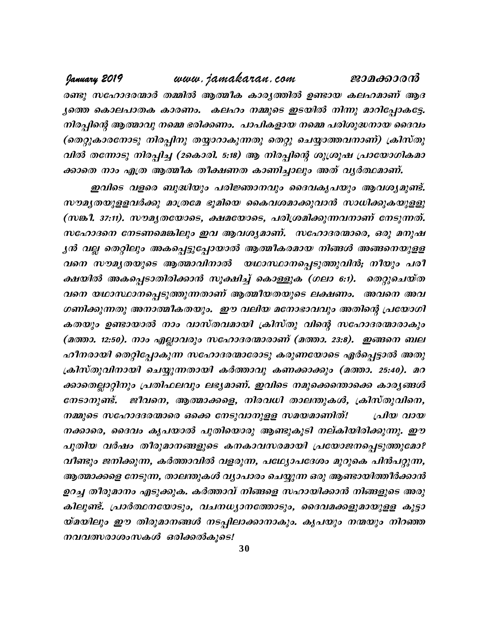www.jamakaran.com January 2019 ജാമക്കാരൻ രണ്ടു സഹോദരന്മാർ തമ്മിൽ ആത്മീക കാരൃത്തിൽ ഉണ്ടായ കലഹമാണ് ആദ ൃത്തെ കൊലപാതക കാരണം. കലഹം നമ്മുടെ ഇടയിൽ നിന്നു മാറിപ്പോകട്ടേ. നിരപ്പിന്റെ ആത്മാവു നമ്മെ ഭരിക്കണം. പാപികളായ നമ്മെ പരിശുദ്ധനായ ദൈവം (തെറ്റുകാരനോടു നിരപ്പിനു തയ്യാറാകുന്നതു തെറ്റു ചെയ്യാത്തവനാണ്) ക്രിസ്തു വിൽ തന്നോടു നിരപ്പിച്ച (2കൊരി. 5:18) ആ നിരപ്പിന്റെ ശുശ്രൂഷ പ്രായോഗികമാ ക്കാതെ നാം എത്ര ആത്മീക തീക്ഷണത കാണിച്ചാലും അത് വൃർത്ഥമാണ്.

ഇവിടെ വളരെ ബുദ്ധിയും പരിജ്ഞാനവും ദൈവകൃപയും ആവശ്യമുണ്ട്. സൗമൃതയുളളവർക്കു മാത്രമേ ഭൂമിയെ കൈവശമാക്കുവാൻ സാധിക്കുകയുളളു (സങ്കി. 37:11). സൗമൃതയോടെ, ക്ഷമയോടെ, പരിശ്രമിക്കുന്നവനാണ് നേടുന്നത്. സഹോദനെ നേടണമെങ്കിലും ഇവ ആവശ്യമാണ്. സഹോദരന്മാരെ, ഒരു മനുഷ ൃൻ വല്ല തെറ്റിലും അകപ്പെട്ടുപ്പോയാൽ ആത്മീകരമായ നിങ്ങൾ അങ്ങനെയുളള വനെ സൗമൃതയുടെ ആത്മാവിനാൽ യഥാസ്ഥാനപ്പെടുത്തുവിൻ; നീയും പരീ ക്ഷയിൽ അകപ്പെടാതിരിക്കാൻ സൂക്ഷിച്ച് കൊള്ളുക (ഗലാ 6:1). തെറ്റുചെയ്ത വനെ യഥാസ്ഥാനപ്പെടുത്തുന്നതാണ് ആത്മീയതയുടെ ലക്ഷണം. അവനെ അവ ഗണിക്കുന്നതു അനാത്മീകതയും. ഈ വലിയ മനോഭാവവും അതിന്റെ പ്രയോഗി കതയും ഉണ്ടായാൽ നാം വാസ്തവമായി ക്രിസ്തു വിന്റെ സഹോദരന്മാരാകും (മത്താ. 12:50). നാം എല്ലാവരും സഹോദരന്മാരാണ് (മത്താ. 23:8). ഇങ്ങനെ ബല ഹീനരായി തെറ്റിപ്പോകുന്ന സഹോദരന്മാരോടു കരുണയോടെ ഏർപ്പെട്ടാൽ അതു ക്രിസ്തുവിനായി ചെയ്യുന്നതായി കർത്താവു കണക്കാക്കും (മത്താ. 25:40). മറ ക്കാതെല്ലാറ്റിനും പ്രതിഫലവും ലഭ്യമാണ്. ഇവിടെ നമുക്കെത്താക്കെ കാര്യങ്ങൾ നേടാനുണ്ട്. ജീവനെ, ആത്മാക്കളെ, നിരവധി താലന്തുകൾ, ക്രിസ്തുവിനെ, നമ്മുടെ സഹോദദരന്മാരെ ഒക്കെ നേടുവാനുളള സമയമാണിത്! പ്രിയ വായ നക്കാരെ, ദൈവം കൃപയാൽ പുതിയൊരു ആണ്ടുകൂടി നല്കിയിരിക്കുന്നു. ഈ പുതിയ വർഷം തീരുമാനങ്ങളുടെ കനകാവസരമായി പ്രയോജനപ്പെടുത്തുമോ? വീണ്ടും ജനിക്കുന്ന, കർത്താവിൽ വളരുന്ന, പഥ്വ്യോപദേശം മുറുകെ പിൻപറ്റുന്ന, ആത്മാക്കളെ നേടുന്ന, താലന്തുകൾ വ്യാപാരം ചെയ്യുന്ന ഒരു ആണ്ടായിത്തീർക്കാൻ ഉറച്ച തീരുമാനം എടുക്കുക. കർത്താവ് നിങ്ങളെ സഹായിക്കാൻ നിങ്ങളുടെ അരു കിലുണ്ട്. പ്രാർത്ഥനയോടും, വചനധ്യാനത്തോടും, ദൈവമക്കളുമായുളള കൂട്ടാ യ്മയിലും ഈ തിരുമാനങ്ങൾ നടപ്പിലാക്കാനാകും. കൃപയും നന്മയും നിറഞ്ഞ നവവത്സരാശംസകൾ ഒരിക്കൽകൂടെ!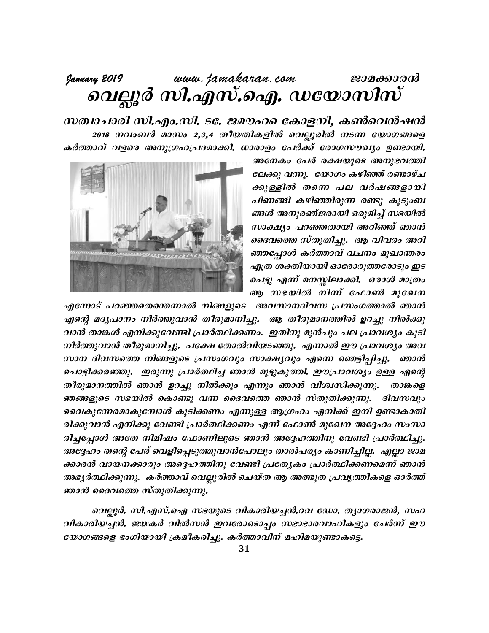# 

സത്വാചാരി സി.എം.സി. ട $\varepsilon$ . ജമൗഹ $\varepsilon$ െകാളനി, കൺവെൻഷൻ 2018 നവംബർ മാസം 2,3,4 തീയതികളിൽ വെല്ലൂരിൽ നടന്ന യോഗങ്ങളെ കർത്താവ് വളരെ അനുഗ്രഹപ്രദമാക്കി. ധാരാളം പേർക്ക് രോഗസൗഖ്യം ഉണ്ടായി.

> അനേകം പേർ രക്ഷയുടെ അനുഭവത്തി ലേക്കു വന്നു. യോഗം കഴിഞ്ഞ് രണ്ടാഴ്ച ക്കുള്ളിൽ തന്നെ പല വർഷങ്ങളായി പിണങ്ങി കഴിഞ്ഞിരുന്ന രണ്ടു കുടുംബ ങ്ങൾ അനുരഞ്ജരായി ഒരുമിച്ച് സഭയിൽ സാക്ഷ്യം പറഞ്ഞതായി അറിഞ്ഞ് ഞാൻ ദൈവത്തെ സ്തുതിച്ചു. ആ വിവരം അറി ഞ്ഞപ്പോൾ കർത്താവ് വചനം മുഖാന്തരം എത്ര ശക്തിയായി ഓരോരുത്തരോടും ഇട പെട്ടു എന്ന് മനസ്സിലാക്കി. ഒരാൾ മാത്രം ആ സഭയിൽ നിന്ന ഫോൺ മുഖേന



എന്നോട് പറഞ്ഞതെന്തെന്നാൽ നിങ്ങളുടെ അവസാനദിവസ പ്രസംഗത്താൽ ഞാൻ എന്റെ മദൃപാനം നിർത്തുവാൻ തീരുമാനിച്ചു. ആ തീരുമാനത്തിൽ ഉറച്ചു നിൽക്കു വാൻ താങ്കൾ എനിക്കുവേണ്ടി പ്രാർത്ഥിക്കണം. ഇതിനു മുൻപും പല പ്രാവശ്യം കുടി നിർത്തുവാൻ തീരുമാനിച്ചു. പക്ഷേ തോൽവിയടഞ്ഞു. എന്നാൽ ഈ പ്രാവശ്യം അവ സാന ദിവസത്തെ നിങ്ങളുടെ പ്രസംഗവും സാക്ഷ്യവും എന്നെ ഞെട്ടിപ്പിച്ചു. ഞാൻ പൊട്ടിക്കരഞ്ഞു. ഇരുന്നു പ്രാർത്ഥിച്ച ഞാൻ മുട്ടുകുത്തി. ഈപ്രാവശ്യം ഉള്ള എന്റെ തീരുമാനത്തിൽ ഞാൻ ഉറച്ചു നിൽക്കും എന്നും ഞാൻ വിശ്വസിക്കുന്നു. താങ്കളെ ഞങ്ങളുടെ സഭയിൽ കൊണ്ടു വന്ന ദൈവത്തെ ഞാൻ സ്തുതിക്കുന്നു. ദിവസവും വൈകുന്നേരമാകുമ്പോൾ കുടിക്കണം എന്നുള്ള ആഗ്രഹം എനിക്ക് ഇനി ഉണ്ടാകാതി രിക്കുവാൻ എനിക്കു വേണ്ടി പ്രാർത്ഥിക്കണം എന്ന് ഫോൺ മുഖേന അദ്ദേഹം സംസാ രിച്ചപ്പോൾ അതേ നിമിഷം ഫോണിലൂടെ ഞാൻ അദ്ദേഹത്തിനു വേണ്ടി പ്രാർത്ഥിച്ചു. അദ്ദേഹം തന്റെ പേര് വെളിപ്പെടുത്തുവാൻപോലും താൽപര്യം കാണിച്ചില്ല. എല്ലാ ജാമ ക്കാരൻ വായനക്കാരും അദ്ദെഹത്തിനു വേണ്ടി പ്രത്യേകം പ്രാർത്ഥിക്കണമെന്ന് ഞാൻ അഭ്യർത്ഥിക്കുന്നു. കർത്താവ് വെല്ലൂരിൽ ചെയ്ത ആ അത്ഭുത പ്രവൃത്തികളെ ഓർത്ത് ഞാൻ ദൈവത്തെ സ്തുതിക്കുന്നു.

വെല്ലൂർ. സി.എസ്.ഐ സഭയുടെ വികാരിയച്ചൻ.റവ ഡോ. ത്യാഗരാജൻ, സഹ വികാരിയച്ചൻ. ജയകർ വിൽസൻ ഇവരോടൊപ്പം സഭാഭാരവാഹികളും ചേർന്ന് ഈ യോഗങ്ങളെ ഭംഗിയായി ക്രമീകരിച്ചു. കർത്താവിന് മഹിമയുണ്ടാകട്ടെ.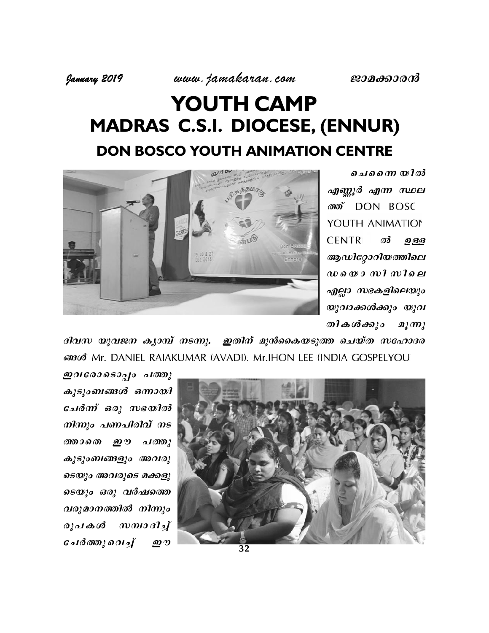# YOUTH CAMP **MADRAS C.S.I. DIOCESE, (ENNUR) DON BOSCO YOUTH ANIMATION CENTRE**



ചെന്നൈ യിൽ എണ്ണൂർ എന്ന സ്ഥല *ത്* DON BOSC YOUTH ANIMATION **CENTRI** ൽ ഉള്ള ആഡിറ്റോറിയത്തിലെ  $\omega$  *s* $\omega$  *s* $\omega$  *n* $\Omega$  *m* $\Omega$ *s* $\omega$ എല്ലാ സഭകളിലെയും യുവാക്കൾക്കും യുവ തികൾക്കും  $\mathbf{a}_2 \mathbf{m}_2$ 

ദിവസ യുവജന കൃാമ്പ് നടന്നു. ഇതിന് മുൻകൈയടുത്ത ചെയ്ത സഹോദര 63363 Mr. DANIEL RAIAKUMAR (AVADI). Mr.IHON LEE (INDIA GOSPELYOU)

ഇവരോടൊപ്പം പത്തു കുടുംബങ്ങൾ ഒന്നായി ചേർന്ന് ഒരു സഭയിൽ നിന്നും പണപിരിവ് നട ண வகை ஹு പത്തു കുടുംബങ്ങളും അവരു ടെയും അവരുടെ മക്കളു ടെയും ഒരു വർഷത്തെ വരുമാനത്തിൽ നിന്നും  $m$   $m$   $n$   $n$   $n$   $n$ രൂപകൾ ചേർത്തുവെച്ച് **ற**

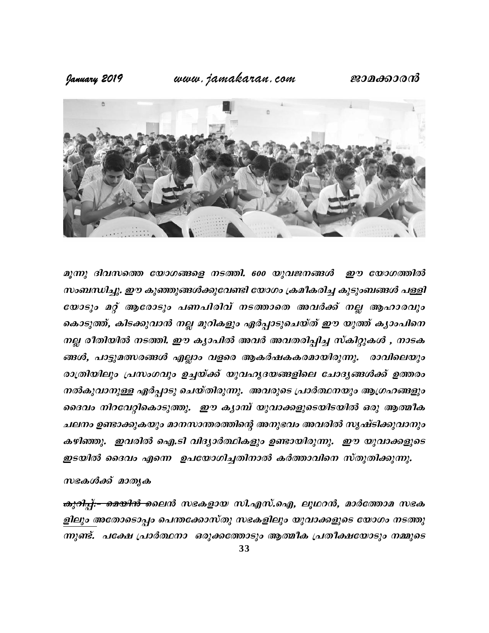## ജാമക്കാരൻ

# www.jamakaran.com

January 2019



മുന്നു ദിവസത്തെ യോഗങ്ങളെ നടത്തി. 600 യുവജനങ്ങൾ ഈ യോഗത്തിൽ സംബന്ധിച്ചു. ഈ കുഞ്ഞുങ്ങൾക്കുവേണ്ടി യോഗം ക്രമീകരിച്ച കുടുംബങ്ങൾ പള്ളി യോടും മറ്റ് ആരോടും പണപിരിവ് നടത്താതെ അവർക്ക് നല്ല ആഹാരവും കൊടുത്ത്, കിടക്കുവാൻ നല്ല മുറികളും ഏർപ്പാടുചെയ്ത് ഈ യുത്ത് കൃാംപിനെ നല്ല രീതിയിൽ നടത്തി. ഈ കൃാപിൽ അവർ അവതരിപ്പിച്ച സ്കിറ്റുകൾ , നാടക ങ്ങൾ, പാട്ടുമത്സരങ്ങൾ എല്ലാം വളരെ ആകർഷകകരമായിരുന്നു. രാവിലെയും രാത്രിയിലും പ്രസംഗവും ഉച്ചയ്ക്ക് യുവഹൃദയങ്ങളിലെ ചോദൃങ്ങൾക്ക് ഉത്തരം നൽകുവാനുള്ള ഏർപ്പാടു ചെയ്തിരുന്നു. അവരുടെ പ്രാർത്ഥനയും ആഗ്രഹങ്ങളും ദൈവം നിറവേറ്റികൊടുത്തു. ഈ കൃാമ്പ് യുവാക്കളുടെയിടയിൽ ഒരു ആത്മീക ചലനം ഉണ്ടാക്കുകയും മാനസാന്തരത്തിന്റെ അനുഭവം അവരിൽ സൃഷ്ടിക്കുവാനും കഴിഞ്ഞു. ഇവരിൽ ഐ.ടി വിദ്യാർത്ഥികളും ഉണ്ടായിരുന്നു. ഈ യുവാക്കളുടെ ഇടയിൽ ദൈവം എന്നെ ഉപയോഗിച്ചതിനാൽ കർത്താവിനെ സ്തുതിക്കുന്നു.

## സഭകൾക്ക് മാതൃക

<del>കുറിപ്പ്:– മെയിൻ </del>ലൈൻ സഭകളായ സി.എസ്.ഐ, ലൂഥറൻ, മാർത്തോമ സഭക ളിലും അതോടൊപ്പം പെന്തക്കോസ്തു സഭകളിലും യുവാക്കളുടെ യോഗം നടത്തു ന്നുണ്ട്. പക്ഷേ പ്രാർത്ഥനാ ഓുക്കത്തോടും ആത്മീക പ്രതീക്ഷയോടും നമ്മുടെ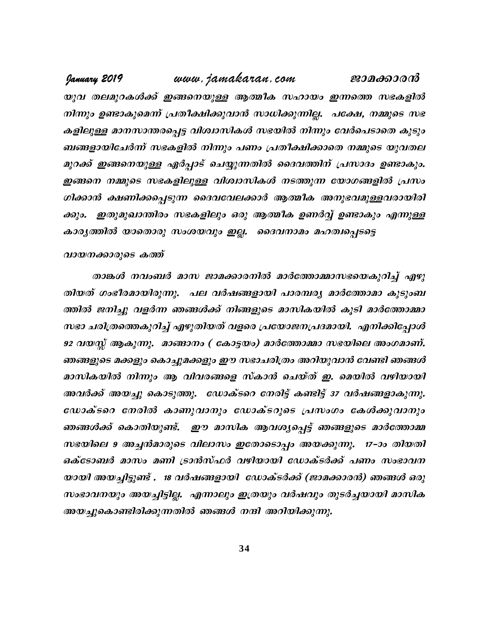www.jamakaran.com January 2019 ജാമക്കാരൻ യുവ തലമുറകൾക്ക് ഇങ്ങനെയുള്ള ആത്മീക സഹായം ഇന്നത്തെ സഭകളിൽ നിന്നും ഉണ്ടാകുമെന്ന് പ്രതീക്ഷിക്കുവാൻ സാധിക്കുന്നില്ല. പക്ഷേ, നമ്മുടെ സഭ കളിലുള്ള മാനസാന്തരപ്പെട്ട വിശ്വാസികൾ സഭയിൽ നിന്നും വേർപെടാതെ കുടും ബങ്ങളായിചേർന്ന് സഭകളിൽ നിന്നും പണം പ്രതീക്ഷിക്കാതെ നമ്മുടെ യുവതല മുറക്ക് ഇങ്ങനെയുള്ള ഏർപ്പാട് ചെയ്യുന്നതിൽ ദൈവത്തിന് പ്രസാദം ഉണ്ടാകും. ഇങ്ങനെ നമ്മുടെ സഭകളിലുള്ള വിശ്വാസികൾ നടത്തുന്ന യോഗങ്ങളിൽ പ്രസം ഗിക്കാൻ ക്ഷണിക്കപ്പെടുന്ന ദൈവവേലക്കാർ ആത്മീക അനുഭവമുള്ളവരായിരി \_ഇതുമുഖാന്തിരം സഭകളിലും ഒരു ആത്മീക ഉണർവ്വ് ഉണ്ടാകും എന്നുള്ള  $\partial \partial/ \partial$ . കാര്യത്തിൽ യാതൊരു സംശയവും ഇല്ല. ദൈവനാമം മഹത്വപ്പെടട്ടെ

### വായനക്കാരുടെ കത്ത്

താങ്കൾ നവംബർ മാസ ജാമക്കാരനിൽ മാർത്തോമ്മാസഭയെകുറിച്ച് എഴു തിയത് ഗംഭീരമായിരുന്നു. പല വർഷങ്ങളായി പാരമ്പര്യ മാർത്തോമാ കുടുംബ ത്തിൽ ജനിച്ചു വളർന്ന ഞങ്ങൾക്ക് നിങ്ങളുടെ മാസികയിൽ കൂടി മാർത്തോമ്മാ സഭാ ചരിത്രത്തെകുറിച്ച് എഴുതിയത് വളരെ പ്രയോജനപ്രദമായി. എനിക്കിപ്പോൾ 92 വയസ്സ് ആകുന്നു. മാങ്ങാനം ( കോട്ടയം) മാർത്തോമ്മാ സഭയിലെ അംഗമാണ്. ഞങ്ങളുടെ മക്കളും കൊച്ചുമക്കളും ഈ സഭാചരിത്രം അറിയുവാൻ വേണ്ടി ഞങ്ങൾ മാസികയിൽ നിന്നും ആ വിവരങ്ങളെ സ്കാൻ ചെയ്ത് ഇ. മെയിൽ വഴിയായി അവർക്ക് അയച്ചു കൊടുത്തു. ഡോക്ടറെ നേരിട്ട് കണ്ടിട്ട് 37 വർഷങ്ങളാകുന്നു. ഡോക്ടറെ നേരിൽ കാണുവാനും ഡോക്ടറുടെ പ്രസംഗം കേൾക്കുവാനും ഞങ്ങൾക്ക് കൊതിയുണ്ട്. ഈ മാസിക ആവശ്യപ്പെട്ട് ഞങ്ങളുടെ മാർത്തോമ്മ സഭയിലെ 9 അച്ചൻമാരുടെ വിലാസം ഇതോടൊപ്പം അയക്കുന്നു. 17-ാം തിയതി ഒക്ടോബർ മാസം മണി ട്രാൻസ്ഫർ വഴിയായി ഡോക്ടർക്ക് പണം സംഭാവന യായി അയച്ചിട്ടുണ്ട് . 18 വർഷങ്ങളായി ഡോക്ടർക്ക് (ജാമക്കാരൻ) ഞങ്ങൾ ഒരു സംഭാവനയും അയച്ചിട്ടില്ല. എന്നാലും ഇത്രയും വർഷവും തുടർച്ചയായി മാസിക അയച്ചുകൊണ്ടിരിക്കുന്നതിൽ ഞങ്ങൾ നന്ദി അറിയിക്കുന്നു.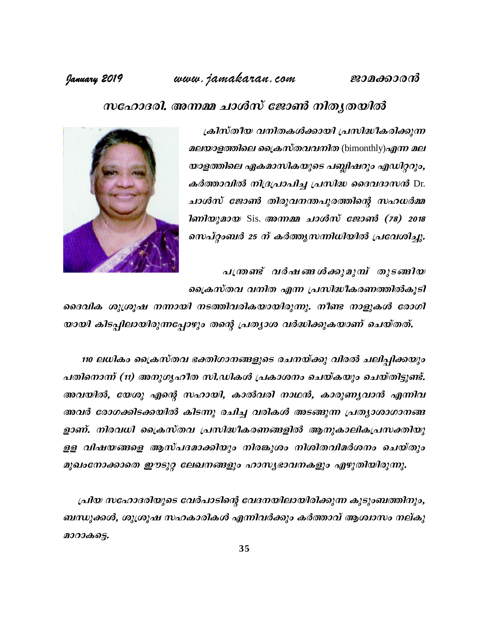ജാമക്കാരൻ

# www.jamakaran.com

## January 2019

# സഹോദരി. അന്നമ്മ ചാൾസ് ജോൺ നിതൃതയിൽ

ക്രിസ്തീയ വനിതകൾക്കായി പ്രസിദ്ധീകരിക്കുന്ന മലയാളത്തിലെ ക്രൈസ്തവവനിത (bimonthly)എന്ന മല യാളത്തിലെ ഏകമാസികയുടെ പബ്ലിഷറും എഡിറ്ററും, കർത്താവിൽ നിദ്രപ്രാപിച്ച പ്രസിദ്ധ ദൈവദാസൻ Dr. ചാൾസ് ജോൺ തിരുവനന്തപുരത്തിന്റെ സഹധർമ്മ **1** m 2010 100 Sis. അന്നമ്മ ചാൾസ് ജോൺ (78) 2018 സെപ്റ്റംബർ 25 ന് കർത്തൃസന്നിധിയിൽ പ്രവേശിച്ചു.



പത്രണ്ട് വർഷങ്ങൾക്കുമുമ്പ് തുടങ്ങിയ പ്രൈകസ്തവ വനിത എന്ന പ്രസിദ്ധീകരണത്തിൽകൂടി

ദൈവിക ശുശ്രൂഷ നന്നായി നടത്തിവരികയായിരുന്നു. നീണ്ട നാളുകൾ രോഗി യായി കിടപ്പിലായിരുന്നപ്പോഴും തന്റെ പ്രത്യാശ വർദ്ധിക്കുകയാണ് ചെയ്തത്.

110 ലധികം ക്രൈസ്തവ ഭക്തിഗാനങ്ങളുടെ രചനയ്ക്കു വിരൽ ചലിപ്പിക്കയും പതിനൊന്ന് (11) അനുഗൃഹീത സി.ഡികൾ പ്രകാശനം ചെയ്കയും ചെയ്തിട്ടുണ്ട്. അവയിൽ, യേശു എന്റെ സഹായി, കാൽവരി നാഥൻ, കാരുണൃവാൻ എന്നിവ അവർ രോഗക്കിടക്കയിൽ കിടന്നു രചിച്ച വരികൾ അടങ്ങുന്ന പ്രത്യാശാഗാനങ്ങ ളാണ്. നിരവധി ക്രൈസ്തവ പ്രസിദ്ധീകരണങ്ങളിൽ ആനുകാലികപ്രസക്തിയു ളള വിഷയങ്ങളെ ആസ്പദമാക്കിയും നിരങ്കുശം നിശിതവിമർശനം ചെയ്തും മുഖംനോക്കാതെ ഈടുറ്റ ലേഖനങ്ങളും ഹാസ്യഭാവനകളും എഴുതിയിരുന്നു.

പ്രിയ സഹോദരിയുടെ വേർപാടിന്റെ വേദനയിലായിരിക്കുന്ന കുടുംബത്തിനും, ബന്ധുക്കൾ, ശുശ്രൂഷ സഹകാരികൾ എന്നിവർക്കും കർത്താവ് ആശ്വാസം നല്കു മാറാകട്ടെ.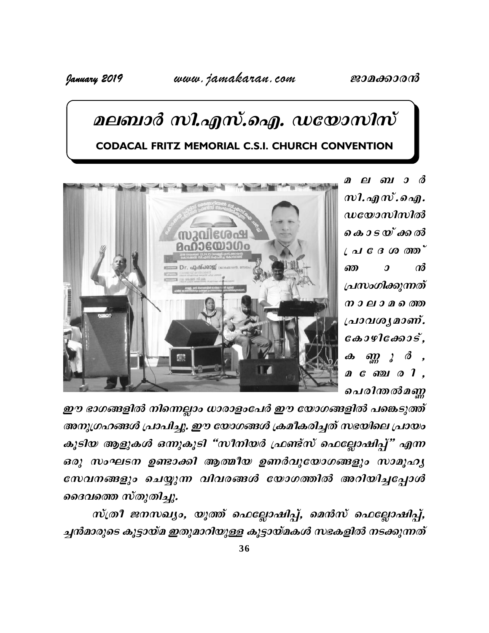# മലബാർ സി.എസ്.ഐ. ഡയോസിസ് **CODACAL FRITZ MEMORIAL C.S.I. CHURCH CONVENTION**



മലബാർ  $m$ l.  $a_n$  $m$ .  $a_n$  $\boldsymbol{u}$ യോസിസിൽ കൊടയ്ക്കൽ  $\iota$  al  $\mathcal C$   $\beta$   $\omega$   $\varpi$  $\boldsymbol{\mathcal{J}}$  $\omega$ ண പ്രസംഗിക്കുന്നത് നാലാമത്തെ പ്രാവശൃമാണ്.  $\cos\theta$  $\partial m$   $\partial$  $\boldsymbol{\omega}$ മണോഗി, ചെരിന്തൽമണ്ണ

ഈ ഭാഗങ്ങളിൽ നിന്നെല്ലാം ധാരാളംപേർ ഈ യോഗങ്ങളിൽ പങ്കെടുത്ത് അനുഗ്രഹങ്ങൾ പ്രാപിച്ചു. ഈ യോഗങ്ങൾ ക്രമീകരിച്ചത് സഭയിലെ പ്രായം കൂടിയ ആളുകൾ ഒന്നുകൂടി "സീനിയർ ഫ്രണ്ട്സ് ഫെല്ലോഷിപ്പ്" എന്ന ഒരു സംഘടന ഉണ്ടാക്കി ആത്മീയ ഉണർവുയോഗങ്ങളും സാമൂഹൃ സേവനങ്ങളും ചെയ്യുന്ന വിവരങ്ങൾ യോഗത്തിൽ അറിയിച്ചപ്പോൾ ദൈവത്തെ സ്തുതിച്ചു.

സ്ത്രീ ജനസഖ്യം, യൂത്ത് ഫെല്ലോഷിപ്പ്, മെൻസ് ഫെല്ലോഷിപ്പ്, ച്ചൻമാരുടെ കൂട്ടായ്മ ഇതുമാറിയുള്ള കൂട്ടായ്മകൾ സഭകളിൽ നടക്കുന്നത്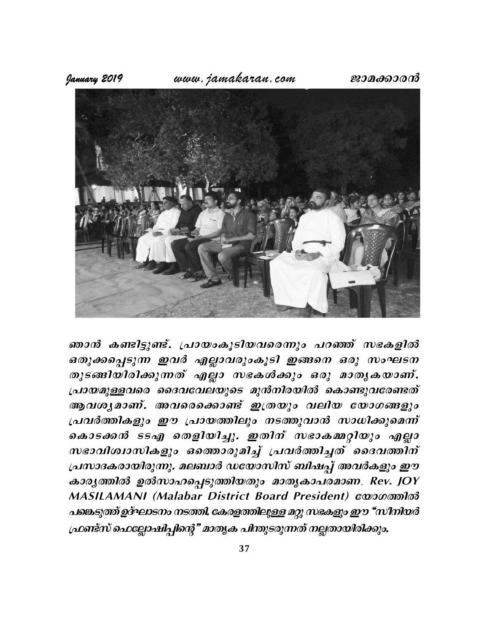

ഞാൻ കണ്ടിട്ടുണ്ട്. പ്രായംകൂടിയവരെന്നും പറഞ്ഞ് സഭകളിൽ ഒതുക്കപ്പെടുന്ന ഇവർ എല്ലാവരുംകൂടി ഇങ്ങനെ ഒരു സംഘടന തുടങ്ങിയിരിക്കുന്നത് എല്ലാ സഭകൾക്കും ഒരു മാതൃകയാണ്. പ്രായമുള്ളവരെ ദൈവവേലയുടെ മുൻനിരയിൽ കൊണ്ടുവരേണ്ടത് ആവശൃമാണ്. അവരെക്കൊണ്ട് ഇത്രയും വലിയ യോഗങ്ങളും പ്രവർത്തികളും ഈ പ്രായത്തിലും നടത്തുവാൻ സാധിക്കുമെന്ന് കൊടക്കൻ ടടഎ തെളിയിച്ചു. ഇതിന് സഭാകമ്മറ്റിയും എല്ലാ സഭാവിശ്വാസികളും ഒതൊരുമിച്ച് പ്രവർത്തിച്ചത് ദൈവത്തിന് പ്രസാദകരായിരുന്നു. മലബാർ ഡയോസിസ് ബിഷപ്പ് അവർകളും ഈ കാര്യത്തിൽ ഉൽസാഹപ്പെടുത്തിയതും മാതൃകാപരമാണ. Rev. JOY MASILAMANI (Malabar District Board President) www.momlood പങ്കെടുത്ത് ഉദ്ഘാടനം നടത്തി. കേരളത്തിലുള്ള മറ്റു സഭകളും ഈ "സീനിയർ ഫ്രണ്ട്സ് ഫെല്ലോഷിപ്പിന്റെ" മാതൃക പിന്തുടരുന്നത് നല്ലതായിരിക്കും.